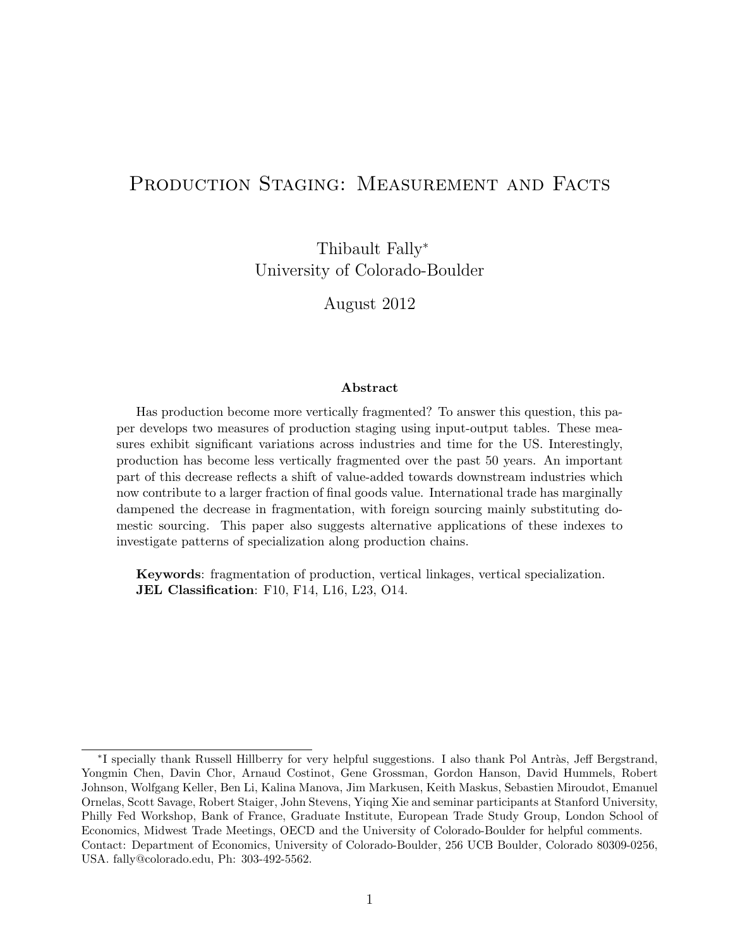# PRODUCTION STAGING: MEASUREMENT AND FACTS

Thibault Fally<sup>∗</sup> University of Colorado-Boulder

August 2012

### Abstract

Has production become more vertically fragmented? To answer this question, this paper develops two measures of production staging using input-output tables. These measures exhibit significant variations across industries and time for the US. Interestingly, production has become less vertically fragmented over the past 50 years. An important part of this decrease reflects a shift of value-added towards downstream industries which now contribute to a larger fraction of final goods value. International trade has marginally dampened the decrease in fragmentation, with foreign sourcing mainly substituting domestic sourcing. This paper also suggests alternative applications of these indexes to investigate patterns of specialization along production chains.

Keywords: fragmentation of production, vertical linkages, vertical specialization. JEL Classification: F10, F14, L16, L23, O14.

<sup>\*</sup>I specially thank Russell Hillberry for very helpful suggestions. I also thank Pol Antràs, Jeff Bergstrand, Yongmin Chen, Davin Chor, Arnaud Costinot, Gene Grossman, Gordon Hanson, David Hummels, Robert Johnson, Wolfgang Keller, Ben Li, Kalina Manova, Jim Markusen, Keith Maskus, Sebastien Miroudot, Emanuel Ornelas, Scott Savage, Robert Staiger, John Stevens, Yiqing Xie and seminar participants at Stanford University, Philly Fed Workshop, Bank of France, Graduate Institute, European Trade Study Group, London School of Economics, Midwest Trade Meetings, OECD and the University of Colorado-Boulder for helpful comments. Contact: Department of Economics, University of Colorado-Boulder, 256 UCB Boulder, Colorado 80309-0256, USA. fally@colorado.edu, Ph: 303-492-5562.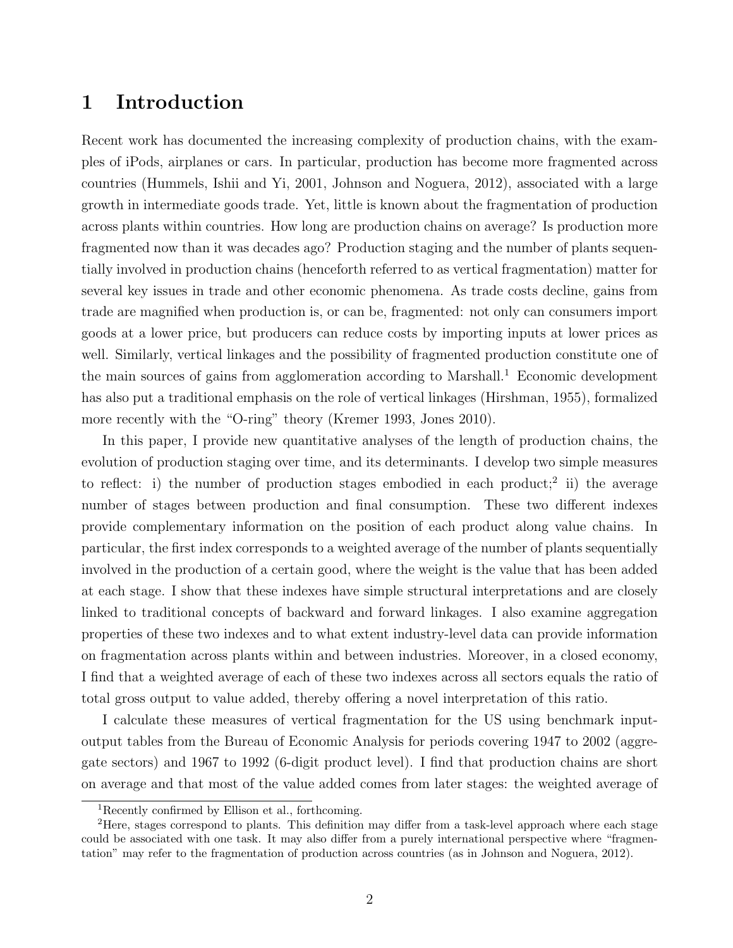# 1 Introduction

Recent work has documented the increasing complexity of production chains, with the examples of iPods, airplanes or cars. In particular, production has become more fragmented across countries (Hummels, Ishii and Yi, 2001, Johnson and Noguera, 2012), associated with a large growth in intermediate goods trade. Yet, little is known about the fragmentation of production across plants within countries. How long are production chains on average? Is production more fragmented now than it was decades ago? Production staging and the number of plants sequentially involved in production chains (henceforth referred to as vertical fragmentation) matter for several key issues in trade and other economic phenomena. As trade costs decline, gains from trade are magnified when production is, or can be, fragmented: not only can consumers import goods at a lower price, but producers can reduce costs by importing inputs at lower prices as well. Similarly, vertical linkages and the possibility of fragmented production constitute one of the main sources of gains from agglomeration according to Marshall.<sup>1</sup> Economic development has also put a traditional emphasis on the role of vertical linkages (Hirshman, 1955), formalized more recently with the "O-ring" theory (Kremer 1993, Jones 2010).

In this paper, I provide new quantitative analyses of the length of production chains, the evolution of production staging over time, and its determinants. I develop two simple measures to reflect: i) the number of production stages embodied in each product;<sup>2</sup> ii) the average number of stages between production and final consumption. These two different indexes provide complementary information on the position of each product along value chains. In particular, the first index corresponds to a weighted average of the number of plants sequentially involved in the production of a certain good, where the weight is the value that has been added at each stage. I show that these indexes have simple structural interpretations and are closely linked to traditional concepts of backward and forward linkages. I also examine aggregation properties of these two indexes and to what extent industry-level data can provide information on fragmentation across plants within and between industries. Moreover, in a closed economy, I find that a weighted average of each of these two indexes across all sectors equals the ratio of total gross output to value added, thereby offering a novel interpretation of this ratio.

I calculate these measures of vertical fragmentation for the US using benchmark inputoutput tables from the Bureau of Economic Analysis for periods covering 1947 to 2002 (aggregate sectors) and 1967 to 1992 (6-digit product level). I find that production chains are short on average and that most of the value added comes from later stages: the weighted average of

<sup>1</sup>Recently confirmed by Ellison et al., forthcoming.

<sup>2</sup>Here, stages correspond to plants. This definition may differ from a task-level approach where each stage could be associated with one task. It may also differ from a purely international perspective where "fragmentation" may refer to the fragmentation of production across countries (as in Johnson and Noguera, 2012).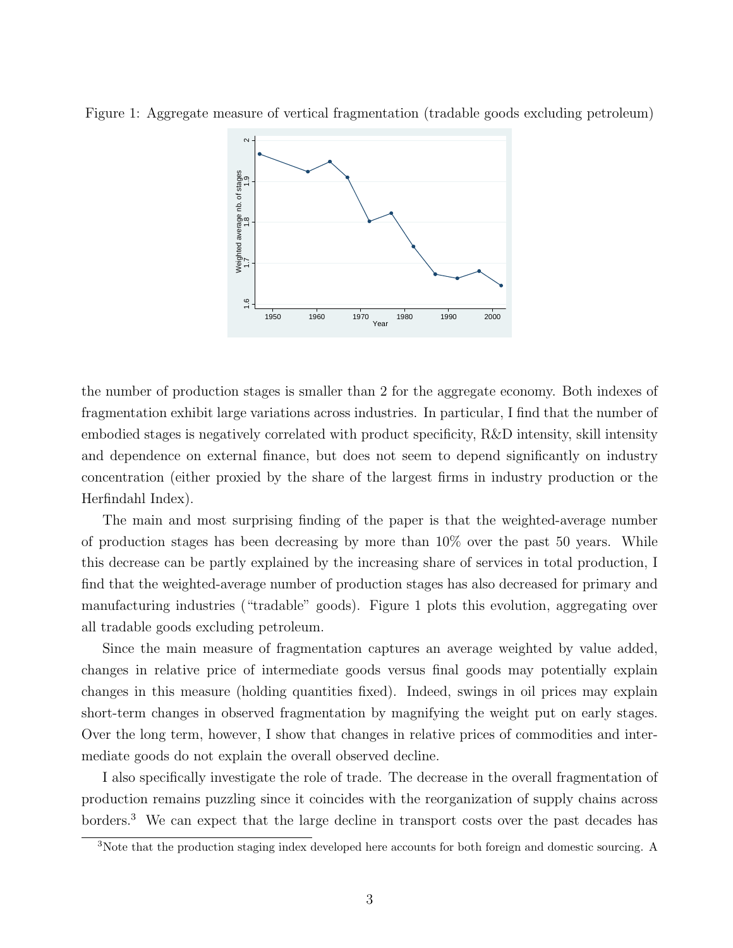



the number of production stages is smaller than 2 for the aggregate economy. Both indexes of fragmentation exhibit large variations across industries. In particular, I find that the number of embodied stages is negatively correlated with product specificity, R&D intensity, skill intensity and dependence on external finance, but does not seem to depend significantly on industry concentration (either proxied by the share of the largest firms in industry production or the Herfindahl Index).

The main and most surprising finding of the paper is that the weighted-average number of production stages has been decreasing by more than 10% over the past 50 years. While this decrease can be partly explained by the increasing share of services in total production, I find that the weighted-average number of production stages has also decreased for primary and manufacturing industries ("tradable" goods). Figure 1 plots this evolution, aggregating over all tradable goods excluding petroleum.

Since the main measure of fragmentation captures an average weighted by value added, changes in relative price of intermediate goods versus final goods may potentially explain changes in this measure (holding quantities fixed). Indeed, swings in oil prices may explain short-term changes in observed fragmentation by magnifying the weight put on early stages. Over the long term, however, I show that changes in relative prices of commodities and intermediate goods do not explain the overall observed decline.

I also specifically investigate the role of trade. The decrease in the overall fragmentation of production remains puzzling since it coincides with the reorganization of supply chains across borders.<sup>3</sup> We can expect that the large decline in transport costs over the past decades has

<sup>3</sup>Note that the production staging index developed here accounts for both foreign and domestic sourcing. A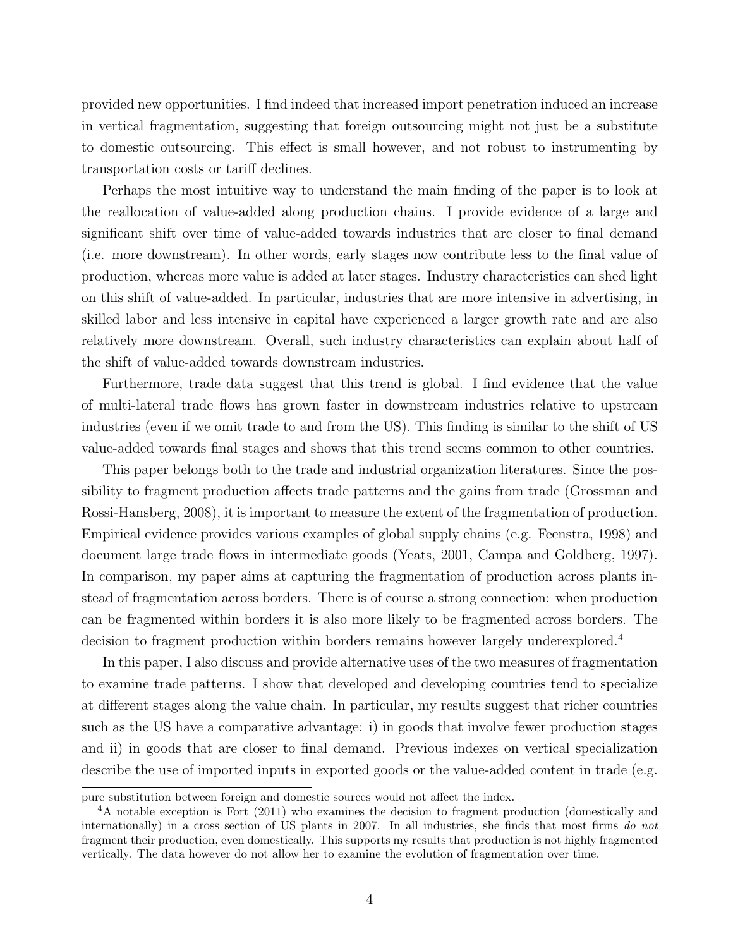provided new opportunities. I find indeed that increased import penetration induced an increase in vertical fragmentation, suggesting that foreign outsourcing might not just be a substitute to domestic outsourcing. This effect is small however, and not robust to instrumenting by transportation costs or tariff declines.

Perhaps the most intuitive way to understand the main finding of the paper is to look at the reallocation of value-added along production chains. I provide evidence of a large and significant shift over time of value-added towards industries that are closer to final demand (i.e. more downstream). In other words, early stages now contribute less to the final value of production, whereas more value is added at later stages. Industry characteristics can shed light on this shift of value-added. In particular, industries that are more intensive in advertising, in skilled labor and less intensive in capital have experienced a larger growth rate and are also relatively more downstream. Overall, such industry characteristics can explain about half of the shift of value-added towards downstream industries.

Furthermore, trade data suggest that this trend is global. I find evidence that the value of multi-lateral trade flows has grown faster in downstream industries relative to upstream industries (even if we omit trade to and from the US). This finding is similar to the shift of US value-added towards final stages and shows that this trend seems common to other countries.

This paper belongs both to the trade and industrial organization literatures. Since the possibility to fragment production affects trade patterns and the gains from trade (Grossman and Rossi-Hansberg, 2008), it is important to measure the extent of the fragmentation of production. Empirical evidence provides various examples of global supply chains (e.g. Feenstra, 1998) and document large trade flows in intermediate goods (Yeats, 2001, Campa and Goldberg, 1997). In comparison, my paper aims at capturing the fragmentation of production across plants instead of fragmentation across borders. There is of course a strong connection: when production can be fragmented within borders it is also more likely to be fragmented across borders. The decision to fragment production within borders remains however largely underexplored.<sup>4</sup>

In this paper, I also discuss and provide alternative uses of the two measures of fragmentation to examine trade patterns. I show that developed and developing countries tend to specialize at different stages along the value chain. In particular, my results suggest that richer countries such as the US have a comparative advantage: i) in goods that involve fewer production stages and ii) in goods that are closer to final demand. Previous indexes on vertical specialization describe the use of imported inputs in exported goods or the value-added content in trade (e.g.

pure substitution between foreign and domestic sources would not affect the index.

<sup>4</sup>A notable exception is Fort (2011) who examines the decision to fragment production (domestically and internationally) in a cross section of US plants in 2007. In all industries, she finds that most firms do not fragment their production, even domestically. This supports my results that production is not highly fragmented vertically. The data however do not allow her to examine the evolution of fragmentation over time.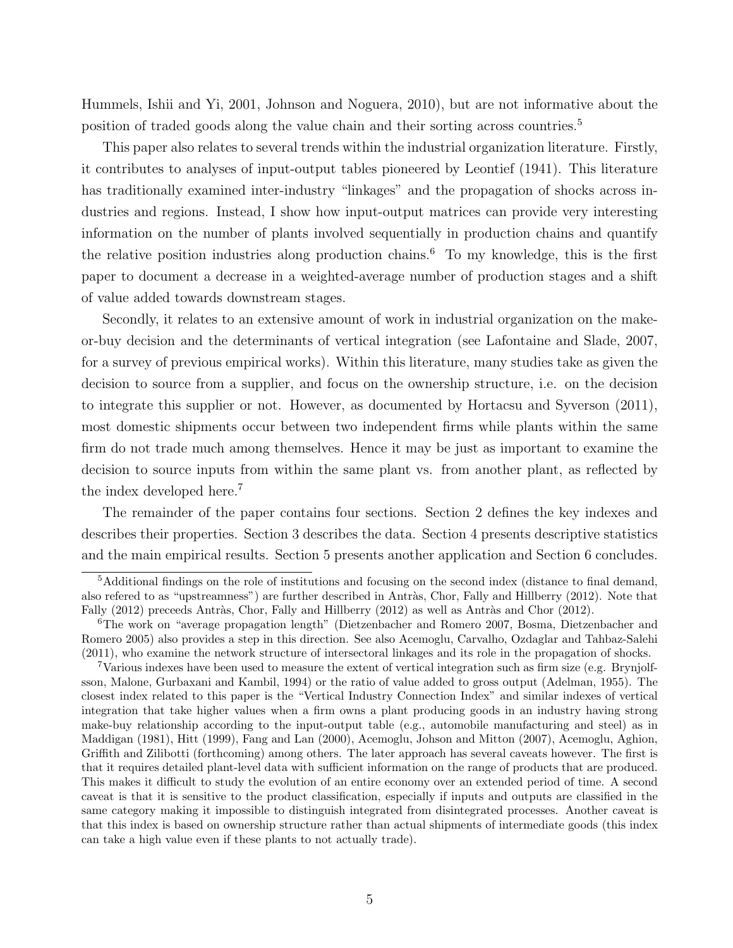Hummels, Ishii and Yi, 2001, Johnson and Noguera, 2010), but are not informative about the position of traded goods along the value chain and their sorting across countries.<sup>5</sup>

This paper also relates to several trends within the industrial organization literature. Firstly, it contributes to analyses of input-output tables pioneered by Leontief (1941). This literature has traditionally examined inter-industry "linkages" and the propagation of shocks across industries and regions. Instead, I show how input-output matrices can provide very interesting information on the number of plants involved sequentially in production chains and quantify the relative position industries along production chains.<sup>6</sup> To my knowledge, this is the first paper to document a decrease in a weighted-average number of production stages and a shift of value added towards downstream stages.

Secondly, it relates to an extensive amount of work in industrial organization on the makeor-buy decision and the determinants of vertical integration (see Lafontaine and Slade, 2007, for a survey of previous empirical works). Within this literature, many studies take as given the decision to source from a supplier, and focus on the ownership structure, i.e. on the decision to integrate this supplier or not. However, as documented by Hortacsu and Syverson (2011), most domestic shipments occur between two independent firms while plants within the same firm do not trade much among themselves. Hence it may be just as important to examine the decision to source inputs from within the same plant vs. from another plant, as reflected by the index developed here.<sup>7</sup>

The remainder of the paper contains four sections. Section 2 defines the key indexes and describes their properties. Section 3 describes the data. Section 4 presents descriptive statistics and the main empirical results. Section 5 presents another application and Section 6 concludes.

<sup>&</sup>lt;sup>5</sup>Additional findings on the role of institutions and focusing on the second index (distance to final demand, also refered to as "upstreamness") are further described in Antràs, Chor, Fally and Hillberry (2012). Note that Fally (2012) preceeds Antràs, Chor, Fally and Hillberry (2012) as well as Antràs and Chor (2012).

<sup>6</sup>The work on "average propagation length" (Dietzenbacher and Romero 2007, Bosma, Dietzenbacher and Romero 2005) also provides a step in this direction. See also Acemoglu, Carvalho, Ozdaglar and Tahbaz-Salehi (2011), who examine the network structure of intersectoral linkages and its role in the propagation of shocks.

<sup>7</sup>Various indexes have been used to measure the extent of vertical integration such as firm size (e.g. Brynjolfsson, Malone, Gurbaxani and Kambil, 1994) or the ratio of value added to gross output (Adelman, 1955). The closest index related to this paper is the "Vertical Industry Connection Index" and similar indexes of vertical integration that take higher values when a firm owns a plant producing goods in an industry having strong make-buy relationship according to the input-output table (e.g., automobile manufacturing and steel) as in Maddigan (1981), Hitt (1999), Fang and Lan (2000), Acemoglu, Johson and Mitton (2007), Acemoglu, Aghion, Griffith and Zilibotti (forthcoming) among others. The later approach has several caveats however. The first is that it requires detailed plant-level data with sufficient information on the range of products that are produced. This makes it difficult to study the evolution of an entire economy over an extended period of time. A second caveat is that it is sensitive to the product classification, especially if inputs and outputs are classified in the same category making it impossible to distinguish integrated from disintegrated processes. Another caveat is that this index is based on ownership structure rather than actual shipments of intermediate goods (this index can take a high value even if these plants to not actually trade).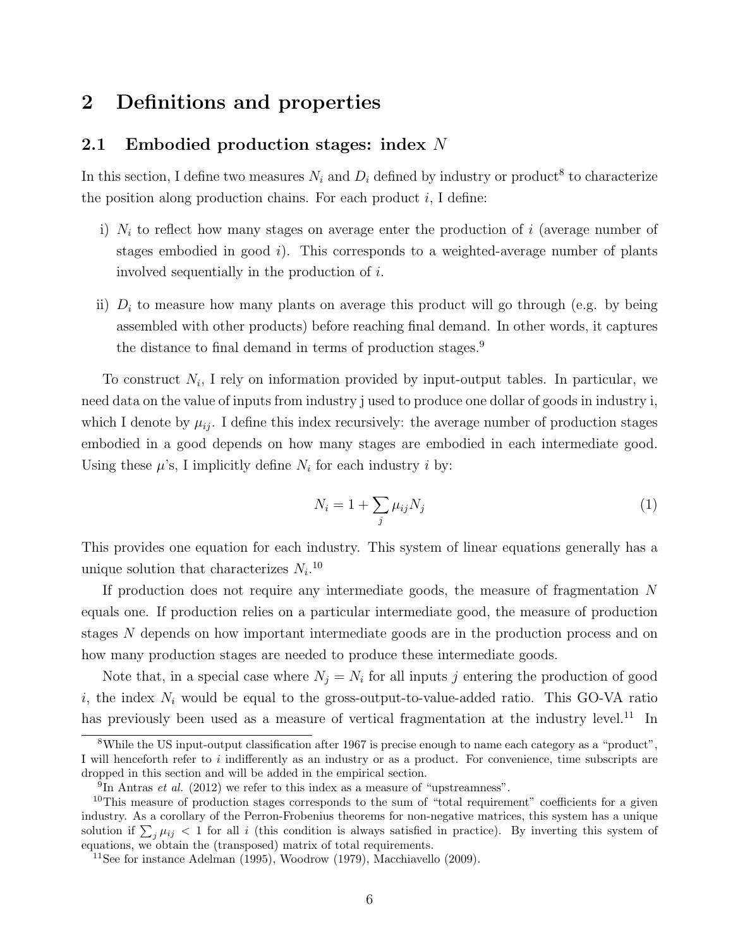# 2 Definitions and properties

## 2.1 Embodied production stages: index N

In this section, I define two measures  $N_i$  and  $D_i$  defined by industry or product<sup>8</sup> to characterize the position along production chains. For each product  $i$ , I define:

- i)  $N_i$  to reflect how many stages on average enter the production of i (average number of stages embodied in good  $i$ ). This corresponds to a weighted-average number of plants involved sequentially in the production of i.
- ii)  $D_i$  to measure how many plants on average this product will go through (e.g. by being assembled with other products) before reaching final demand. In other words, it captures the distance to final demand in terms of production stages.<sup>9</sup>

To construct  $N_i$ , I rely on information provided by input-output tables. In particular, we need data on the value of inputs from industry j used to produce one dollar of goods in industry i, which I denote by  $\mu_{ij}$ . I define this index recursively: the average number of production stages embodied in a good depends on how many stages are embodied in each intermediate good. Using these  $\mu$ 's, I implicitly define  $N_i$  for each industry i by:

$$
N_i = 1 + \sum_j \mu_{ij} N_j \tag{1}
$$

This provides one equation for each industry. This system of linear equations generally has a unique solution that characterizes  $N_i$ .<sup>10</sup>

If production does not require any intermediate goods, the measure of fragmentation N equals one. If production relies on a particular intermediate good, the measure of production stages N depends on how important intermediate goods are in the production process and on how many production stages are needed to produce these intermediate goods.

Note that, in a special case where  $N_j = N_i$  for all inputs j entering the production of good i, the index  $N_i$  would be equal to the gross-output-to-value-added ratio. This GO-VA ratio has previously been used as a measure of vertical fragmentation at the industry level.<sup>11</sup> In

<sup>8</sup>While the US input-output classification after 1967 is precise enough to name each category as a "product", I will henceforth refer to i indifferently as an industry or as a product. For convenience, time subscripts are dropped in this section and will be added in the empirical section.

 $^{9}$ In Antras *et al.* (2012) we refer to this index as a measure of "upstreamness".

<sup>&</sup>lt;sup>10</sup>This measure of production stages corresponds to the sum of "total requirement" coefficients for a given industry. As a corollary of the Perron-Frobenius theorems for non-negative matrices, this system has a unique solution if  $\sum_j \mu_{ij} < 1$  for all i (this condition is always satisfied in practice). By inverting this system of equations, we obtain the (transposed) matrix of total requirements.

<sup>&</sup>lt;sup>11</sup>See for instance Adelman (1995), Woodrow (1979), Macchiavello (2009).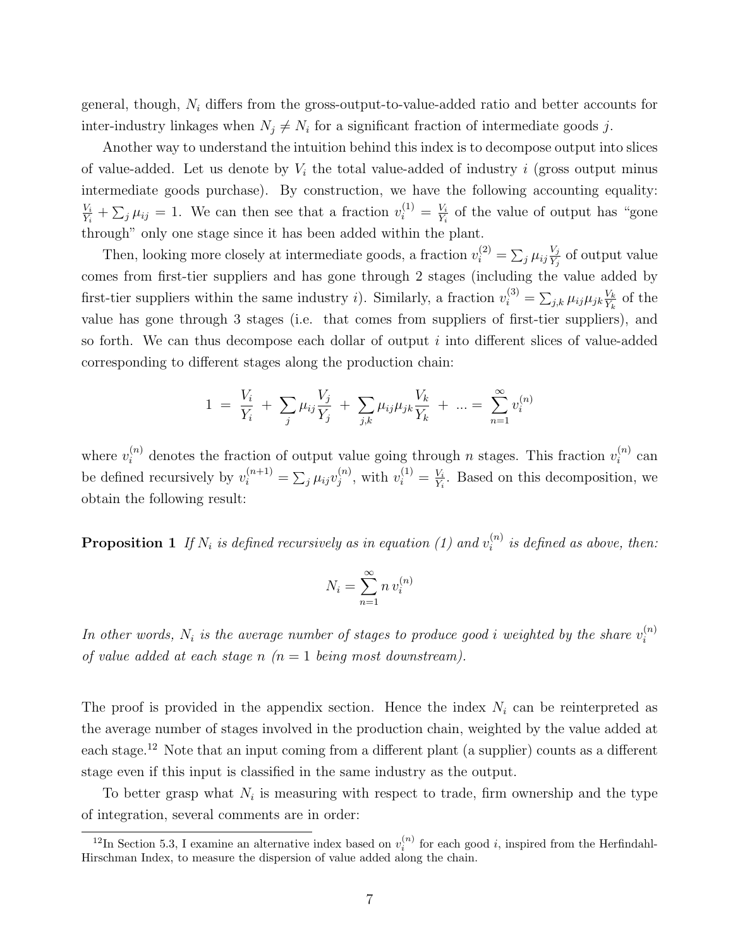general, though,  $N_i$  differs from the gross-output-to-value-added ratio and better accounts for inter-industry linkages when  $N_j \neq N_i$  for a significant fraction of intermediate goods j.

Another way to understand the intuition behind this index is to decompose output into slices of value-added. Let us denote by  $V_i$  the total value-added of industry i (gross output minus intermediate goods purchase). By construction, we have the following accounting equality:  $V_i$  $\frac{V_i}{Y_i} + \sum_j \mu_{ij} = 1$ . We can then see that a fraction  $v_i^{(1)} = \frac{V_i}{Y_i}$  $\frac{V_i}{Y_i}$  of the value of output has "gone" through" only one stage since it has been added within the plant.

Then, looking more closely at intermediate goods, a fraction  $v_i^{(2)} = \sum_j \mu_{ij} \frac{V_j}{Y_i}$  $\frac{V_j}{V_j}$  of output value comes from first-tier suppliers and has gone through 2 stages (including the value added by first-tier suppliers within the same industry *i*). Similarly, a fraction  $v_i^{(3)} = \sum_{j,k} \mu_{ij} \mu_{jk} \frac{V_k}{Y_k}$  $\frac{V_k}{Y_k}$  of the value has gone through 3 stages (i.e. that comes from suppliers of first-tier suppliers), and so forth. We can thus decompose each dollar of output  $i$  into different slices of value-added corresponding to different stages along the production chain:

$$
1 = \frac{V_i}{Y_i} + \sum_j \mu_{ij} \frac{V_j}{Y_j} + \sum_{j,k} \mu_{ij} \mu_{jk} \frac{V_k}{Y_k} + \dots = \sum_{n=1}^{\infty} v_i^{(n)}
$$

where  $v_i^{(n)}$  denotes the fraction of output value going through n stages. This fraction  $v_i^{(n)}$  $i^{(n)}$  can be defined recursively by  $v_i^{(n+1)} = \sum_j \mu_{ij} v_j^{(n)}$  $j^{(n)}$ , with  $v_i^{(1)} = \frac{V_i}{Y_i}$  $\frac{V_i}{Y_i}$ . Based on this decomposition, we obtain the following result:

**Proposition 1** If  $N_i$  is defined recursively as in equation (1) and  $v_i^{(n)}$  $i^{(n)}$  is defined as above, then:

$$
N_i = \sum_{n=1}^{\infty} n v_i^{(n)}
$$

In other words,  $N_i$  is the average number of stages to produce good i weighted by the share  $v_i^{(n)}$ i of value added at each stage n  $(n = 1$  being most downstream).

The proof is provided in the appendix section. Hence the index  $N_i$  can be reinterpreted as the average number of stages involved in the production chain, weighted by the value added at each stage.<sup>12</sup> Note that an input coming from a different plant (a supplier) counts as a different stage even if this input is classified in the same industry as the output.

To better grasp what  $N_i$  is measuring with respect to trade, firm ownership and the type of integration, several comments are in order:

<sup>&</sup>lt;sup>12</sup>In Section 5.3, I examine an alternative index based on  $v_i^{(n)}$  for each good *i*, inspired from the Herfindahl-Hirschman Index, to measure the dispersion of value added along the chain.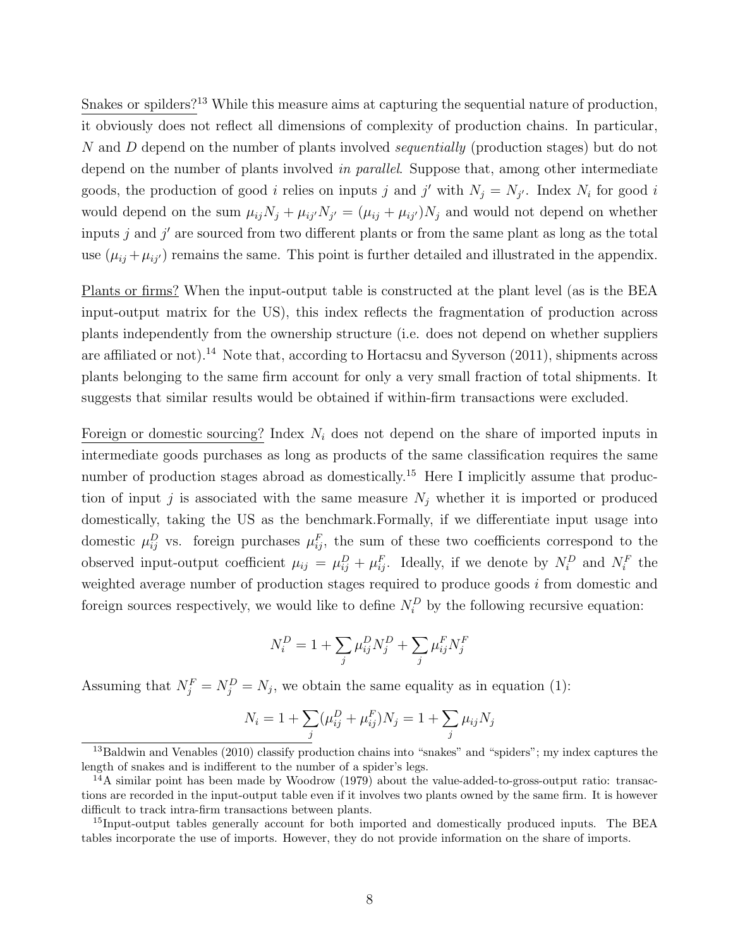Snakes or spilders?<sup>13</sup> While this measure aims at capturing the sequential nature of production, it obviously does not reflect all dimensions of complexity of production chains. In particular, N and D depend on the number of plants involved *sequentially* (production stages) but do not depend on the number of plants involved in parallel. Suppose that, among other intermediate goods, the production of good *i* relies on inputs *j* and *j'* with  $N_j = N_{j'}$ . Index  $N_i$  for good *i* would depend on the sum  $\mu_{ij}N_j + \mu_{ij'}N_{j'} = (\mu_{ij} + \mu_{ij'})N_j$  and would not depend on whether inputs  $j$  and  $j'$  are sourced from two different plants or from the same plant as long as the total use  $(\mu_{ij} + \mu_{ij})$  remains the same. This point is further detailed and illustrated in the appendix.

Plants or firms? When the input-output table is constructed at the plant level (as is the BEA input-output matrix for the US), this index reflects the fragmentation of production across plants independently from the ownership structure (i.e. does not depend on whether suppliers are affiliated or not).<sup>14</sup> Note that, according to Hortacsu and Syverson (2011), shipments across plants belonging to the same firm account for only a very small fraction of total shipments. It suggests that similar results would be obtained if within-firm transactions were excluded.

Foreign or domestic sourcing? Index  $N_i$  does not depend on the share of imported inputs in intermediate goods purchases as long as products of the same classification requires the same number of production stages abroad as domestically.<sup>15</sup> Here I implicitly assume that production of input j is associated with the same measure  $N_i$  whether it is imported or produced domestically, taking the US as the benchmark.Formally, if we differentiate input usage into domestic  $\mu_{ij}^D$  vs. foreign purchases  $\mu_{ij}^F$ , the sum of these two coefficients correspond to the observed input-output coefficient  $\mu_{ij} = \mu_{ij}^D + \mu_{ij}^F$ . Ideally, if we denote by  $N_i^D$  and  $N_i^F$  the weighted average number of production stages required to produce goods i from domestic and foreign sources respectively, we would like to define  $N_i^D$  by the following recursive equation:

$$
N_i^D=1+\sum_j \mu_{ij}^D N_j^D+\sum_j \mu_{ij}^F N_j^F
$$

Assuming that  $N_j^F = N_j^D = N_j$ , we obtain the same equality as in equation (1):

$$
N_i = 1 + \sum_j (\mu_{ij}^D + \mu_{ij}^F) N_j = 1 + \sum_j \mu_{ij} N_j
$$

 $^{13}$ Baldwin and Venables (2010) classify production chains into "snakes" and "spiders"; my index captures the length of snakes and is indifferent to the number of a spider's legs.

 $14A$  similar point has been made by Woodrow (1979) about the value-added-to-gross-output ratio: transactions are recorded in the input-output table even if it involves two plants owned by the same firm. It is however difficult to track intra-firm transactions between plants.

<sup>&</sup>lt;sup>15</sup>Input-output tables generally account for both imported and domestically produced inputs. The BEA tables incorporate the use of imports. However, they do not provide information on the share of imports.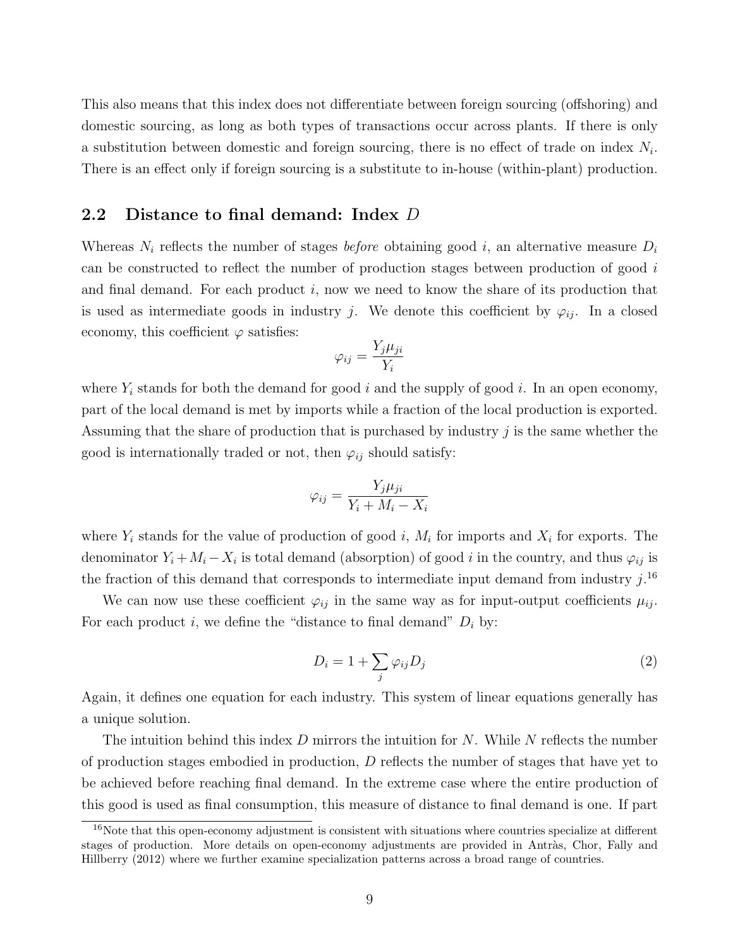This also means that this index does not differentiate between foreign sourcing (offshoring) and domestic sourcing, as long as both types of transactions occur across plants. If there is only a substitution between domestic and foreign sourcing, there is no effect of trade on index  $N_i$ . There is an effect only if foreign sourcing is a substitute to in-house (within-plant) production.

## 2.2 Distance to final demand: Index D

Whereas  $N_i$  reflects the number of stages *before* obtaining good i, an alternative measure  $D_i$ can be constructed to reflect the number of production stages between production of good i and final demand. For each product  $i$ , now we need to know the share of its production that is used as intermediate goods in industry j. We denote this coefficient by  $\varphi_{ij}$ . In a closed economy, this coefficient  $\varphi$  satisfies:

$$
\varphi_{ij} = \frac{Y_j \mu_{ji}}{Y_i}
$$

where  $Y_i$  stands for both the demand for good i and the supply of good i. In an open economy, part of the local demand is met by imports while a fraction of the local production is exported. Assuming that the share of production that is purchased by industry  $j$  is the same whether the good is internationally traded or not, then  $\varphi_{ij}$  should satisfy:

$$
\varphi_{ij} = \frac{Y_j \mu_{ji}}{Y_i + M_i - X_i}
$$

where  $Y_i$  stands for the value of production of good i,  $M_i$  for imports and  $X_i$  for exports. The denominator  $Y_i + M_i - X_i$  is total demand (absorption) of good i in the country, and thus  $\varphi_{ij}$  is the fraction of this demand that corresponds to intermediate input demand from industry  $j$ .<sup>16</sup>

We can now use these coefficient  $\varphi_{ij}$  in the same way as for input-output coefficients  $\mu_{ij}$ . For each product i, we define the "distance to final demand"  $D_i$  by:

$$
D_i = 1 + \sum_j \varphi_{ij} D_j \tag{2}
$$

Again, it defines one equation for each industry. This system of linear equations generally has a unique solution.

The intuition behind this index  $D$  mirrors the intuition for  $N$ . While  $N$  reflects the number of production stages embodied in production,  $D$  reflects the number of stages that have yet to be achieved before reaching final demand. In the extreme case where the entire production of this good is used as final consumption, this measure of distance to final demand is one. If part

<sup>16</sup>Note that this open-economy adjustment is consistent with situations where countries specialize at different stages of production. More details on open-economy adjustments are provided in Antràs, Chor, Fally and Hillberry (2012) where we further examine specialization patterns across a broad range of countries.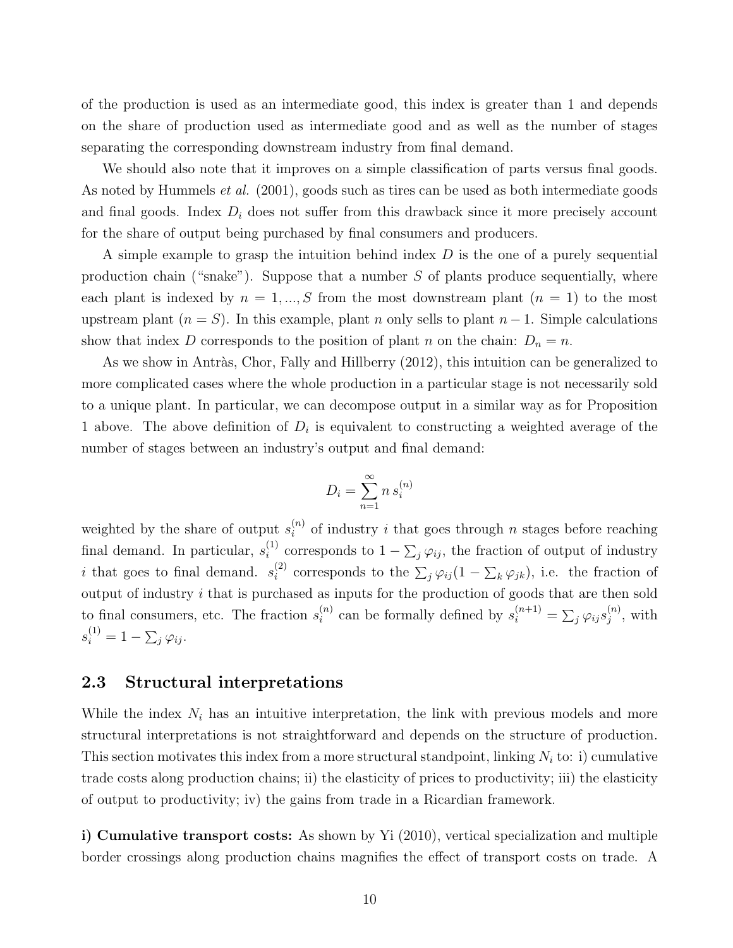of the production is used as an intermediate good, this index is greater than 1 and depends on the share of production used as intermediate good and as well as the number of stages separating the corresponding downstream industry from final demand.

We should also note that it improves on a simple classification of parts versus final goods. As noted by Hummels *et al.* (2001), goods such as tires can be used as both intermediate goods and final goods. Index  $D_i$  does not suffer from this drawback since it more precisely account for the share of output being purchased by final consumers and producers.

A simple example to grasp the intuition behind index  $D$  is the one of a purely sequential production chain ("snake"). Suppose that a number  $S$  of plants produce sequentially, where each plant is indexed by  $n = 1, ..., S$  from the most downstream plant  $(n = 1)$  to the most upstream plant  $(n = S)$ . In this example, plant n only sells to plant  $n - 1$ . Simple calculations show that index D corresponds to the position of plant n on the chain:  $D_n = n$ .

As we show in Antràs, Chor, Fally and Hillberry (2012), this intuition can be generalized to more complicated cases where the whole production in a particular stage is not necessarily sold to a unique plant. In particular, we can decompose output in a similar way as for Proposition 1 above. The above definition of  $D_i$  is equivalent to constructing a weighted average of the number of stages between an industry's output and final demand:

$$
D_i = \sum_{n=1}^{\infty} n s_i^{(n)}
$$

weighted by the share of output  $s_i^{(n)}$  of industry i that goes through n stages before reaching final demand. In particular,  $s_i^{(1)}$  $i^{(1)}$  corresponds to  $1 - \sum_j \varphi_{ij}$ , the fraction of output of industry i that goes to final demand.  $s_i^{(2)}$ <sup>(2)</sup> corresponds to the  $\sum_j \varphi_{ij} (1 - \sum_k \varphi_{jk})$ , i.e. the fraction of output of industry  $i$  that is purchased as inputs for the production of goods that are then sold to final consumers, etc. The fraction  $s_i^{(n)}$  $s_i^{(n)}$  can be formally defined by  $s_i^{(n+1)} = \sum_j \varphi_{ij} s_j^{(n)}$  $j^{(n)},$  with  $s_i^{(1)} = 1 - \sum_j \varphi_{ij}.$ 

## 2.3 Structural interpretations

While the index  $N_i$  has an intuitive interpretation, the link with previous models and more structural interpretations is not straightforward and depends on the structure of production. This section motivates this index from a more structural standpoint, linking  $N_i$  to: i) cumulative trade costs along production chains; ii) the elasticity of prices to productivity; iii) the elasticity of output to productivity; iv) the gains from trade in a Ricardian framework.

i) Cumulative transport costs: As shown by Yi (2010), vertical specialization and multiple border crossings along production chains magnifies the effect of transport costs on trade. A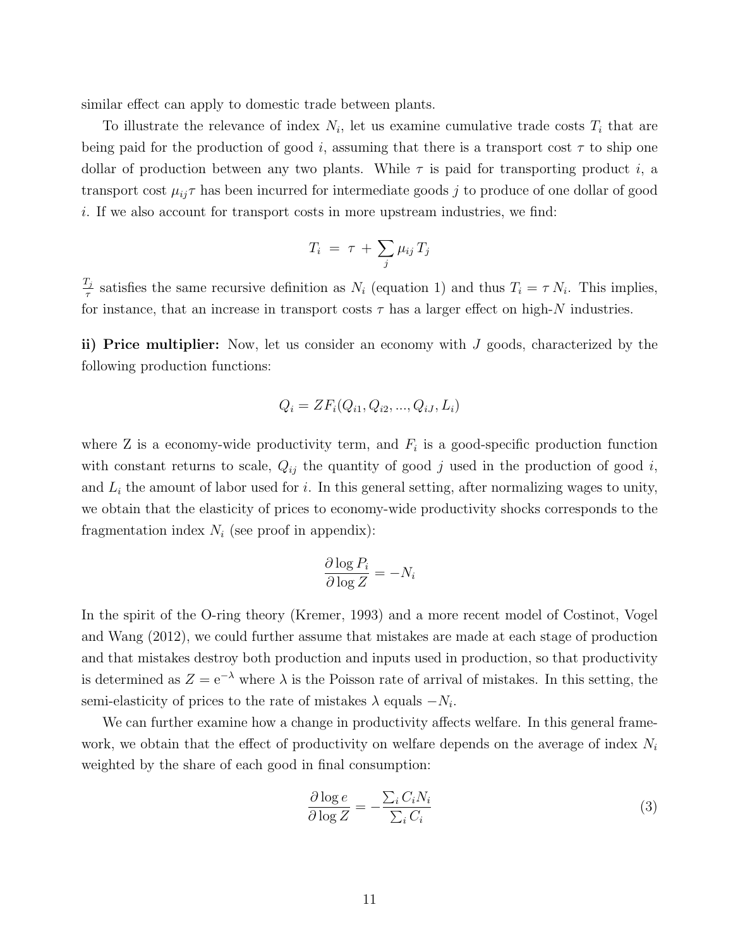similar effect can apply to domestic trade between plants.

To illustrate the relevance of index  $N_i$ , let us examine cumulative trade costs  $T_i$  that are being paid for the production of good i, assuming that there is a transport cost  $\tau$  to ship one dollar of production between any two plants. While  $\tau$  is paid for transporting product i, a transport cost  $\mu_{ij}\tau$  has been incurred for intermediate goods j to produce of one dollar of good i. If we also account for transport costs in more upstream industries, we find:

$$
T_i = \tau + \sum_j \mu_{ij} T_j
$$

 $T_j$  $T_{\tau}$  satisfies the same recursive definition as  $N_i$  (equation 1) and thus  $T_i = \tau N_i$ . This implies, for instance, that an increase in transport costs  $\tau$  has a larger effect on high-N industries.

ii) Price multiplier: Now, let us consider an economy with  $J$  goods, characterized by the following production functions:

$$
Q_i = ZF_i(Q_{i1}, Q_{i2}, ..., Q_{iJ}, L_i)
$$

where Z is a economy-wide productivity term, and  $F_i$  is a good-specific production function with constant returns to scale,  $Q_{ij}$  the quantity of good j used in the production of good i, and  $L_i$  the amount of labor used for i. In this general setting, after normalizing wages to unity, we obtain that the elasticity of prices to economy-wide productivity shocks corresponds to the fragmentation index  $N_i$  (see proof in appendix):

$$
\frac{\partial \log P_i}{\partial \log Z} = -N_i
$$

In the spirit of the O-ring theory (Kremer, 1993) and a more recent model of Costinot, Vogel and Wang (2012), we could further assume that mistakes are made at each stage of production and that mistakes destroy both production and inputs used in production, so that productivity is determined as  $Z = e^{-\lambda}$  where  $\lambda$  is the Poisson rate of arrival of mistakes. In this setting, the semi-elasticity of prices to the rate of mistakes  $\lambda$  equals  $-N_i$ .

We can further examine how a change in productivity affects welfare. In this general framework, we obtain that the effect of productivity on welfare depends on the average of index  $N_i$ weighted by the share of each good in final consumption:

$$
\frac{\partial \log e}{\partial \log Z} = -\frac{\sum_{i} C_{i} N_{i}}{\sum_{i} C_{i}} \tag{3}
$$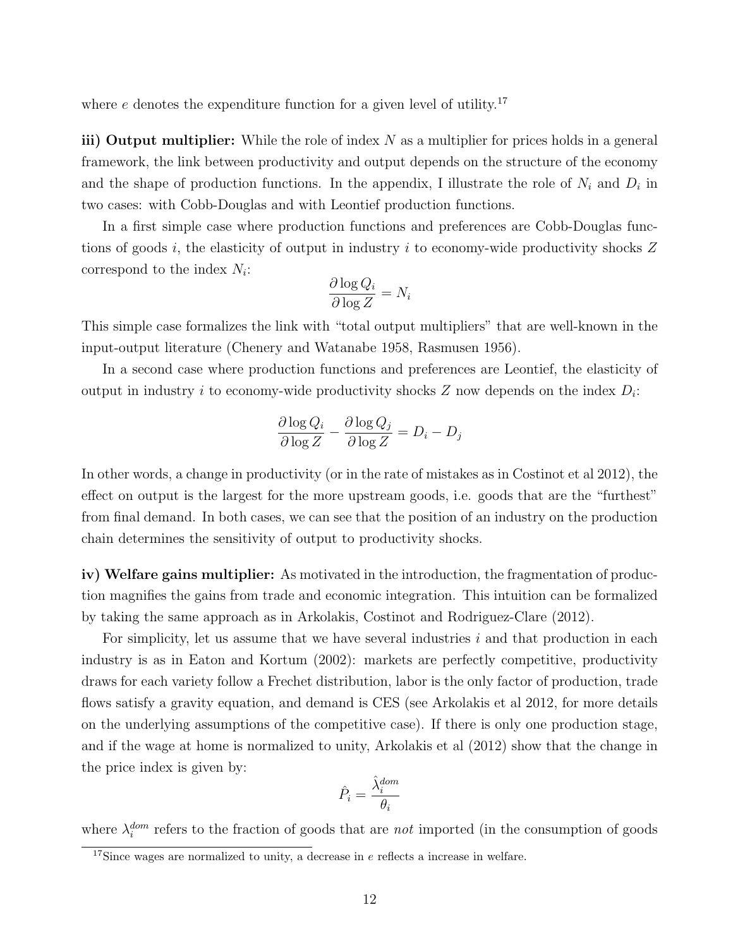where  $e$  denotes the expenditure function for a given level of utility.<sup>17</sup>

iii) Output multiplier: While the role of index  $N$  as a multiplier for prices holds in a general framework, the link between productivity and output depends on the structure of the economy and the shape of production functions. In the appendix, I illustrate the role of  $N_i$  and  $D_i$  in two cases: with Cobb-Douglas and with Leontief production functions.

In a first simple case where production functions and preferences are Cobb-Douglas functions of goods i, the elasticity of output in industry i to economy-wide productivity shocks  $Z$ correspond to the index  $N_i$ :

$$
\frac{\partial \log Q_i}{\partial \log Z} = N_i
$$

This simple case formalizes the link with "total output multipliers" that are well-known in the input-output literature (Chenery and Watanabe 1958, Rasmusen 1956).

In a second case where production functions and preferences are Leontief, the elasticity of output in industry *i* to economy-wide productivity shocks  $Z$  now depends on the index  $D_i$ :

$$
\frac{\partial \log Q_i}{\partial \log Z} - \frac{\partial \log Q_j}{\partial \log Z} = D_i - D_j
$$

In other words, a change in productivity (or in the rate of mistakes as in Costinot et al 2012), the effect on output is the largest for the more upstream goods, i.e. goods that are the "furthest" from final demand. In both cases, we can see that the position of an industry on the production chain determines the sensitivity of output to productivity shocks.

iv) Welfare gains multiplier: As motivated in the introduction, the fragmentation of production magnifies the gains from trade and economic integration. This intuition can be formalized by taking the same approach as in Arkolakis, Costinot and Rodriguez-Clare (2012).

For simplicity, let us assume that we have several industries  $i$  and that production in each industry is as in Eaton and Kortum (2002): markets are perfectly competitive, productivity draws for each variety follow a Frechet distribution, labor is the only factor of production, trade flows satisfy a gravity equation, and demand is CES (see Arkolakis et al 2012, for more details on the underlying assumptions of the competitive case). If there is only one production stage, and if the wage at home is normalized to unity, Arkolakis et al (2012) show that the change in the price index is given by:

$$
\hat{P}_i = \frac{\hat{\lambda}_i^{dom}}{\theta_i}
$$

where  $\lambda_i^{dom}$  refers to the fraction of goods that are *not* imported (in the consumption of goods

 $17$ Since wages are normalized to unity, a decrease in  $e$  reflects a increase in welfare.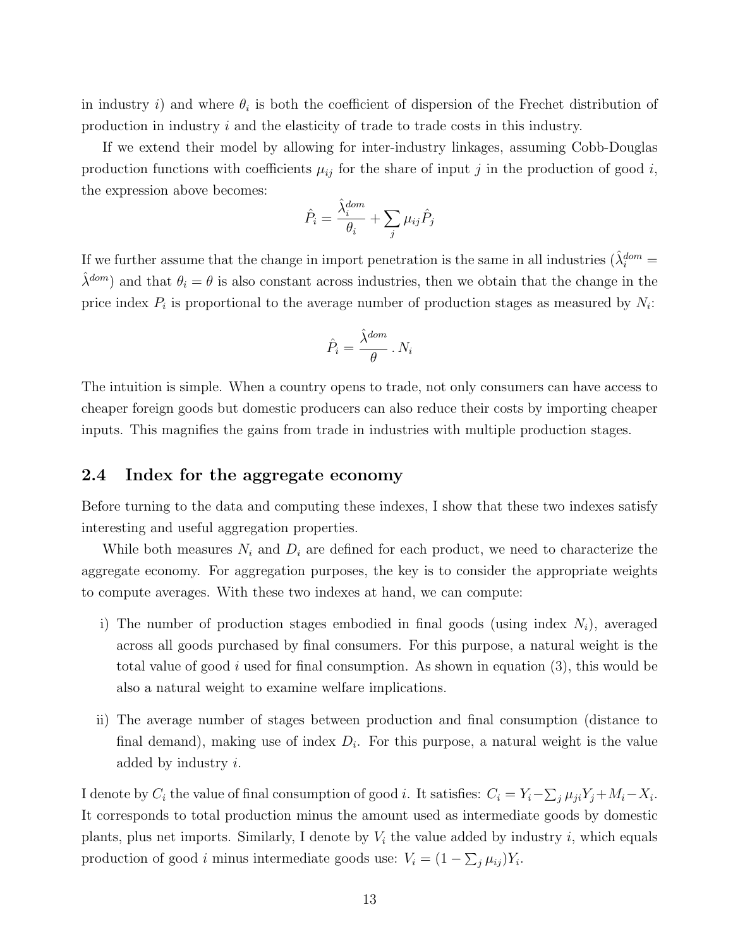in industry i) and where  $\theta_i$  is both the coefficient of dispersion of the Frechet distribution of production in industry  $i$  and the elasticity of trade to trade costs in this industry.

If we extend their model by allowing for inter-industry linkages, assuming Cobb-Douglas production functions with coefficients  $\mu_{ij}$  for the share of input j in the production of good i, the expression above becomes:

$$
\hat{P}_i = \frac{\hat{\lambda}_i^{dom}}{\theta_i} + \sum_j \mu_{ij} \hat{P}_j
$$

If we further assume that the change in import penetration is the same in all industries  $(\hat{\lambda}_i^{dom} =$  $\lambda^{dom}$ ) and that  $\theta_i = \theta$  is also constant across industries, then we obtain that the change in the price index  $P_i$  is proportional to the average number of production stages as measured by  $N_i$ :

$$
\hat{P}_i = \frac{\hat{\lambda}^{dom}}{\theta} \cdot N_i
$$

The intuition is simple. When a country opens to trade, not only consumers can have access to cheaper foreign goods but domestic producers can also reduce their costs by importing cheaper inputs. This magnifies the gains from trade in industries with multiple production stages.

## 2.4 Index for the aggregate economy

Before turning to the data and computing these indexes, I show that these two indexes satisfy interesting and useful aggregation properties.

While both measures  $N_i$  and  $D_i$  are defined for each product, we need to characterize the aggregate economy. For aggregation purposes, the key is to consider the appropriate weights to compute averages. With these two indexes at hand, we can compute:

- i) The number of production stages embodied in final goods (using index  $N_i$ ), averaged across all goods purchased by final consumers. For this purpose, a natural weight is the total value of good i used for final consumption. As shown in equation  $(3)$ , this would be also a natural weight to examine welfare implications.
- ii) The average number of stages between production and final consumption (distance to final demand), making use of index  $D_i$ . For this purpose, a natural weight is the value added by industry i.

I denote by  $C_i$  the value of final consumption of good *i*. It satisfies:  $C_i = Y_i - \sum_j \mu_{ji} Y_j + M_i - X_i$ . It corresponds to total production minus the amount used as intermediate goods by domestic plants, plus net imports. Similarly, I denote by  $V_i$  the value added by industry i, which equals production of good *i* minus intermediate goods use:  $V_i = (1 - \sum_j \mu_{ij})Y_i$ .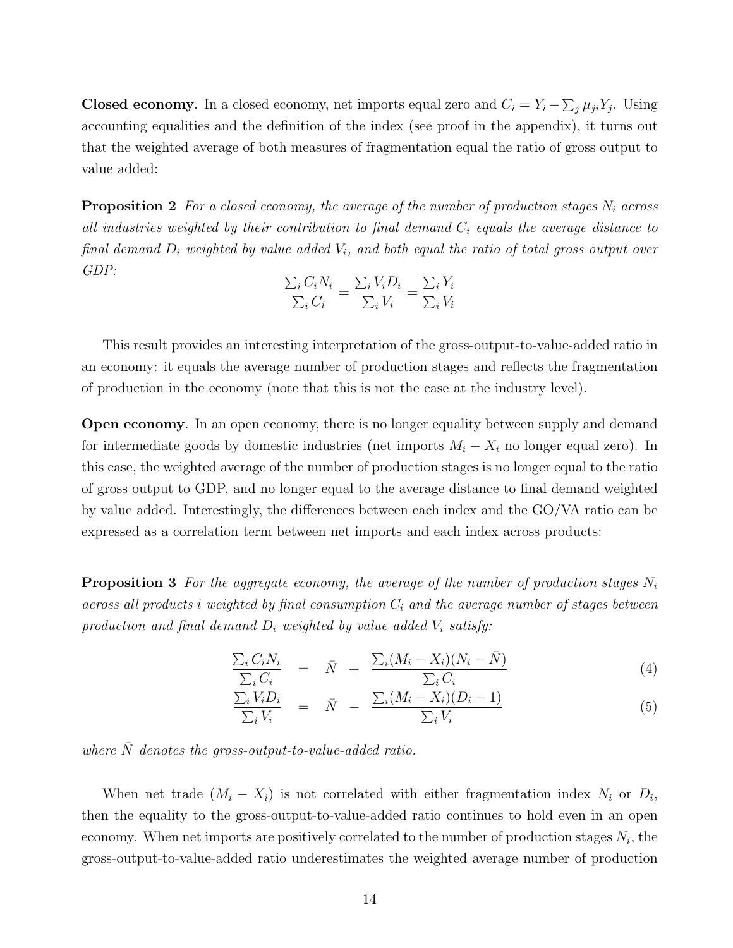**Closed economy**. In a closed economy, net imports equal zero and  $C_i = Y_i - \sum_j \mu_{ji} Y_j$ . Using accounting equalities and the definition of the index (see proof in the appendix), it turns out that the weighted average of both measures of fragmentation equal the ratio of gross output to value added:

**Proposition 2** For a closed economy, the average of the number of production stages  $N_i$  across all industries weighted by their contribution to final demand  $C_i$  equals the average distance to final demand  $D_i$  weighted by value added  $V_i$ , and both equal the ratio of total gross output over GDP:

$$
\frac{\sum_{i} C_{i} N_{i}}{\sum_{i} C_{i}} = \frac{\sum_{i} V_{i} D_{i}}{\sum_{i} V_{i}} = \frac{\sum_{i} Y_{i}}{\sum_{i} V_{i}}
$$

This result provides an interesting interpretation of the gross-output-to-value-added ratio in an economy: it equals the average number of production stages and reflects the fragmentation of production in the economy (note that this is not the case at the industry level).

Open economy. In an open economy, there is no longer equality between supply and demand for intermediate goods by domestic industries (net imports  $M_i - X_i$  no longer equal zero). In this case, the weighted average of the number of production stages is no longer equal to the ratio of gross output to GDP, and no longer equal to the average distance to final demand weighted by value added. Interestingly, the differences between each index and the GO/VA ratio can be expressed as a correlation term between net imports and each index across products:

**Proposition 3** For the aggregate economy, the average of the number of production stages  $N_i$ across all products i weighted by final consumption  $C_i$  and the average number of stages between production and final demand  $D_i$  weighted by value added  $V_i$  satisfy:

$$
\frac{\sum_{i} C_{i} N_{i}}{\sum_{i} C_{i}} = \bar{N} + \frac{\sum_{i} (M_{i} - X_{i}) (N_{i} - \bar{N})}{\sum_{i} C_{i}} \tag{4}
$$

$$
\frac{\sum_{i} V_{i} D_{i}}{\sum_{i} V_{i}} = \bar{N} - \frac{\sum_{i} (M_{i} - X_{i})(D_{i} - 1)}{\sum_{i} V_{i}}
$$
\n(5)

where  $\overline{N}$  denotes the gross-output-to-value-added ratio.

When net trade  $(M_i - X_i)$  is not correlated with either fragmentation index  $N_i$  or  $D_i$ , then the equality to the gross-output-to-value-added ratio continues to hold even in an open economy. When net imports are positively correlated to the number of production stages  $N_i$ , the gross-output-to-value-added ratio underestimates the weighted average number of production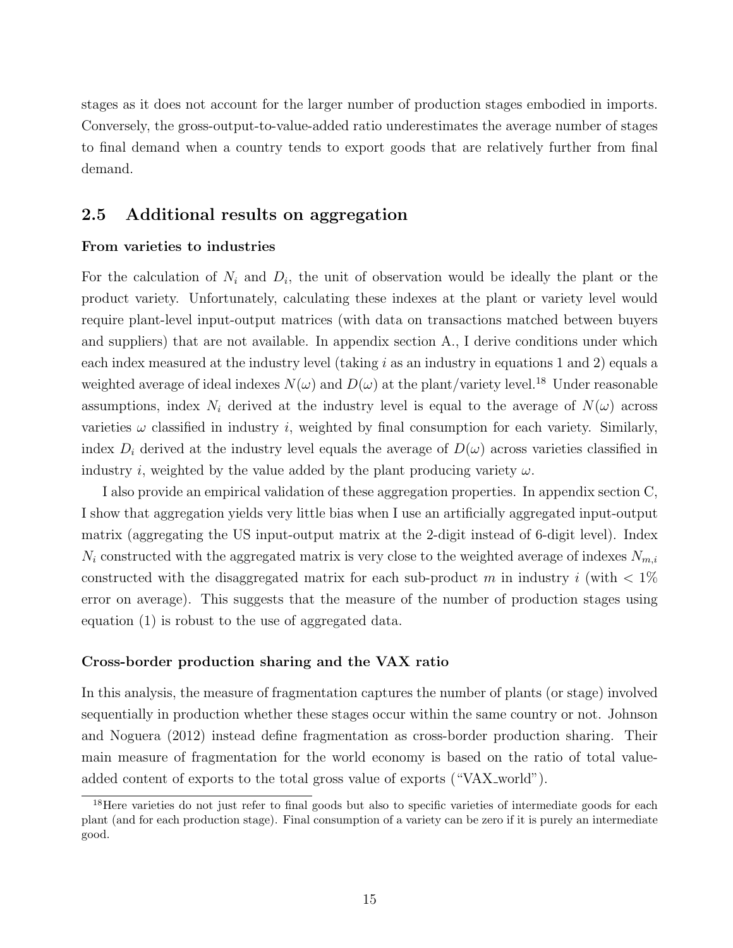stages as it does not account for the larger number of production stages embodied in imports. Conversely, the gross-output-to-value-added ratio underestimates the average number of stages to final demand when a country tends to export goods that are relatively further from final demand.

## 2.5 Additional results on aggregation

### From varieties to industries

For the calculation of  $N_i$  and  $D_i$ , the unit of observation would be ideally the plant or the product variety. Unfortunately, calculating these indexes at the plant or variety level would require plant-level input-output matrices (with data on transactions matched between buyers and suppliers) that are not available. In appendix section A., I derive conditions under which each index measured at the industry level (taking  $i$  as an industry in equations 1 and 2) equals a weighted average of ideal indexes  $N(\omega)$  and  $D(\omega)$  at the plant/variety level.<sup>18</sup> Under reasonable assumptions, index  $N_i$  derived at the industry level is equal to the average of  $N(\omega)$  across varieties  $\omega$  classified in industry *i*, weighted by final consumption for each variety. Similarly, index  $D_i$  derived at the industry level equals the average of  $D(\omega)$  across varieties classified in industry i, weighted by the value added by the plant producing variety  $\omega$ .

I also provide an empirical validation of these aggregation properties. In appendix section C, I show that aggregation yields very little bias when I use an artificially aggregated input-output matrix (aggregating the US input-output matrix at the 2-digit instead of 6-digit level). Index  $N_i$  constructed with the aggregated matrix is very close to the weighted average of indexes  $N_{m,i}$ constructed with the disaggregated matrix for each sub-product m in industry i (with  $\langle 1\% \rangle$ error on average). This suggests that the measure of the number of production stages using equation (1) is robust to the use of aggregated data.

### Cross-border production sharing and the VAX ratio

In this analysis, the measure of fragmentation captures the number of plants (or stage) involved sequentially in production whether these stages occur within the same country or not. Johnson and Noguera (2012) instead define fragmentation as cross-border production sharing. Their main measure of fragmentation for the world economy is based on the ratio of total valueadded content of exports to the total gross value of exports ("VAX\_world").

<sup>&</sup>lt;sup>18</sup>Here varieties do not just refer to final goods but also to specific varieties of intermediate goods for each plant (and for each production stage). Final consumption of a variety can be zero if it is purely an intermediate good.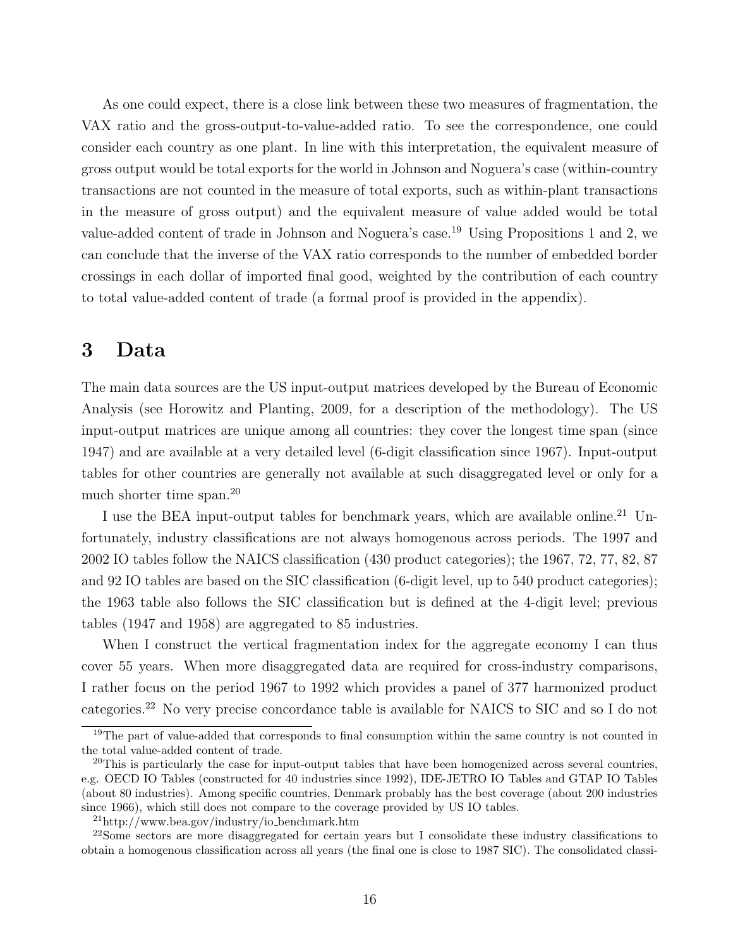As one could expect, there is a close link between these two measures of fragmentation, the VAX ratio and the gross-output-to-value-added ratio. To see the correspondence, one could consider each country as one plant. In line with this interpretation, the equivalent measure of gross output would be total exports for the world in Johnson and Noguera's case (within-country transactions are not counted in the measure of total exports, such as within-plant transactions in the measure of gross output) and the equivalent measure of value added would be total value-added content of trade in Johnson and Noguera's case.<sup>19</sup> Using Propositions 1 and 2, we can conclude that the inverse of the VAX ratio corresponds to the number of embedded border crossings in each dollar of imported final good, weighted by the contribution of each country to total value-added content of trade (a formal proof is provided in the appendix).

# 3 Data

The main data sources are the US input-output matrices developed by the Bureau of Economic Analysis (see Horowitz and Planting, 2009, for a description of the methodology). The US input-output matrices are unique among all countries: they cover the longest time span (since 1947) and are available at a very detailed level (6-digit classification since 1967). Input-output tables for other countries are generally not available at such disaggregated level or only for a much shorter time span.<sup>20</sup>

I use the BEA input-output tables for benchmark years, which are available online.<sup>21</sup> Unfortunately, industry classifications are not always homogenous across periods. The 1997 and 2002 IO tables follow the NAICS classification (430 product categories); the 1967, 72, 77, 82, 87 and 92 IO tables are based on the SIC classification (6-digit level, up to 540 product categories); the 1963 table also follows the SIC classification but is defined at the 4-digit level; previous tables (1947 and 1958) are aggregated to 85 industries.

When I construct the vertical fragmentation index for the aggregate economy I can thus cover 55 years. When more disaggregated data are required for cross-industry comparisons, I rather focus on the period 1967 to 1992 which provides a panel of 377 harmonized product categories.<sup>22</sup> No very precise concordance table is available for NAICS to SIC and so I do not

<sup>&</sup>lt;sup>19</sup>The part of value-added that corresponds to final consumption within the same country is not counted in the total value-added content of trade.

 $^{20}$ This is particularly the case for input-output tables that have been homogenized across several countries, e.g. OECD IO Tables (constructed for 40 industries since 1992), IDE-JETRO IO Tables and GTAP IO Tables (about 80 industries). Among specific countries, Denmark probably has the best coverage (about 200 industries since 1966), which still does not compare to the coverage provided by US IO tables.

 $^{21}$ http://www.bea.gov/industry/io\_benchmark.htm

<sup>22</sup>Some sectors are more disaggregated for certain years but I consolidate these industry classifications to obtain a homogenous classification across all years (the final one is close to 1987 SIC). The consolidated classi-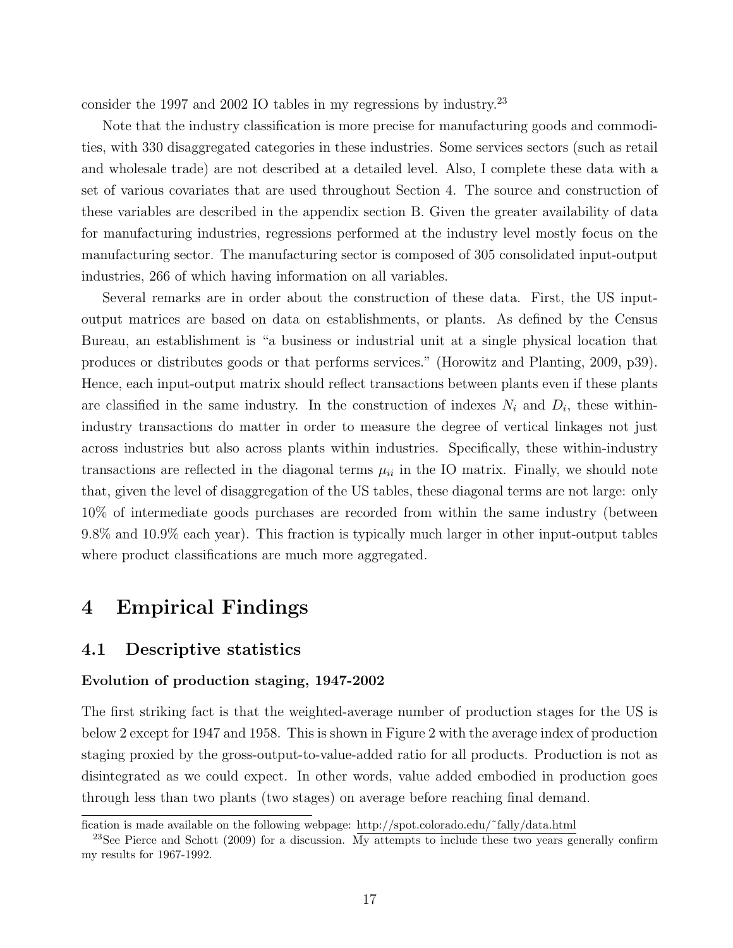consider the 1997 and 2002 IO tables in my regressions by industry.<sup>23</sup>

Note that the industry classification is more precise for manufacturing goods and commodities, with 330 disaggregated categories in these industries. Some services sectors (such as retail and wholesale trade) are not described at a detailed level. Also, I complete these data with a set of various covariates that are used throughout Section 4. The source and construction of these variables are described in the appendix section B. Given the greater availability of data for manufacturing industries, regressions performed at the industry level mostly focus on the manufacturing sector. The manufacturing sector is composed of 305 consolidated input-output industries, 266 of which having information on all variables.

Several remarks are in order about the construction of these data. First, the US inputoutput matrices are based on data on establishments, or plants. As defined by the Census Bureau, an establishment is "a business or industrial unit at a single physical location that produces or distributes goods or that performs services." (Horowitz and Planting, 2009, p39). Hence, each input-output matrix should reflect transactions between plants even if these plants are classified in the same industry. In the construction of indexes  $N_i$  and  $D_i$ , these withinindustry transactions do matter in order to measure the degree of vertical linkages not just across industries but also across plants within industries. Specifically, these within-industry transactions are reflected in the diagonal terms  $\mu_{ii}$  in the IO matrix. Finally, we should note that, given the level of disaggregation of the US tables, these diagonal terms are not large: only 10% of intermediate goods purchases are recorded from within the same industry (between 9.8% and 10.9% each year). This fraction is typically much larger in other input-output tables where product classifications are much more aggregated.

# 4 Empirical Findings

### 4.1 Descriptive statistics

### Evolution of production staging, 1947-2002

The first striking fact is that the weighted-average number of production stages for the US is below 2 except for 1947 and 1958. This is shown in Figure 2 with the average index of production staging proxied by the gross-output-to-value-added ratio for all products. Production is not as disintegrated as we could expect. In other words, value added embodied in production goes through less than two plants (two stages) on average before reaching final demand.

fication is made available on the following webpage: http://spot.colorado.edu/˜fally/data.html

<sup>&</sup>lt;sup>23</sup>See Pierce and Schott (2009) for a discussion. My attempts to include these two years generally confirm my results for 1967-1992.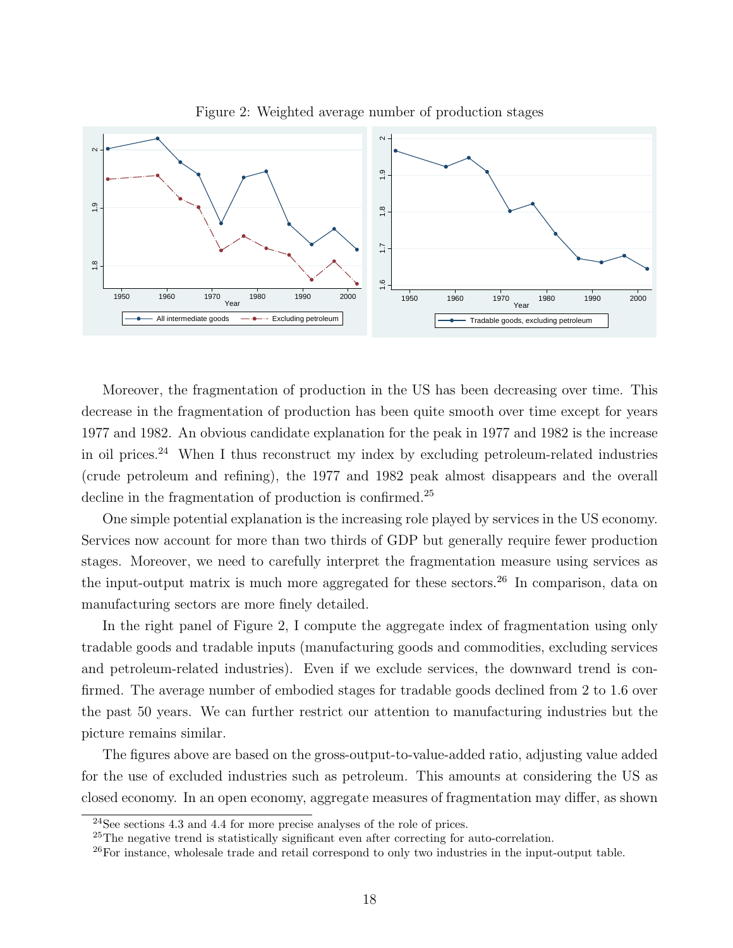

Figure 2: Weighted average number of production stages

Moreover, the fragmentation of production in the US has been decreasing over time. This decrease in the fragmentation of production has been quite smooth over time except for years 1977 and 1982. An obvious candidate explanation for the peak in 1977 and 1982 is the increase in oil prices.<sup>24</sup> When I thus reconstruct my index by excluding petroleum-related industries (crude petroleum and refining), the 1977 and 1982 peak almost disappears and the overall decline in the fragmentation of production is confirmed.<sup>25</sup>

One simple potential explanation is the increasing role played by services in the US economy. Services now account for more than two thirds of GDP but generally require fewer production stages. Moreover, we need to carefully interpret the fragmentation measure using services as the input-output matrix is much more aggregated for these sectors.<sup>26</sup> In comparison, data on manufacturing sectors are more finely detailed.

In the right panel of Figure 2, I compute the aggregate index of fragmentation using only tradable goods and tradable inputs (manufacturing goods and commodities, excluding services and petroleum-related industries). Even if we exclude services, the downward trend is confirmed. The average number of embodied stages for tradable goods declined from 2 to 1.6 over the past 50 years. We can further restrict our attention to manufacturing industries but the picture remains similar.

The figures above are based on the gross-output-to-value-added ratio, adjusting value added for the use of excluded industries such as petroleum. This amounts at considering the US as closed economy. In an open economy, aggregate measures of fragmentation may differ, as shown

 $24$ See sections 4.3 and 4.4 for more precise analyses of the role of prices.

<sup>25</sup>The negative trend is statistically significant even after correcting for auto-correlation.

<sup>&</sup>lt;sup>26</sup>For instance, wholesale trade and retail correspond to only two industries in the input-output table.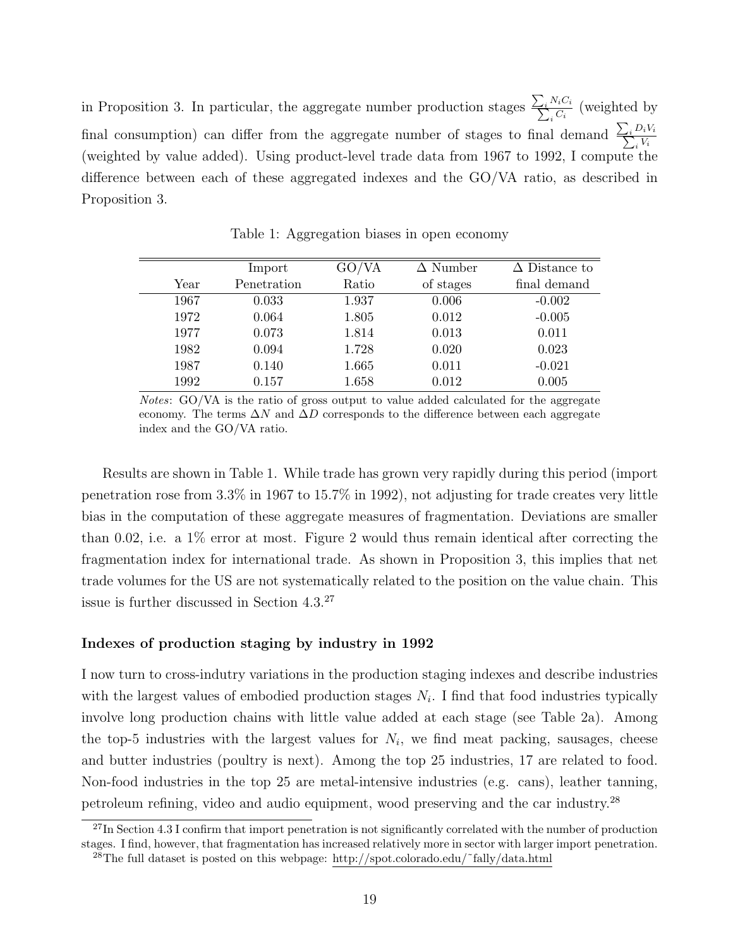in Proposition 3. In particular, the aggregate number production stages  $\frac{\sum_i N_i C_i}{\sum_i C_i}$  $\frac{N_i C_i}{C_i}$  (weighted by final consumption) can differ from the aggregate number of stages to final demand  $\frac{\sum_i D_i V_i}{\sum_i V_i}$ i Vi (weighted by value added). Using product-level trade data from 1967 to 1992, I compute the difference between each of these aggregated indexes and the GO/VA ratio, as described in Proposition 3.

|      | Import      | GO/VA | $\Delta$ Number | $\Delta$ Distance to |
|------|-------------|-------|-----------------|----------------------|
| Year | Penetration | Ratio | of stages       | final demand         |
| 1967 | 0.033       | 1.937 | 0.006           | $-0.002$             |
| 1972 | 0.064       | 1.805 | 0.012           | $-0.005$             |
| 1977 | 0.073       | 1.814 | 0.013           | 0.011                |
| 1982 | 0.094       | 1.728 | 0.020           | 0.023                |
| 1987 | 0.140       | 1.665 | 0.011           | $-0.021$             |
| 1992 | 0.157       | 1.658 | 0.012           | 0.005                |

Table 1: Aggregation biases in open economy

Notes: GO/VA is the ratio of gross output to value added calculated for the aggregate economy. The terms  $\Delta N$  and  $\Delta D$  corresponds to the difference between each aggregate index and the GO/VA ratio.

Results are shown in Table 1. While trade has grown very rapidly during this period (import penetration rose from 3.3% in 1967 to 15.7% in 1992), not adjusting for trade creates very little bias in the computation of these aggregate measures of fragmentation. Deviations are smaller than 0.02, i.e. a  $1\%$  error at most. Figure 2 would thus remain identical after correcting the fragmentation index for international trade. As shown in Proposition 3, this implies that net trade volumes for the US are not systematically related to the position on the value chain. This issue is further discussed in Section 4.3.<sup>27</sup>

### Indexes of production staging by industry in 1992

I now turn to cross-indutry variations in the production staging indexes and describe industries with the largest values of embodied production stages  $N_i$ . I find that food industries typically involve long production chains with little value added at each stage (see Table 2a). Among the top-5 industries with the largest values for  $N_i$ , we find meat packing, sausages, cheese and butter industries (poultry is next). Among the top 25 industries, 17 are related to food. Non-food industries in the top 25 are metal-intensive industries (e.g. cans), leather tanning, petroleum refining, video and audio equipment, wood preserving and the car industry.<sup>28</sup>

 $^{27}$ In Section 4.3 I confirm that import penetration is not significantly correlated with the number of production stages. I find, however, that fragmentation has increased relatively more in sector with larger import penetration.  $^{28}$ The full dataset is posted on this webpage: http://spot.colorado.edu/~fally/data.html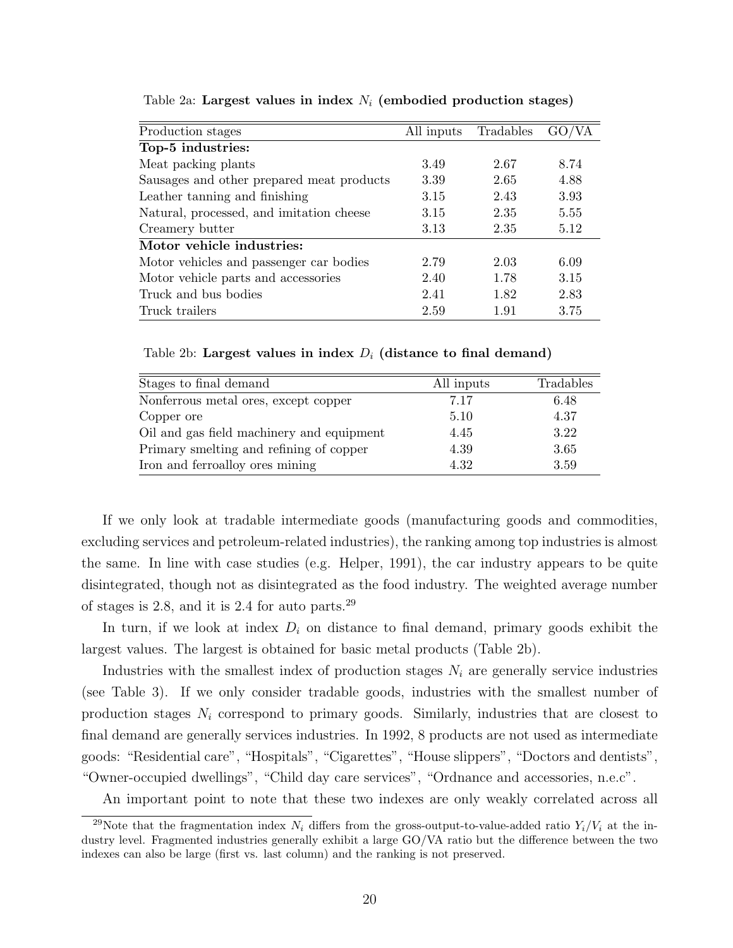| Production stages                         | All inputs | Tradables |      |
|-------------------------------------------|------------|-----------|------|
| Top-5 industries:                         |            |           |      |
| Meat packing plants                       | 3.49       | 2.67      | 8.74 |
| Sausages and other prepared meat products | 3.39       | 2.65      | 4.88 |
| Leather tanning and finishing             | 3.15       | 2.43      | 3.93 |
| Natural, processed, and imitation cheese  | 3.15       | 2.35      | 5.55 |
| Creamery butter                           | 3.13       | 2.35      | 5.12 |
| Motor vehicle industries:                 |            |           |      |
| Motor vehicles and passenger car bodies   | 2.79       | 2.03      | 6.09 |
| Motor vehicle parts and accessories       | 2.40       | 1.78      | 3.15 |
| Truck and bus bodies                      | 2.41       | 1.82      | 2.83 |
| Truck trailers                            | 2.59       | 1.91      | 3.75 |

Table 2a: Largest values in index  $N_i$  (embodied production stages)

Table 2b: Largest values in index  $D_i$  (distance to final demand)

| Stages to final demand                    | All inputs | Tradables |
|-------------------------------------------|------------|-----------|
| Nonferrous metal ores, except copper      | 7.17       | 6.48      |
| Copper ore                                | 5.10       | 4.37      |
| Oil and gas field machinery and equipment | 4.45       | 3.22      |
| Primary smelling and refining of copper   | 4.39       | 3.65      |
| Iron and ferroalloy ores mining           | 4.32       | 3.59      |

If we only look at tradable intermediate goods (manufacturing goods and commodities, excluding services and petroleum-related industries), the ranking among top industries is almost the same. In line with case studies (e.g. Helper, 1991), the car industry appears to be quite disintegrated, though not as disintegrated as the food industry. The weighted average number of stages is 2.8, and it is 2.4 for auto parts.<sup>29</sup>

In turn, if we look at index  $D_i$  on distance to final demand, primary goods exhibit the largest values. The largest is obtained for basic metal products (Table 2b).

Industries with the smallest index of production stages  $N_i$  are generally service industries (see Table 3). If we only consider tradable goods, industries with the smallest number of production stages  $N_i$  correspond to primary goods. Similarly, industries that are closest to final demand are generally services industries. In 1992, 8 products are not used as intermediate goods: "Residential care", "Hospitals", "Cigarettes", "House slippers", "Doctors and dentists", "Owner-occupied dwellings", "Child day care services", "Ordnance and accessories, n.e.c".

An important point to note that these two indexes are only weakly correlated across all

<sup>&</sup>lt;sup>29</sup>Note that the fragmentation index  $N_i$  differs from the gross-output-to-value-added ratio  $Y_i/V_i$  at the industry level. Fragmented industries generally exhibit a large GO/VA ratio but the difference between the two indexes can also be large (first vs. last column) and the ranking is not preserved.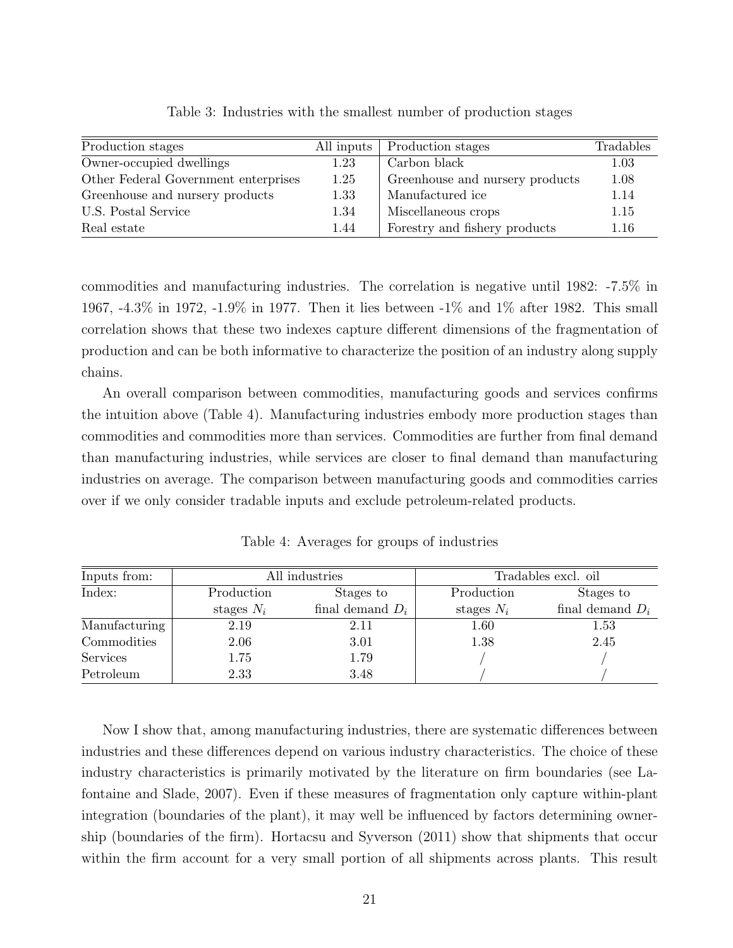| Production stages                    | All inputs | Production stages               | Tradables |
|--------------------------------------|------------|---------------------------------|-----------|
| Owner-occupied dwellings             | 1.23       | Carbon black                    | 1.03      |
| Other Federal Government enterprises | 1.25       | Greenhouse and nursery products | 1.08      |
| Greenhouse and nursery products      | 1.33       | Manufactured ice                | 1.14      |
| U.S. Postal Service                  | 1.34       | Miscellaneous crops             | 1.15      |
| Real estate                          | 1.44       | Forestry and fishery products   | 1.16      |

Table 3: Industries with the smallest number of production stages

commodities and manufacturing industries. The correlation is negative until 1982: -7.5% in 1967, -4.3% in 1972, -1.9% in 1977. Then it lies between -1% and 1% after 1982. This small correlation shows that these two indexes capture different dimensions of the fragmentation of production and can be both informative to characterize the position of an industry along supply chains.

An overall comparison between commodities, manufacturing goods and services confirms the intuition above (Table 4). Manufacturing industries embody more production stages than commodities and commodities more than services. Commodities are further from final demand than manufacturing industries, while services are closer to final demand than manufacturing industries on average. The comparison between manufacturing goods and commodities carries over if we only consider tradable inputs and exclude petroleum-related products.

| Inputs from:  |              | All industries     | Tradables excl. oil |                    |  |
|---------------|--------------|--------------------|---------------------|--------------------|--|
| Index:        | Production   | Stages to          |                     | Stages to          |  |
|               | stages $N_i$ | final demand $D_i$ | stages $N_i$        | final demand $D_i$ |  |
| Manufacturing | 2.19         | 2.11               | 1.60                | 1.53               |  |
| Commodities   | 2.06         | 3.01               | 1.38                | 2.45               |  |
| Services      | 1.75         | 1.79               |                     |                    |  |
| Petroleum     | 2.33         | 3.48               |                     |                    |  |

Table 4: Averages for groups of industries

Now I show that, among manufacturing industries, there are systematic differences between industries and these differences depend on various industry characteristics. The choice of these industry characteristics is primarily motivated by the literature on firm boundaries (see Lafontaine and Slade, 2007). Even if these measures of fragmentation only capture within-plant integration (boundaries of the plant), it may well be influenced by factors determining ownership (boundaries of the firm). Hortacsu and Syverson (2011) show that shipments that occur within the firm account for a very small portion of all shipments across plants. This result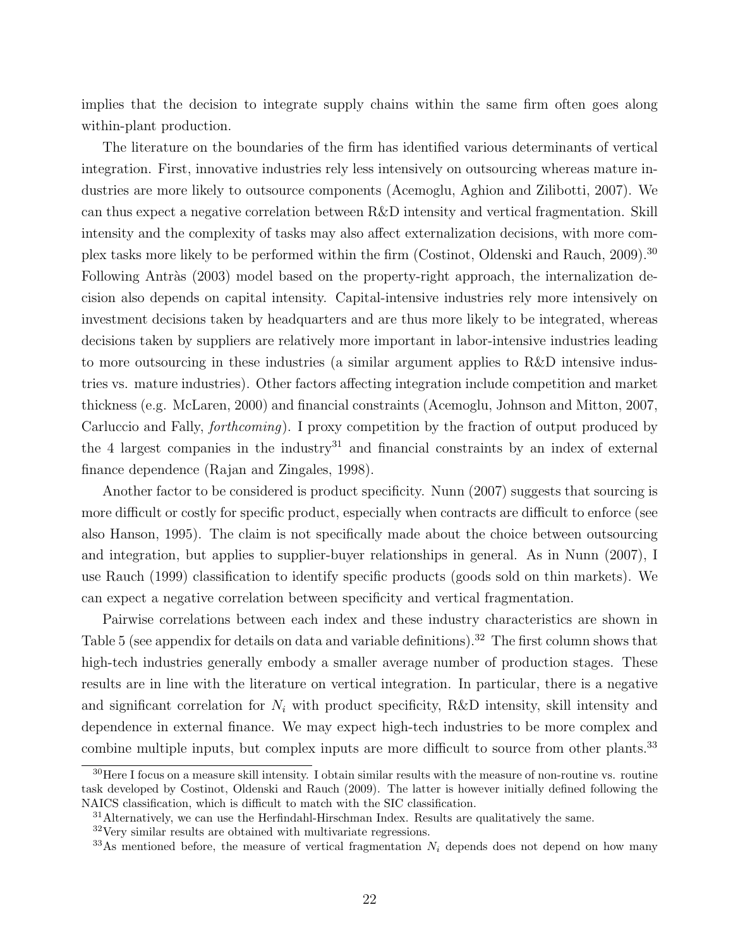implies that the decision to integrate supply chains within the same firm often goes along within-plant production.

The literature on the boundaries of the firm has identified various determinants of vertical integration. First, innovative industries rely less intensively on outsourcing whereas mature industries are more likely to outsource components (Acemoglu, Aghion and Zilibotti, 2007). We can thus expect a negative correlation between R&D intensity and vertical fragmentation. Skill intensity and the complexity of tasks may also affect externalization decisions, with more complex tasks more likely to be performed within the firm (Costinot, Oldenski and Rauch, 2009).<sup>30</sup> Following Antràs (2003) model based on the property-right approach, the internalization decision also depends on capital intensity. Capital-intensive industries rely more intensively on investment decisions taken by headquarters and are thus more likely to be integrated, whereas decisions taken by suppliers are relatively more important in labor-intensive industries leading to more outsourcing in these industries (a similar argument applies to R&D intensive industries vs. mature industries). Other factors affecting integration include competition and market thickness (e.g. McLaren, 2000) and financial constraints (Acemoglu, Johnson and Mitton, 2007, Carluccio and Fally, forthcoming). I proxy competition by the fraction of output produced by the 4 largest companies in the industry<sup>31</sup> and financial constraints by an index of external finance dependence (Rajan and Zingales, 1998).

Another factor to be considered is product specificity. Nunn (2007) suggests that sourcing is more difficult or costly for specific product, especially when contracts are difficult to enforce (see also Hanson, 1995). The claim is not specifically made about the choice between outsourcing and integration, but applies to supplier-buyer relationships in general. As in Nunn (2007), I use Rauch (1999) classification to identify specific products (goods sold on thin markets). We can expect a negative correlation between specificity and vertical fragmentation.

Pairwise correlations between each index and these industry characteristics are shown in Table 5 (see appendix for details on data and variable definitions).<sup>32</sup> The first column shows that high-tech industries generally embody a smaller average number of production stages. These results are in line with the literature on vertical integration. In particular, there is a negative and significant correlation for  $N_i$  with product specificity, R&D intensity, skill intensity and dependence in external finance. We may expect high-tech industries to be more complex and combine multiple inputs, but complex inputs are more difficult to source from other plants.<sup>33</sup>

 $30$  Here I focus on a measure skill intensity. I obtain similar results with the measure of non-routine vs. routine task developed by Costinot, Oldenski and Rauch (2009). The latter is however initially defined following the NAICS classification, which is difficult to match with the SIC classification.

 $31$  Alternatively, we can use the Herfindahl-Hirschman Index. Results are qualitatively the same.

<sup>32</sup>Very similar results are obtained with multivariate regressions.

 $33\text{As}$  mentioned before, the measure of vertical fragmentation  $N_i$  depends does not depend on how many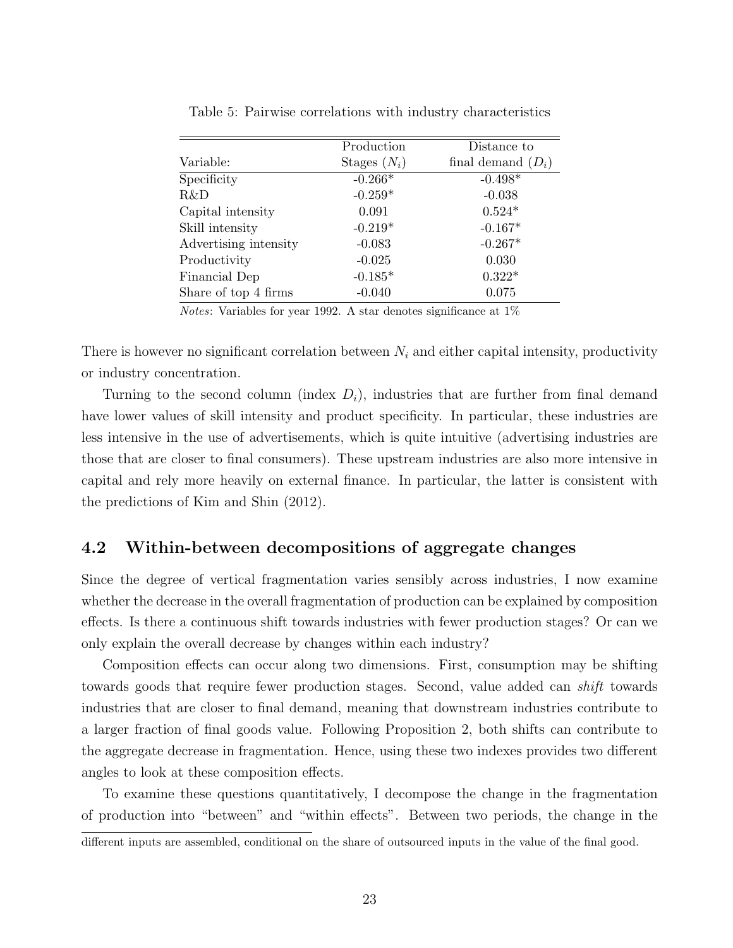|                       | Production     | Distance to          |
|-----------------------|----------------|----------------------|
| Variable:             | Stages $(N_i)$ | final demand $(D_i)$ |
| Specificity           | $-0.266*$      | $-0.498*$            |
| R&D                   | $-0.259*$      | $-0.038$             |
| Capital intensity     | 0.091          | $0.524*$             |
| Skill intensity       | $-0.219*$      | $-0.167*$            |
| Advertising intensity | $-0.083$       | $-0.267*$            |
| Productivity          | $-0.025$       | 0.030                |
| Financial Dep         | $-0.185*$      | $0.322*$             |
| Share of top 4 firms  | $-0.040$       | 0.075                |

Table 5: Pairwise correlations with industry characteristics

Notes: Variables for year 1992. A star denotes significance at 1%

There is however no significant correlation between  $N_i$  and either capital intensity, productivity or industry concentration.

Turning to the second column (index  $D_i$ ), industries that are further from final demand have lower values of skill intensity and product specificity. In particular, these industries are less intensive in the use of advertisements, which is quite intuitive (advertising industries are those that are closer to final consumers). These upstream industries are also more intensive in capital and rely more heavily on external finance. In particular, the latter is consistent with the predictions of Kim and Shin (2012).

## 4.2 Within-between decompositions of aggregate changes

Since the degree of vertical fragmentation varies sensibly across industries, I now examine whether the decrease in the overall fragmentation of production can be explained by composition effects. Is there a continuous shift towards industries with fewer production stages? Or can we only explain the overall decrease by changes within each industry?

Composition effects can occur along two dimensions. First, consumption may be shifting towards goods that require fewer production stages. Second, value added can shift towards industries that are closer to final demand, meaning that downstream industries contribute to a larger fraction of final goods value. Following Proposition 2, both shifts can contribute to the aggregate decrease in fragmentation. Hence, using these two indexes provides two different angles to look at these composition effects.

To examine these questions quantitatively, I decompose the change in the fragmentation of production into "between" and "within effects". Between two periods, the change in the

different inputs are assembled, conditional on the share of outsourced inputs in the value of the final good.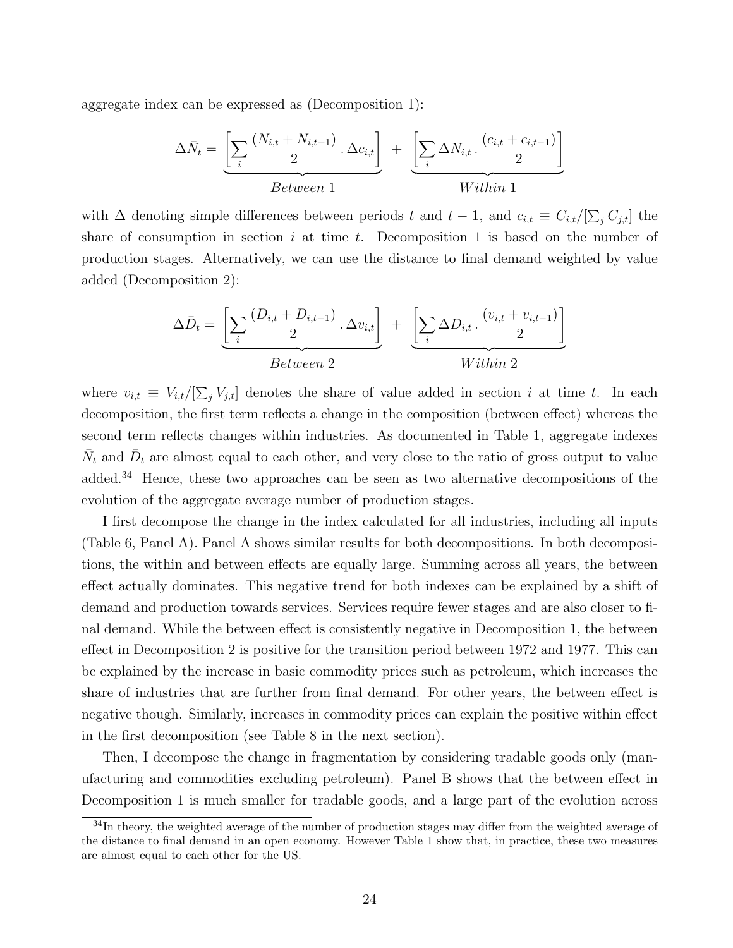aggregate index can be expressed as (Decomposition 1):

$$
\Delta \bar{N}_t = \underbrace{\left[\sum_i \frac{(N_{i,t} + N_{i,t-1})}{2} \cdot \Delta c_{i,t}\right]}_{Between 1} + \underbrace{\left[\sum_i \Delta N_{i,t} \cdot \frac{(c_{i,t} + c_{i,t-1})}{2}\right]}_{Within 1}
$$

with  $\Delta$  denoting simple differences between periods t and  $t-1$ , and  $c_{i,t} \equiv C_{i,t}/[\sum_j C_{j,t}]$  the share of consumption in section  $i$  at time  $t$ . Decomposition 1 is based on the number of production stages. Alternatively, we can use the distance to final demand weighted by value added (Decomposition 2):

$$
\Delta \bar{D}_t = \underbrace{\left[\sum_i \frac{(D_{i,t} + D_{i,t-1})}{2} \cdot \Delta v_{i,t}\right]}_{Between\ 2} + \underbrace{\left[\sum_i \Delta D_{i,t} \cdot \frac{(v_{i,t} + v_{i,t-1})}{2}\right]}_{Within\ 2}
$$

where  $v_{i,t} \equiv V_{i,t}/[\sum_j V_{j,t}]$  denotes the share of value added in section i at time t. In each decomposition, the first term reflects a change in the composition (between effect) whereas the second term reflects changes within industries. As documented in Table 1, aggregate indexes  $\bar{N}_t$  and  $\bar{D}_t$  are almost equal to each other, and very close to the ratio of gross output to value added.<sup>34</sup> Hence, these two approaches can be seen as two alternative decompositions of the evolution of the aggregate average number of production stages.

I first decompose the change in the index calculated for all industries, including all inputs (Table 6, Panel A). Panel A shows similar results for both decompositions. In both decompositions, the within and between effects are equally large. Summing across all years, the between effect actually dominates. This negative trend for both indexes can be explained by a shift of demand and production towards services. Services require fewer stages and are also closer to final demand. While the between effect is consistently negative in Decomposition 1, the between effect in Decomposition 2 is positive for the transition period between 1972 and 1977. This can be explained by the increase in basic commodity prices such as petroleum, which increases the share of industries that are further from final demand. For other years, the between effect is negative though. Similarly, increases in commodity prices can explain the positive within effect in the first decomposition (see Table 8 in the next section).

Then, I decompose the change in fragmentation by considering tradable goods only (manufacturing and commodities excluding petroleum). Panel B shows that the between effect in Decomposition 1 is much smaller for tradable goods, and a large part of the evolution across

<sup>&</sup>lt;sup>34</sup>In theory, the weighted average of the number of production stages may differ from the weighted average of the distance to final demand in an open economy. However Table 1 show that, in practice, these two measures are almost equal to each other for the US.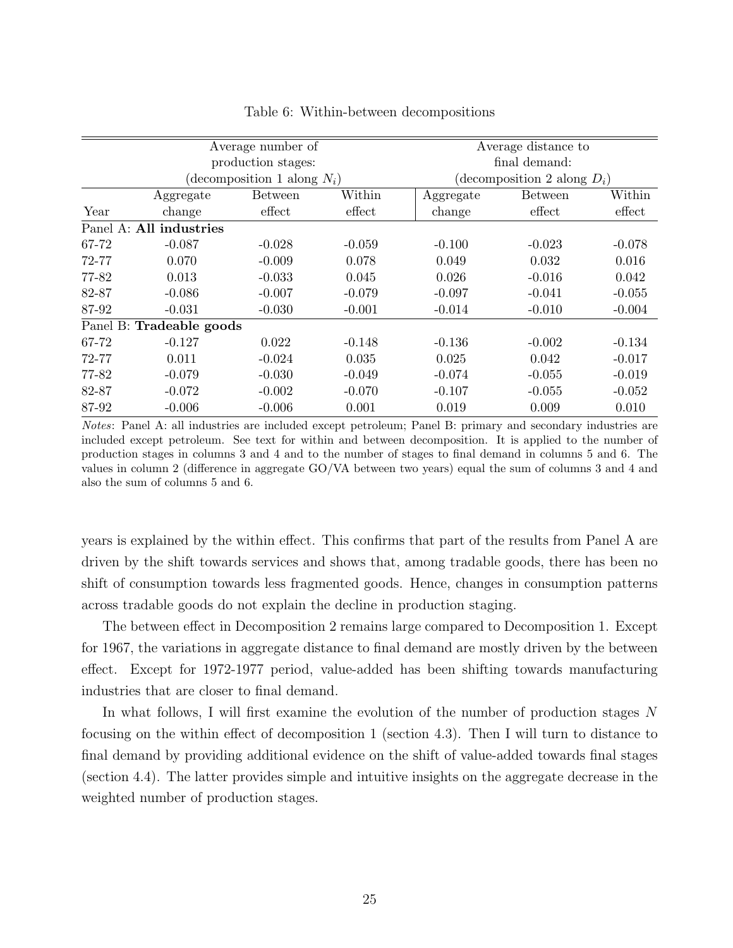|       | Average number of        | Average distance to            |          |               |                                |          |  |
|-------|--------------------------|--------------------------------|----------|---------------|--------------------------------|----------|--|
|       |                          | production stages:             |          | final demand: |                                |          |  |
|       |                          | (decomposition 1 along $N_i$ ) |          |               | (decomposition 2 along $D_i$ ) |          |  |
|       | Aggregate                | <b>Between</b>                 | Within   | Aggregate     | <b>Between</b>                 | Within   |  |
| Year  | change                   | effect                         | effect   | change        | effect                         | effect   |  |
|       | Panel A: All industries  |                                |          |               |                                |          |  |
| 67-72 | $-0.087$                 | $-0.028$                       | $-0.059$ | $-0.100$      | $-0.023$                       | $-0.078$ |  |
| 72-77 | 0.070                    | $-0.009$                       | 0.078    | 0.049         | 0.032                          | 0.016    |  |
| 77-82 | 0.013                    | $-0.033$                       | 0.045    | 0.026         | $-0.016$                       | 0.042    |  |
| 82-87 | $-0.086$                 | $-0.007$                       | $-0.079$ | $-0.097$      | $-0.041$                       | $-0.055$ |  |
| 87-92 | $-0.031$                 | $-0.030$                       | $-0.001$ | $-0.014$      | $-0.010$                       | $-0.004$ |  |
|       | Panel B: Tradeable goods |                                |          |               |                                |          |  |
| 67-72 | $-0.127$                 | 0.022                          | $-0.148$ | $-0.136$      | $-0.002$                       | $-0.134$ |  |
| 72-77 | 0.011                    | $-0.024$                       | 0.035    | 0.025         | 0.042                          | $-0.017$ |  |
| 77-82 | $-0.079$                 | $-0.030$                       | $-0.049$ | $-0.074$      | $-0.055$                       | $-0.019$ |  |
| 82-87 | $-0.072$                 | $-0.002$                       | $-0.070$ | $-0.107$      | $-0.055$                       | $-0.052$ |  |
| 87-92 | $-0.006$                 | $-0.006$                       | 0.001    | 0.019         | 0.009                          | 0.010    |  |

#### Table 6: Within-between decompositions

Notes: Panel A: all industries are included except petroleum; Panel B: primary and secondary industries are included except petroleum. See text for within and between decomposition. It is applied to the number of production stages in columns 3 and 4 and to the number of stages to final demand in columns 5 and 6. The values in column 2 (difference in aggregate GO/VA between two years) equal the sum of columns 3 and 4 and also the sum of columns 5 and 6.

years is explained by the within effect. This confirms that part of the results from Panel A are driven by the shift towards services and shows that, among tradable goods, there has been no shift of consumption towards less fragmented goods. Hence, changes in consumption patterns across tradable goods do not explain the decline in production staging.

The between effect in Decomposition 2 remains large compared to Decomposition 1. Except for 1967, the variations in aggregate distance to final demand are mostly driven by the between effect. Except for 1972-1977 period, value-added has been shifting towards manufacturing industries that are closer to final demand.

In what follows, I will first examine the evolution of the number of production stages N focusing on the within effect of decomposition 1 (section 4.3). Then I will turn to distance to final demand by providing additional evidence on the shift of value-added towards final stages (section 4.4). The latter provides simple and intuitive insights on the aggregate decrease in the weighted number of production stages.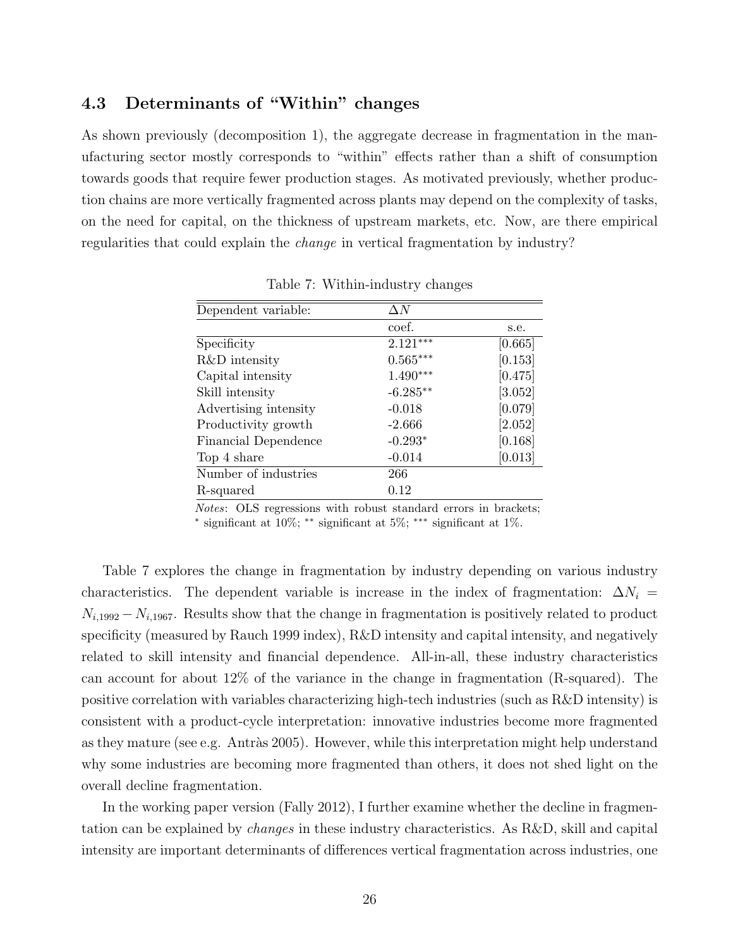## 4.3 Determinants of "Within" changes

As shown previously (decomposition 1), the aggregate decrease in fragmentation in the manufacturing sector mostly corresponds to "within" effects rather than a shift of consumption towards goods that require fewer production stages. As motivated previously, whether production chains are more vertically fragmented across plants may depend on the complexity of tasks, on the need for capital, on the thickness of upstream markets, etc. Now, are there empirical regularities that could explain the change in vertical fragmentation by industry?

| Dependent variable:   | $\Delta N$ |         |
|-----------------------|------------|---------|
|                       | coef.      | s.e.    |
| Specificity           | $2.121***$ | [0.665] |
| R&D intensity         | $0.565***$ | [0.153] |
| Capital intensity     | $1.490***$ | [0.475] |
| Skill intensity       | $-6.285**$ | [3.052] |
| Advertising intensity | $-0.018$   | [0.079] |
| Productivity growth   | $-2.666$   | [2.052] |
| Financial Dependence  | $-0.293*$  | [0.168] |
| Top 4 share           | $-0.014$   | [0.013] |
| Number of industries  | 266        |         |
| R-squared             | 0.12       |         |

Table 7: Within-industry changes

Notes: OLS regressions with robust standard errors in brackets;

∗ significant at 10%; ∗∗ significant at 5%; ∗∗∗ significant at 1%.

Table 7 explores the change in fragmentation by industry depending on various industry characteristics. The dependent variable is increase in the index of fragmentation:  $\Delta N_i$  =  $N_{i,1992} - N_{i,1967}$ . Results show that the change in fragmentation is positively related to product specificity (measured by Rauch 1999 index), R&D intensity and capital intensity, and negatively related to skill intensity and financial dependence. All-in-all, these industry characteristics can account for about 12% of the variance in the change in fragmentation (R-squared). The positive correlation with variables characterizing high-tech industries (such as R&D intensity) is consistent with a product-cycle interpretation: innovative industries become more fragmented as they mature (see e.g. Antràs 2005). However, while this interpretation might help understand why some industries are becoming more fragmented than others, it does not shed light on the overall decline fragmentation.

In the working paper version (Fally 2012), I further examine whether the decline in fragmentation can be explained by changes in these industry characteristics. As R&D, skill and capital intensity are important determinants of differences vertical fragmentation across industries, one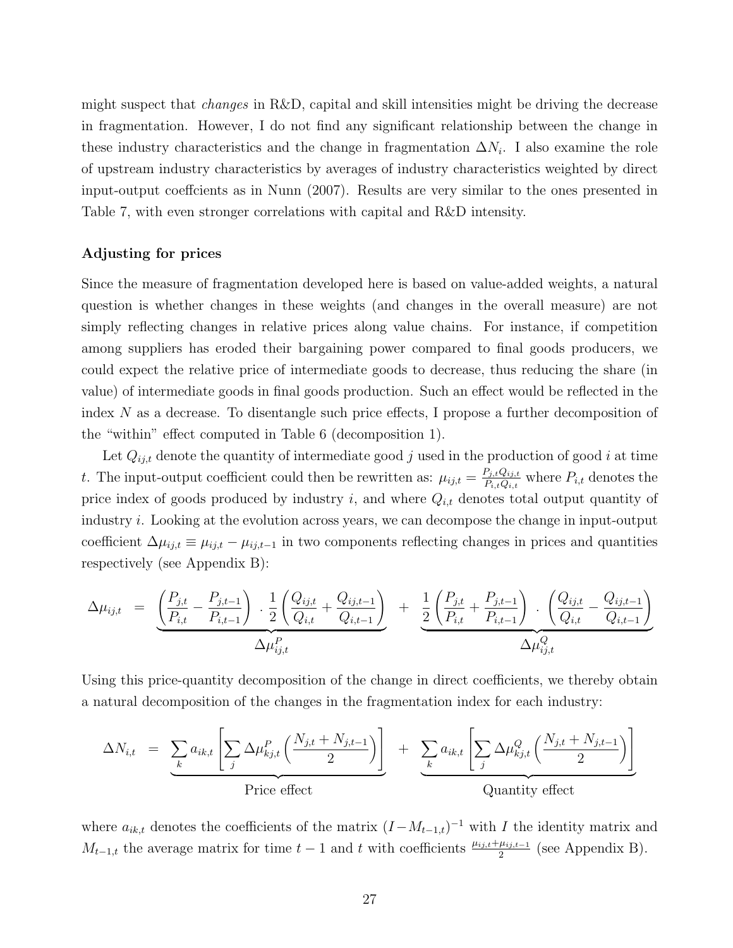might suspect that changes in R&D, capital and skill intensities might be driving the decrease in fragmentation. However, I do not find any significant relationship between the change in these industry characteristics and the change in fragmentation  $\Delta N_i$ . I also examine the role of upstream industry characteristics by averages of industry characteristics weighted by direct input-output coeffcients as in Nunn (2007). Results are very similar to the ones presented in Table 7, with even stronger correlations with capital and R&D intensity.

### Adjusting for prices

Since the measure of fragmentation developed here is based on value-added weights, a natural question is whether changes in these weights (and changes in the overall measure) are not simply reflecting changes in relative prices along value chains. For instance, if competition among suppliers has eroded their bargaining power compared to final goods producers, we could expect the relative price of intermediate goods to decrease, thus reducing the share (in value) of intermediate goods in final goods production. Such an effect would be reflected in the index N as a decrease. To disentangle such price effects, I propose a further decomposition of the "within" effect computed in Table 6 (decomposition 1).

Let  $Q_{ij,t}$  denote the quantity of intermediate good j used in the production of good i at time t. The input-output coefficient could then be rewritten as:  $\mu_{ij,t} = \frac{P_{j,t}Q_{ij,t}}{P_{i,t}Q_{ij,t}}$  $P_{i,t}Q_{i,t}$  where  $P_{i,t}$  denotes the price index of goods produced by industry i, and where  $Q_{i,t}$  denotes total output quantity of industry  $i$ . Looking at the evolution across years, we can decompose the change in input-output coefficient  $\Delta \mu_{ij,t} \equiv \mu_{ij,t} - \mu_{ij,t-1}$  in two components reflecting changes in prices and quantities respectively (see Appendix B):

$$
\Delta \mu_{ij,t} = \underbrace{\left(\frac{P_{j,t}}{P_{i,t}} - \frac{P_{j,t-1}}{P_{i,t-1}}\right) \cdot \frac{1}{2} \left(\frac{Q_{ij,t}}{Q_{i,t}} + \frac{Q_{ij,t-1}}{Q_{i,t-1}}\right)}_{\Delta \mu_{ij,t}^P} + \underbrace{\frac{1}{2} \left(\frac{P_{j,t}}{P_{i,t}} + \frac{P_{j,t-1}}{P_{i,t-1}}\right) \cdot \left(\frac{Q_{ij,t}}{Q_{i,t}} - \frac{Q_{ij,t-1}}{Q_{i,t-1}}\right)}_{\Delta \mu_{ij,t}^Q}
$$

Using this price-quantity decomposition of the change in direct coefficients, we thereby obtain a natural decomposition of the changes in the fragmentation index for each industry:

$$
\Delta N_{i,t} = \underbrace{\sum_{k} a_{ik,t} \left[ \sum_{j} \Delta \mu_{kj,t}^P \left( \frac{N_{j,t} + N_{j,t-1}}{2} \right) \right]}_{\text{Price effect}} + \underbrace{\sum_{k} a_{ik,t} \left[ \sum_{j} \Delta \mu_{kj,t}^Q \left( \frac{N_{j,t} + N_{j,t-1}}{2} \right) \right]}_{\text{Quantity effect}}
$$

where  $a_{ik,t}$  denotes the coefficients of the matrix  $(I-M_{t-1,t})^{-1}$  with I the identity matrix and  $M_{t-1,t}$  the average matrix for time  $t-1$  and t with coefficients  $\frac{\mu_{ij,t}+\mu_{ij,t-1}}{2}$  (see Appendix B).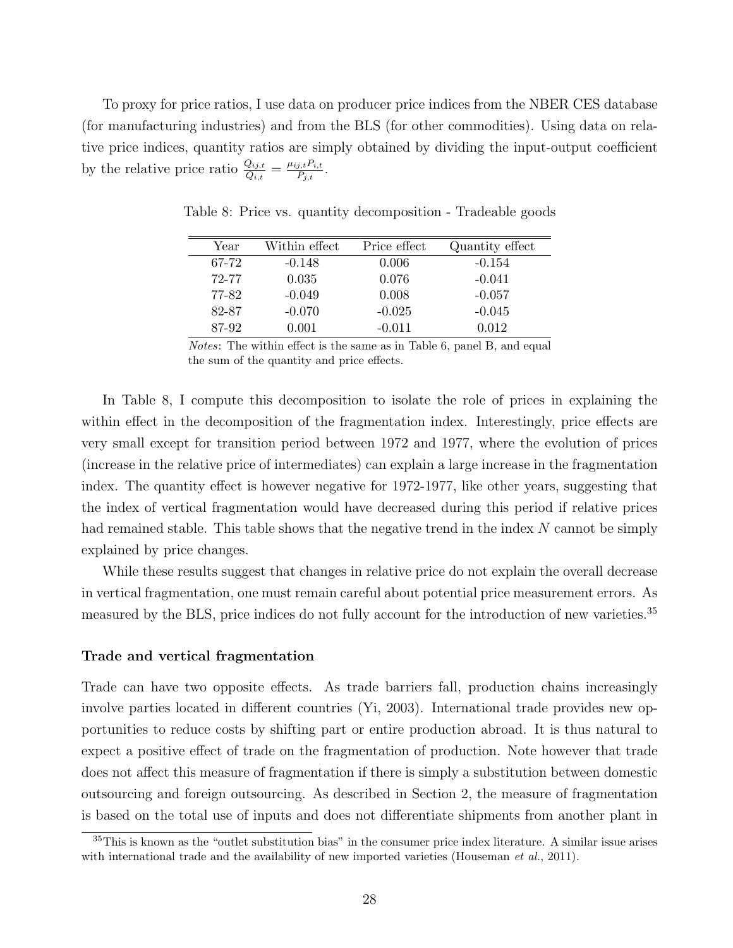To proxy for price ratios, I use data on producer price indices from the NBER CES database (for manufacturing industries) and from the BLS (for other commodities). Using data on relative price indices, quantity ratios are simply obtained by dividing the input-output coefficient by the relative price ratio  $\frac{Q_{ij,t}}{Q_{i,t}} = \frac{\mu_{ij,t} P_{i,t}}{P_{j,t}}$  $\frac{j,t\,F_{i,t}}{P_{j,t}}$  .

| Year  | Within effect | Price effect | Quantity effect |
|-------|---------------|--------------|-----------------|
| 67-72 | $-0.148$      | 0.006        | $-0.154$        |
| 72-77 | 0.035         | 0.076        | $-0.041$        |
| 77-82 | $-0.049$      | 0.008        | $-0.057$        |
| 82-87 | $-0.070$      | $-0.025$     | $-0.045$        |
| 87-92 | 0.001         | $-0.011$     | 0.012           |

Table 8: Price vs. quantity decomposition - Tradeable goods

Notes: The within effect is the same as in Table 6, panel B, and equal the sum of the quantity and price effects.

In Table 8, I compute this decomposition to isolate the role of prices in explaining the within effect in the decomposition of the fragmentation index. Interestingly, price effects are very small except for transition period between 1972 and 1977, where the evolution of prices (increase in the relative price of intermediates) can explain a large increase in the fragmentation index. The quantity effect is however negative for 1972-1977, like other years, suggesting that the index of vertical fragmentation would have decreased during this period if relative prices had remained stable. This table shows that the negative trend in the index  $N$  cannot be simply explained by price changes.

While these results suggest that changes in relative price do not explain the overall decrease in vertical fragmentation, one must remain careful about potential price measurement errors. As measured by the BLS, price indices do not fully account for the introduction of new varieties.<sup>35</sup>

### Trade and vertical fragmentation

Trade can have two opposite effects. As trade barriers fall, production chains increasingly involve parties located in different countries (Yi, 2003). International trade provides new opportunities to reduce costs by shifting part or entire production abroad. It is thus natural to expect a positive effect of trade on the fragmentation of production. Note however that trade does not affect this measure of fragmentation if there is simply a substitution between domestic outsourcing and foreign outsourcing. As described in Section 2, the measure of fragmentation is based on the total use of inputs and does not differentiate shipments from another plant in

<sup>35</sup>This is known as the "outlet substitution bias" in the consumer price index literature. A similar issue arises with international trade and the availability of new imported varieties (Houseman *et al.*, 2011).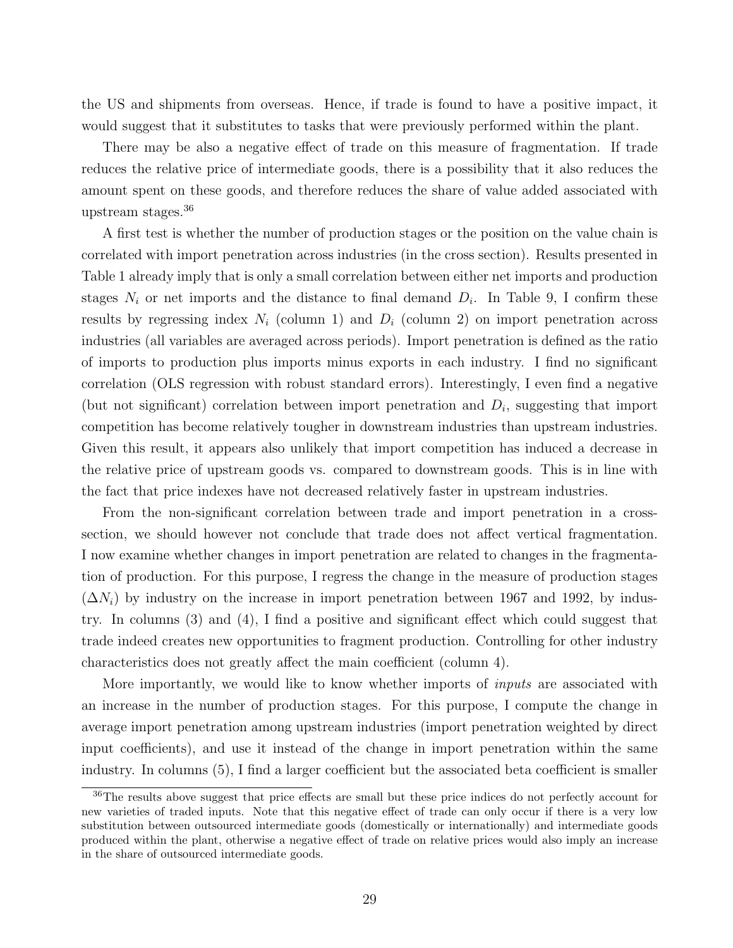the US and shipments from overseas. Hence, if trade is found to have a positive impact, it would suggest that it substitutes to tasks that were previously performed within the plant.

There may be also a negative effect of trade on this measure of fragmentation. If trade reduces the relative price of intermediate goods, there is a possibility that it also reduces the amount spent on these goods, and therefore reduces the share of value added associated with upstream stages.<sup>36</sup>

A first test is whether the number of production stages or the position on the value chain is correlated with import penetration across industries (in the cross section). Results presented in Table 1 already imply that is only a small correlation between either net imports and production stages  $N_i$  or net imports and the distance to final demand  $D_i$ . In Table 9, I confirm these results by regressing index  $N_i$  (column 1) and  $D_i$  (column 2) on import penetration across industries (all variables are averaged across periods). Import penetration is defined as the ratio of imports to production plus imports minus exports in each industry. I find no significant correlation (OLS regression with robust standard errors). Interestingly, I even find a negative (but not significant) correlation between import penetration and  $D_i$ , suggesting that import competition has become relatively tougher in downstream industries than upstream industries. Given this result, it appears also unlikely that import competition has induced a decrease in the relative price of upstream goods vs. compared to downstream goods. This is in line with the fact that price indexes have not decreased relatively faster in upstream industries.

From the non-significant correlation between trade and import penetration in a crosssection, we should however not conclude that trade does not affect vertical fragmentation. I now examine whether changes in import penetration are related to changes in the fragmentation of production. For this purpose, I regress the change in the measure of production stages  $(\Delta N_i)$  by industry on the increase in import penetration between 1967 and 1992, by industry. In columns (3) and (4), I find a positive and significant effect which could suggest that trade indeed creates new opportunities to fragment production. Controlling for other industry characteristics does not greatly affect the main coefficient (column 4).

More importantly, we would like to know whether imports of *inputs* are associated with an increase in the number of production stages. For this purpose, I compute the change in average import penetration among upstream industries (import penetration weighted by direct input coefficients), and use it instead of the change in import penetration within the same industry. In columns (5), I find a larger coefficient but the associated beta coefficient is smaller

<sup>&</sup>lt;sup>36</sup>The results above suggest that price effects are small but these price indices do not perfectly account for new varieties of traded inputs. Note that this negative effect of trade can only occur if there is a very low substitution between outsourced intermediate goods (domestically or internationally) and intermediate goods produced within the plant, otherwise a negative effect of trade on relative prices would also imply an increase in the share of outsourced intermediate goods.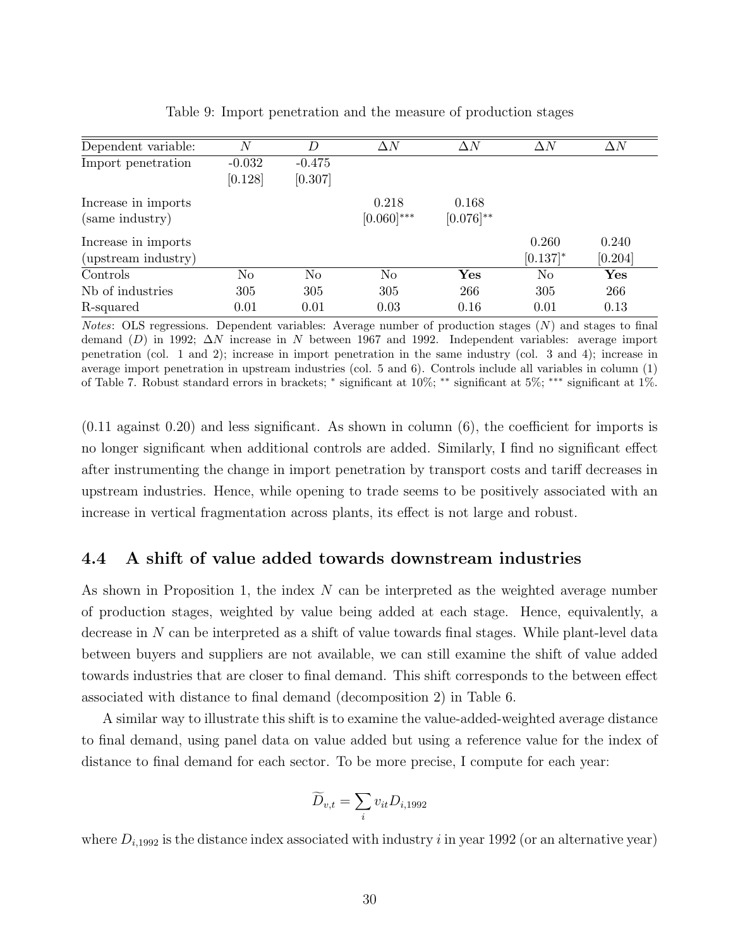| Dependent variable: | Ν              | D              | $\Delta N$    | $\Delta N$     | $\Delta N$  | $\Delta N$     |
|---------------------|----------------|----------------|---------------|----------------|-------------|----------------|
| Import penetration  | $-0.032$       | $-0.475$       |               |                |             |                |
|                     | [0.128]        | [0.307]        |               |                |             |                |
| Increase in imports |                |                | 0.218         | 0.168          |             |                |
| (same industry)     |                |                | $[0.060]$ *** | $[0.076]^{**}$ |             |                |
| Increase in imports |                |                |               |                | 0.260       | 0.240          |
| (upstream industry) |                |                |               |                | $[0.137]$ * | [0.204]        |
| Controls            | N <sub>o</sub> | N <sub>o</sub> | No            | $\mathbf{Yes}$ | No          | $\mathbf{Yes}$ |
| Nb of industries    | 305            | 305            | 305           | 266            | 305         | 266            |
| R-squared           | 0.01           | 0.01           | 0.03          | 0.16           | 0.01        | 0.13           |

Table 9: Import penetration and the measure of production stages

Notes: OLS regressions. Dependent variables: Average number of production stages  $(N)$  and stages to final demand (D) in 1992;  $\Delta N$  increase in N between 1967 and 1992. Independent variables: average import penetration (col. 1 and 2); increase in import penetration in the same industry (col. 3 and 4); increase in average import penetration in upstream industries (col. 5 and 6). Controls include all variables in column (1) of Table 7. Robust standard errors in brackets; <sup>∗</sup> significant at 10%; ∗∗ significant at 5%; ∗∗∗ significant at 1%.

(0.11 against 0.20) and less significant. As shown in column (6), the coefficient for imports is no longer significant when additional controls are added. Similarly, I find no significant effect after instrumenting the change in import penetration by transport costs and tariff decreases in upstream industries. Hence, while opening to trade seems to be positively associated with an increase in vertical fragmentation across plants, its effect is not large and robust.

## 4.4 A shift of value added towards downstream industries

As shown in Proposition 1, the index N can be interpreted as the weighted average number of production stages, weighted by value being added at each stage. Hence, equivalently, a decrease in N can be interpreted as a shift of value towards final stages. While plant-level data between buyers and suppliers are not available, we can still examine the shift of value added towards industries that are closer to final demand. This shift corresponds to the between effect associated with distance to final demand (decomposition 2) in Table 6.

A similar way to illustrate this shift is to examine the value-added-weighted average distance to final demand, using panel data on value added but using a reference value for the index of distance to final demand for each sector. To be more precise, I compute for each year:

$$
\widetilde{D}_{v,t} = \sum_i v_{it} D_{i,1992}
$$

where  $D_{i,1992}$  is the distance index associated with industry i in year 1992 (or an alternative year)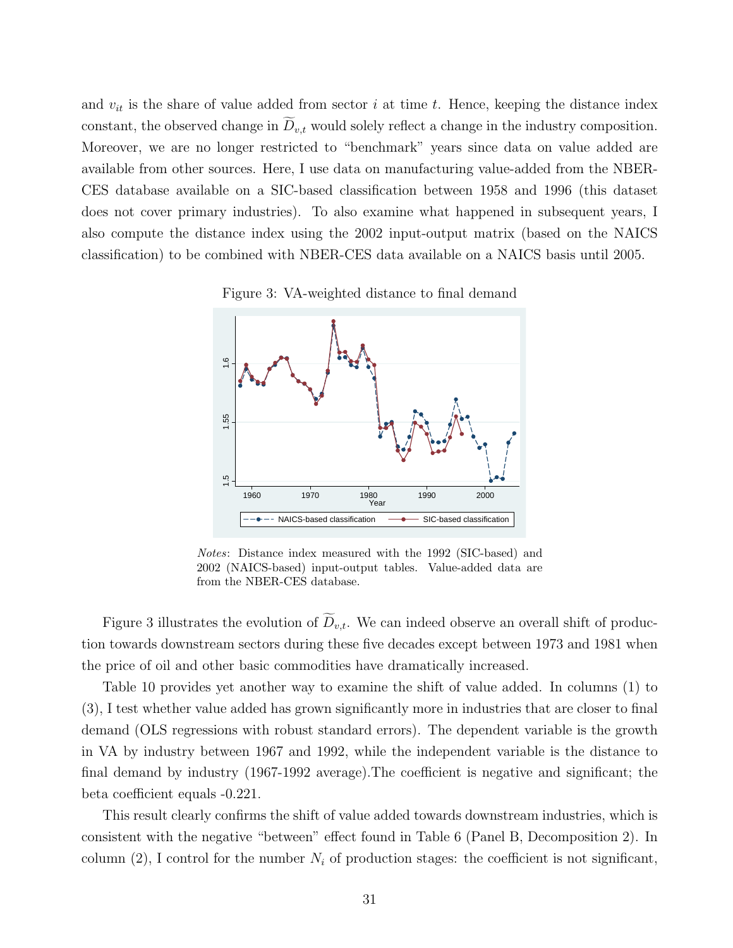and  $v_{it}$  is the share of value added from sector i at time t. Hence, keeping the distance index constant, the observed change in  $\widetilde{D}_{v,t}$  would solely reflect a change in the industry composition. Moreover, we are no longer restricted to "benchmark" years since data on value added are available from other sources. Here, I use data on manufacturing value-added from the NBER-CES database available on a SIC-based classification between 1958 and 1996 (this dataset does not cover primary industries). To also examine what happened in subsequent years, I also compute the distance index using the 2002 input-output matrix (based on the NAICS classification) to be combined with NBER-CES data available on a NAICS basis until 2005.





Notes: Distance index measured with the 1992 (SIC-based) and 2002 (NAICS-based) input-output tables. Value-added data are from the NBER-CES database.

Figure 3 illustrates the evolution of  $D_{v,t}$ . We can indeed observe an overall shift of production towards downstream sectors during these five decades except between 1973 and 1981 when the price of oil and other basic commodities have dramatically increased.

Table 10 provides yet another way to examine the shift of value added. In columns (1) to (3), I test whether value added has grown significantly more in industries that are closer to final demand (OLS regressions with robust standard errors). The dependent variable is the growth in VA by industry between 1967 and 1992, while the independent variable is the distance to final demand by industry (1967-1992 average).The coefficient is negative and significant; the beta coefficient equals -0.221.

This result clearly confirms the shift of value added towards downstream industries, which is consistent with the negative "between" effect found in Table 6 (Panel B, Decomposition 2). In column (2), I control for the number  $N_i$  of production stages: the coefficient is not significant,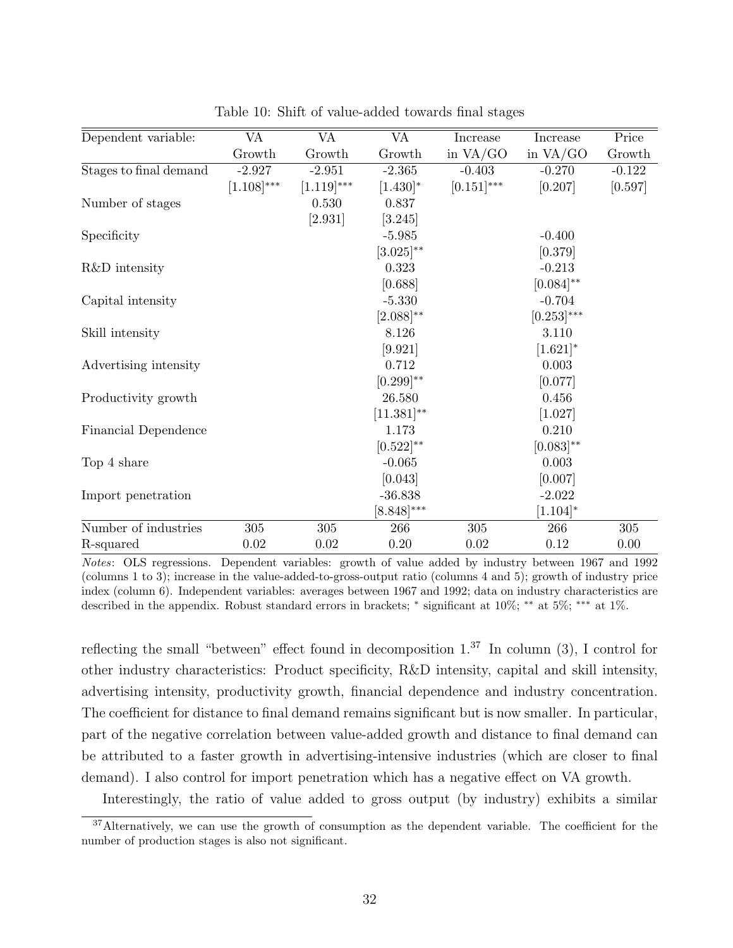| Dependent variable:    | <b>VA</b>       | <b>VA</b>       | <b>VA</b>       | Increase      | Increase        | Price    |
|------------------------|-----------------|-----------------|-----------------|---------------|-----------------|----------|
|                        | Growth          | Growth          | Growth          | in $VA/GO$    | in $VA/GO$      | Growth   |
| Stages to final demand | $-2.927$        | $-2.951$        | $-2.365$        | $-0.403$      | $-0.270$        | $-0.122$ |
|                        | $[1.108]^{***}$ | $[1.119]^{***}$ | $[1.430]^{*}$   | $[0.151]$ *** | [0.207]         | [0.597]  |
| Number of stages       |                 | 0.530           | 0.837           |               |                 |          |
|                        |                 | [2.931]         | [3.245]         |               |                 |          |
| Specificity            |                 |                 | $-5.985$        |               | $-0.400$        |          |
|                        |                 |                 | $[3.025]^{**}$  |               | [0.379]         |          |
| R&D intensity          |                 |                 | 0.323           |               | $-0.213$        |          |
|                        |                 |                 | [0.688]         |               | $[0.084]^{**}$  |          |
| Capital intensity      |                 |                 | $-5.330$        |               | $-0.704$        |          |
|                        |                 |                 | $[2.088]^{**}$  |               | $[0.253]^{***}$ |          |
| Skill intensity        |                 |                 | 8.126           |               | 3.110           |          |
|                        |                 |                 | [9.921]         |               | $[1.621]$ *     |          |
| Advertising intensity  |                 |                 | 0.712           |               | 0.003           |          |
|                        |                 |                 | $[0.299]^{**}$  |               | [0.077]         |          |
| Productivity growth    |                 |                 | 26.580          |               | 0.456           |          |
|                        |                 |                 | $[11.381]^{**}$ |               | [1.027]         |          |
| Financial Dependence   |                 |                 | 1.173           |               | 0.210           |          |
|                        |                 |                 | $[0.522]^{**}$  |               | $[0.083]^{**}$  |          |
| Top 4 share            |                 |                 | $-0.065$        |               | 0.003           |          |
|                        |                 |                 | [0.043]         |               | [0.007]         |          |
| Import penetration     |                 |                 | $-36.838$       |               | $-2.022$        |          |
|                        |                 |                 | $[8.848]^{***}$ |               | $[1.104]^{*}$   |          |
| Number of industries   | $305\,$         | $305\,$         | 266             | 305           | 266             | $305\,$  |
| R-squared              | 0.02            | 0.02            | 0.20            | 0.02          | 0.12            | 0.00     |

Table 10: Shift of value-added towards final stages

Notes: OLS regressions. Dependent variables: growth of value added by industry between 1967 and 1992 (columns 1 to 3); increase in the value-added-to-gross-output ratio (columns 4 and 5); growth of industry price index (column 6). Independent variables: averages between 1967 and 1992; data on industry characteristics are described in the appendix. Robust standard errors in brackets; \* significant at 10%; \*\* at 5%; \*\*\* at 1%.

reflecting the small "between" effect found in decomposition  $1.^{37}$  In column (3), I control for other industry characteristics: Product specificity, R&D intensity, capital and skill intensity, advertising intensity, productivity growth, financial dependence and industry concentration. The coefficient for distance to final demand remains significant but is now smaller. In particular, part of the negative correlation between value-added growth and distance to final demand can be attributed to a faster growth in advertising-intensive industries (which are closer to final demand). I also control for import penetration which has a negative effect on VA growth.

Interestingly, the ratio of value added to gross output (by industry) exhibits a similar

<sup>&</sup>lt;sup>37</sup>Alternatively, we can use the growth of consumption as the dependent variable. The coefficient for the number of production stages is also not significant.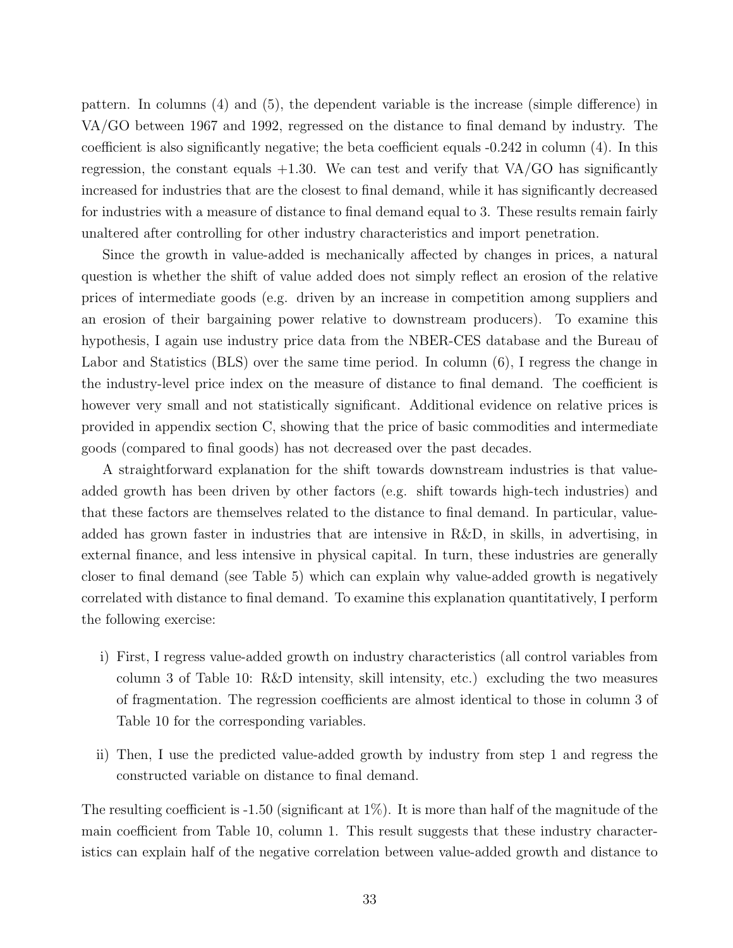pattern. In columns (4) and (5), the dependent variable is the increase (simple difference) in VA/GO between 1967 and 1992, regressed on the distance to final demand by industry. The coefficient is also significantly negative; the beta coefficient equals -0.242 in column (4). In this regression, the constant equals  $+1.30$ . We can test and verify that VA/GO has significantly increased for industries that are the closest to final demand, while it has significantly decreased for industries with a measure of distance to final demand equal to 3. These results remain fairly unaltered after controlling for other industry characteristics and import penetration.

Since the growth in value-added is mechanically affected by changes in prices, a natural question is whether the shift of value added does not simply reflect an erosion of the relative prices of intermediate goods (e.g. driven by an increase in competition among suppliers and an erosion of their bargaining power relative to downstream producers). To examine this hypothesis, I again use industry price data from the NBER-CES database and the Bureau of Labor and Statistics (BLS) over the same time period. In column (6), I regress the change in the industry-level price index on the measure of distance to final demand. The coefficient is however very small and not statistically significant. Additional evidence on relative prices is provided in appendix section C, showing that the price of basic commodities and intermediate goods (compared to final goods) has not decreased over the past decades.

A straightforward explanation for the shift towards downstream industries is that valueadded growth has been driven by other factors (e.g. shift towards high-tech industries) and that these factors are themselves related to the distance to final demand. In particular, valueadded has grown faster in industries that are intensive in R&D, in skills, in advertising, in external finance, and less intensive in physical capital. In turn, these industries are generally closer to final demand (see Table 5) which can explain why value-added growth is negatively correlated with distance to final demand. To examine this explanation quantitatively, I perform the following exercise:

- i) First, I regress value-added growth on industry characteristics (all control variables from column 3 of Table 10: R&D intensity, skill intensity, etc.) excluding the two measures of fragmentation. The regression coefficients are almost identical to those in column 3 of Table 10 for the corresponding variables.
- ii) Then, I use the predicted value-added growth by industry from step 1 and regress the constructed variable on distance to final demand.

The resulting coefficient is  $-1.50$  (significant at  $1\%$ ). It is more than half of the magnitude of the main coefficient from Table 10, column 1. This result suggests that these industry characteristics can explain half of the negative correlation between value-added growth and distance to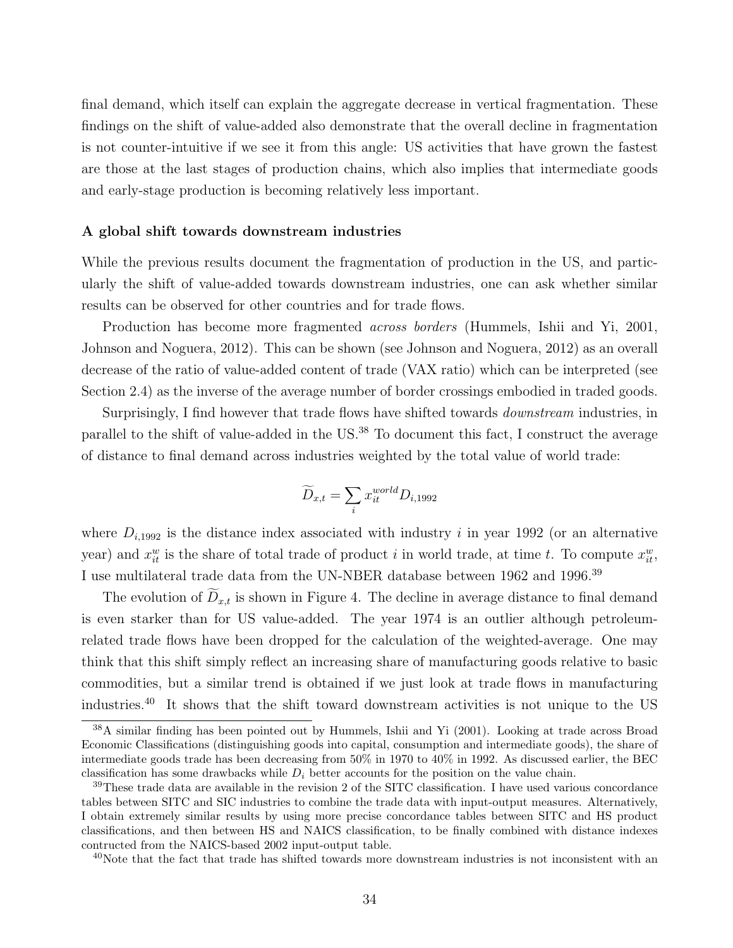final demand, which itself can explain the aggregate decrease in vertical fragmentation. These findings on the shift of value-added also demonstrate that the overall decline in fragmentation is not counter-intuitive if we see it from this angle: US activities that have grown the fastest are those at the last stages of production chains, which also implies that intermediate goods and early-stage production is becoming relatively less important.

#### A global shift towards downstream industries

While the previous results document the fragmentation of production in the US, and particularly the shift of value-added towards downstream industries, one can ask whether similar results can be observed for other countries and for trade flows.

Production has become more fragmented *across borders* (Hummels, Ishii and Yi, 2001, Johnson and Noguera, 2012). This can be shown (see Johnson and Noguera, 2012) as an overall decrease of the ratio of value-added content of trade (VAX ratio) which can be interpreted (see Section 2.4) as the inverse of the average number of border crossings embodied in traded goods.

Surprisingly, I find however that trade flows have shifted towards downstream industries, in parallel to the shift of value-added in the US.<sup>38</sup> To document this fact, I construct the average of distance to final demand across industries weighted by the total value of world trade:

$$
\widetilde{D}_{x,t} = \sum_{i} x_{it}^{world} D_{i,1992}
$$

where  $D_{i,1992}$  is the distance index associated with industry i in year 1992 (or an alternative year) and  $x_{it}^w$  is the share of total trade of product i in world trade, at time t. To compute  $x_{it}^w$ , I use multilateral trade data from the UN-NBER database between 1962 and 1996.<sup>39</sup>

The evolution of  $D_{x,t}$  is shown in Figure 4. The decline in average distance to final demand is even starker than for US value-added. The year 1974 is an outlier although petroleumrelated trade flows have been dropped for the calculation of the weighted-average. One may think that this shift simply reflect an increasing share of manufacturing goods relative to basic commodities, but a similar trend is obtained if we just look at trade flows in manufacturing industries.<sup>40</sup> It shows that the shift toward downstream activities is not unique to the US

<sup>38</sup>A similar finding has been pointed out by Hummels, Ishii and Yi (2001). Looking at trade across Broad Economic Classifications (distinguishing goods into capital, consumption and intermediate goods), the share of intermediate goods trade has been decreasing from 50% in 1970 to 40% in 1992. As discussed earlier, the BEC classification has some drawbacks while  $D_i$  better accounts for the position on the value chain.

<sup>&</sup>lt;sup>39</sup>These trade data are available in the revision 2 of the SITC classification. I have used various concordance tables between SITC and SIC industries to combine the trade data with input-output measures. Alternatively, I obtain extremely similar results by using more precise concordance tables between SITC and HS product classifications, and then between HS and NAICS classification, to be finally combined with distance indexes contructed from the NAICS-based 2002 input-output table.

<sup>&</sup>lt;sup>40</sup>Note that the fact that trade has shifted towards more downstream industries is not inconsistent with an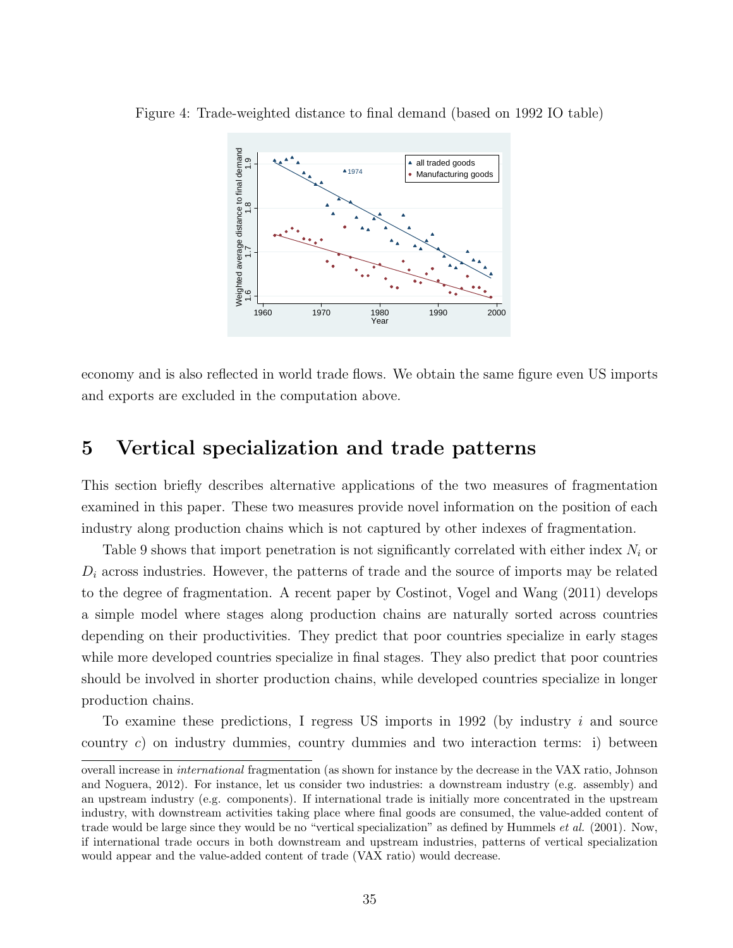

Figure 4: Trade-weighted distance to final demand (based on 1992 IO table)

economy and is also reflected in world trade flows. We obtain the same figure even US imports and exports are excluded in the computation above.

# 5 Vertical specialization and trade patterns

This section briefly describes alternative applications of the two measures of fragmentation examined in this paper. These two measures provide novel information on the position of each industry along production chains which is not captured by other indexes of fragmentation.

Table 9 shows that import penetration is not significantly correlated with either index  $N_i$  or  $D_i$  across industries. However, the patterns of trade and the source of imports may be related to the degree of fragmentation. A recent paper by Costinot, Vogel and Wang (2011) develops a simple model where stages along production chains are naturally sorted across countries depending on their productivities. They predict that poor countries specialize in early stages while more developed countries specialize in final stages. They also predict that poor countries should be involved in shorter production chains, while developed countries specialize in longer production chains.

To examine these predictions, I regress US imports in 1992 (by industry  $i$  and source country c) on industry dummies, country dummies and two interaction terms: i) between

overall increase in international fragmentation (as shown for instance by the decrease in the VAX ratio, Johnson and Noguera, 2012). For instance, let us consider two industries: a downstream industry (e.g. assembly) and an upstream industry (e.g. components). If international trade is initially more concentrated in the upstream industry, with downstream activities taking place where final goods are consumed, the value-added content of trade would be large since they would be no "vertical specialization" as defined by Hummels et al. (2001). Now, if international trade occurs in both downstream and upstream industries, patterns of vertical specialization would appear and the value-added content of trade (VAX ratio) would decrease.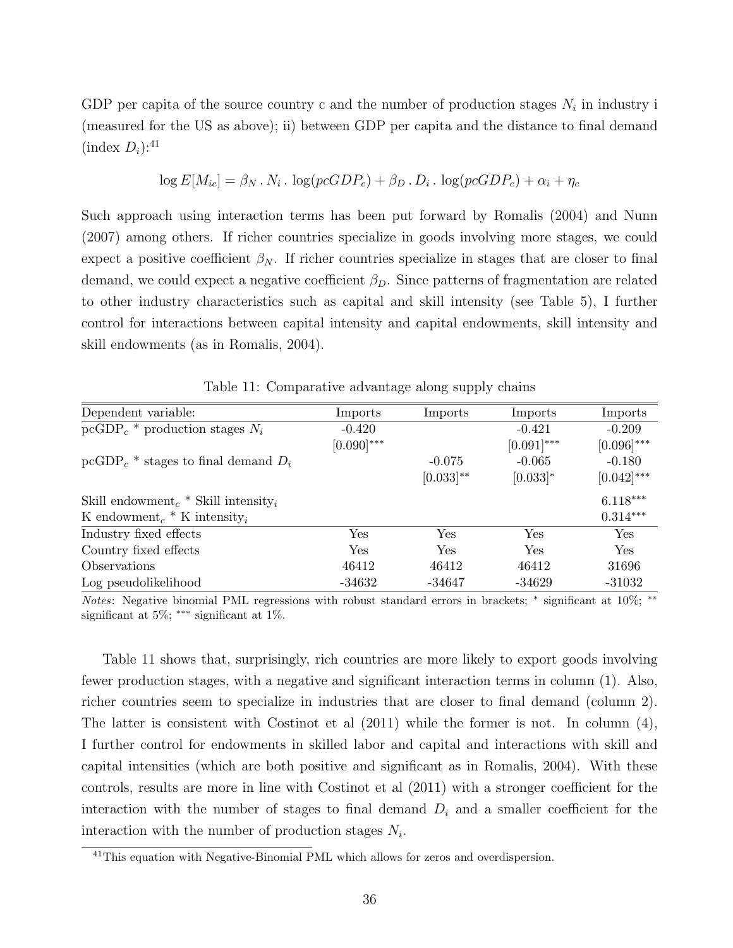GDP per capita of the source country c and the number of production stages  $N_i$  in industry i (measured for the US as above); ii) between GDP per capita and the distance to final demand  $(\text{index } D_i)$ :<sup>41</sup>

$$
\log E[M_{ic}] = \beta_N \cdot N_i \cdot \log(pcGDP_c) + \beta_D \cdot D_i \cdot \log(pcGDP_c) + \alpha_i + \eta_c
$$

Such approach using interaction terms has been put forward by Romalis (2004) and Nunn (2007) among others. If richer countries specialize in goods involving more stages, we could expect a positive coefficient  $\beta_N$ . If richer countries specialize in stages that are closer to final demand, we could expect a negative coefficient  $\beta_D$ . Since patterns of fragmentation are related to other industry characteristics such as capital and skill intensity (see Table 5), I further control for interactions between capital intensity and capital endowments, skill intensity and skill endowments (as in Romalis, 2004).

| Dependent variable:                                         | Imports         | Imports        | Imports       | Imports         |
|-------------------------------------------------------------|-----------------|----------------|---------------|-----------------|
| $\text{pcGDP}_c$ * production stages $N_i$                  | $-0.420$        |                | $-0.421$      | $-0.209$        |
|                                                             | $[0.090]^{***}$ |                | $[0.091]$ *** | $[0.096]^{***}$ |
| pcGDP <sub>c</sub> $*$ stages to final demand $D_i$         |                 | $-0.075$       | $-0.065$      | $-0.180$        |
|                                                             |                 | $[0.033]^{**}$ | $[0.033]$ *   | $[0.042]^{***}$ |
| Skill endowment <sub>c</sub> * Skill intensity <sub>i</sub> |                 |                |               | $6.118***$      |
| K endowment <sub>c</sub> $*$ K intensity <sub>i</sub>       |                 |                |               | $0.314***$      |
| Industry fixed effects                                      | Yes             | Yes            | <b>Yes</b>    | Yes             |
| Country fixed effects                                       | <b>Yes</b>      | Yes            | <b>Yes</b>    | Yes             |
| Observations                                                | 46412           | 46412          | 46412         | 31696           |
| Log pseudolikelihood                                        | $-34632$        | $-34647$       | $-34629$      | $-31032$        |

Table 11: Comparative advantage along supply chains

Notes: Negative binomial PML regressions with robust standard errors in brackets; \* significant at 10%; \*\* significant at 5%; ∗∗∗ significant at 1%.

Table 11 shows that, surprisingly, rich countries are more likely to export goods involving fewer production stages, with a negative and significant interaction terms in column (1). Also, richer countries seem to specialize in industries that are closer to final demand (column 2). The latter is consistent with Costinot et al (2011) while the former is not. In column (4), I further control for endowments in skilled labor and capital and interactions with skill and capital intensities (which are both positive and significant as in Romalis, 2004). With these controls, results are more in line with Costinot et al (2011) with a stronger coefficient for the interaction with the number of stages to final demand  $D_i$  and a smaller coefficient for the interaction with the number of production stages  $N_i$ .

<sup>&</sup>lt;sup>41</sup>This equation with Negative-Binomial PML which allows for zeros and overdispersion.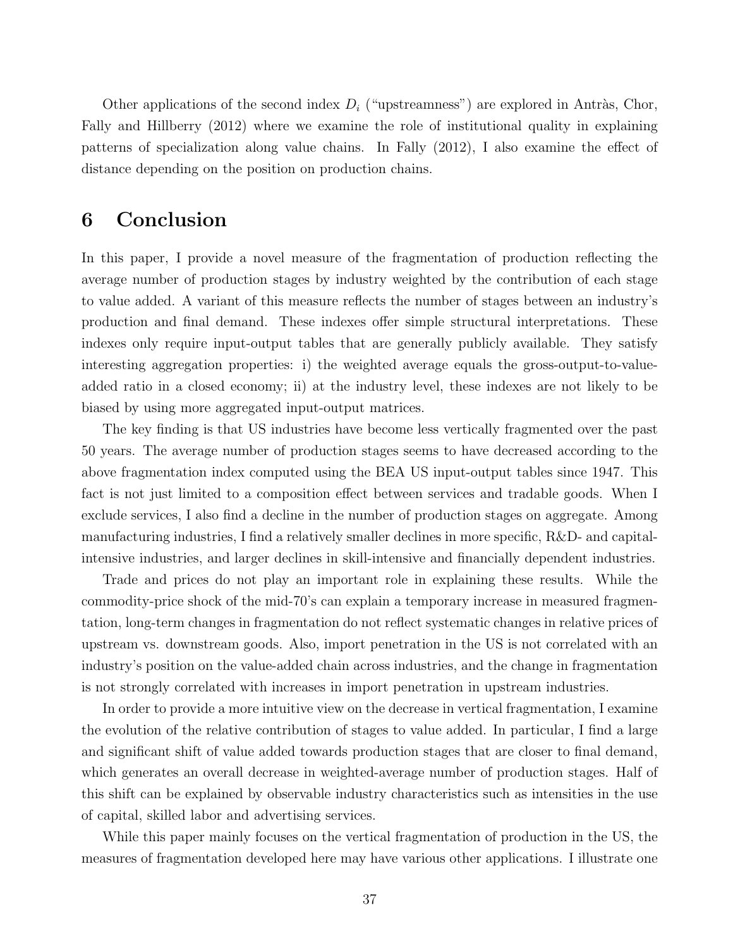Other applications of the second index  $D_i$  ("upstreamness") are explored in Antràs, Chor, Fally and Hillberry (2012) where we examine the role of institutional quality in explaining patterns of specialization along value chains. In Fally (2012), I also examine the effect of distance depending on the position on production chains.

# 6 Conclusion

In this paper, I provide a novel measure of the fragmentation of production reflecting the average number of production stages by industry weighted by the contribution of each stage to value added. A variant of this measure reflects the number of stages between an industry's production and final demand. These indexes offer simple structural interpretations. These indexes only require input-output tables that are generally publicly available. They satisfy interesting aggregation properties: i) the weighted average equals the gross-output-to-valueadded ratio in a closed economy; ii) at the industry level, these indexes are not likely to be biased by using more aggregated input-output matrices.

The key finding is that US industries have become less vertically fragmented over the past 50 years. The average number of production stages seems to have decreased according to the above fragmentation index computed using the BEA US input-output tables since 1947. This fact is not just limited to a composition effect between services and tradable goods. When I exclude services, I also find a decline in the number of production stages on aggregate. Among manufacturing industries, I find a relatively smaller declines in more specific, R&D- and capitalintensive industries, and larger declines in skill-intensive and financially dependent industries.

Trade and prices do not play an important role in explaining these results. While the commodity-price shock of the mid-70's can explain a temporary increase in measured fragmentation, long-term changes in fragmentation do not reflect systematic changes in relative prices of upstream vs. downstream goods. Also, import penetration in the US is not correlated with an industry's position on the value-added chain across industries, and the change in fragmentation is not strongly correlated with increases in import penetration in upstream industries.

In order to provide a more intuitive view on the decrease in vertical fragmentation, I examine the evolution of the relative contribution of stages to value added. In particular, I find a large and significant shift of value added towards production stages that are closer to final demand, which generates an overall decrease in weighted-average number of production stages. Half of this shift can be explained by observable industry characteristics such as intensities in the use of capital, skilled labor and advertising services.

While this paper mainly focuses on the vertical fragmentation of production in the US, the measures of fragmentation developed here may have various other applications. I illustrate one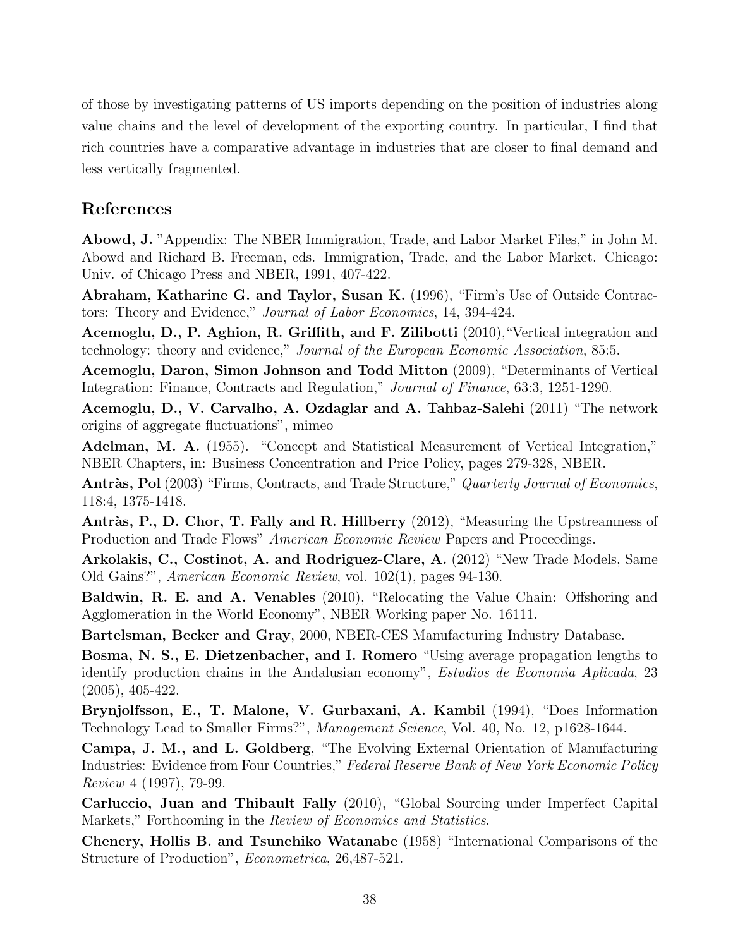of those by investigating patterns of US imports depending on the position of industries along value chains and the level of development of the exporting country. In particular, I find that rich countries have a comparative advantage in industries that are closer to final demand and less vertically fragmented.

## References

Abowd, J. "Appendix: The NBER Immigration, Trade, and Labor Market Files," in John M. Abowd and Richard B. Freeman, eds. Immigration, Trade, and the Labor Market. Chicago: Univ. of Chicago Press and NBER, 1991, 407-422.

Abraham, Katharine G. and Taylor, Susan K. (1996), "Firm's Use of Outside Contractors: Theory and Evidence," Journal of Labor Economics, 14, 394-424.

Acemoglu, D., P. Aghion, R. Griffith, and F. Zilibotti (2010),"Vertical integration and technology: theory and evidence," Journal of the European Economic Association, 85:5.

Acemoglu, Daron, Simon Johnson and Todd Mitton (2009), "Determinants of Vertical Integration: Finance, Contracts and Regulation," Journal of Finance, 63:3, 1251-1290.

Acemoglu, D., V. Carvalho, A. Ozdaglar and A. Tahbaz-Salehi (2011) "The network origins of aggregate fluctuations", mimeo

Adelman, M. A. (1955). "Concept and Statistical Measurement of Vertical Integration," NBER Chapters, in: Business Concentration and Price Policy, pages 279-328, NBER.

Antràs, Pol (2003) "Firms, Contracts, and Trade Structure," Quarterly Journal of Economics, 118:4, 1375-1418.

Antràs, P., D. Chor, T. Fally and R. Hillberry (2012), "Measuring the Upstreamness of Production and Trade Flows" American Economic Review Papers and Proceedings.

Arkolakis, C., Costinot, A. and Rodriguez-Clare, A. (2012) "New Trade Models, Same Old Gains?", American Economic Review, vol. 102(1), pages 94-130.

Baldwin, R. E. and A. Venables (2010), "Relocating the Value Chain: Offshoring and Agglomeration in the World Economy", NBER Working paper No. 16111.

Bartelsman, Becker and Gray, 2000, NBER-CES Manufacturing Industry Database.

Bosma, N. S., E. Dietzenbacher, and I. Romero "Using average propagation lengths to identify production chains in the Andalusian economy", Estudios de Economia Aplicada, 23 (2005), 405-422.

Brynjolfsson, E., T. Malone, V. Gurbaxani, A. Kambil (1994), "Does Information Technology Lead to Smaller Firms?", Management Science, Vol. 40, No. 12, p1628-1644.

Campa, J. M., and L. Goldberg, "The Evolving External Orientation of Manufacturing Industries: Evidence from Four Countries," Federal Reserve Bank of New York Economic Policy Review 4 (1997), 79-99.

Carluccio, Juan and Thibault Fally (2010), "Global Sourcing under Imperfect Capital Markets," Forthcoming in the *Review of Economics and Statistics*.

Chenery, Hollis B. and Tsunehiko Watanabe (1958) "International Comparisons of the Structure of Production", Econometrica, 26,487-521.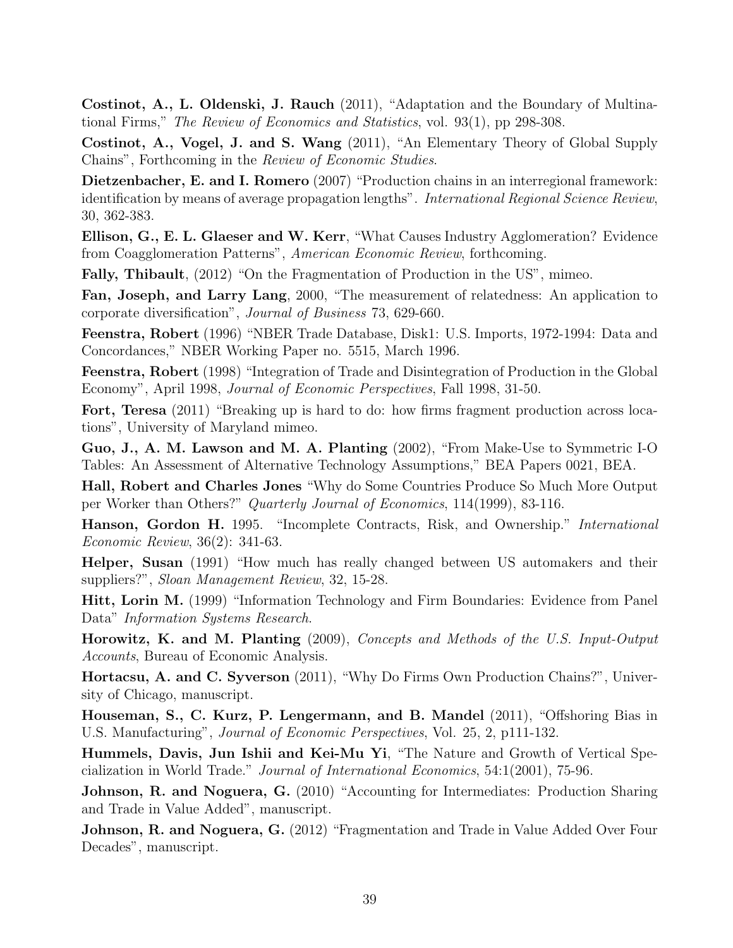Costinot, A., L. Oldenski, J. Rauch (2011), "Adaptation and the Boundary of Multinational Firms," The Review of Economics and Statistics, vol. 93(1), pp 298-308.

Costinot, A., Vogel, J. and S. Wang (2011), "An Elementary Theory of Global Supply Chains", Forthcoming in the Review of Economic Studies.

Dietzenbacher, E. and I. Romero (2007) "Production chains in an interregional framework: identification by means of average propagation lengths". International Regional Science Review, 30, 362-383.

Ellison, G., E. L. Glaeser and W. Kerr, "What Causes Industry Agglomeration? Evidence from Coagglomeration Patterns", American Economic Review, forthcoming.

Fally, Thibault, (2012) "On the Fragmentation of Production in the US", mimeo.

Fan, Joseph, and Larry Lang, 2000, "The measurement of relatedness: An application to corporate diversification", Journal of Business 73, 629-660.

Feenstra, Robert (1996) "NBER Trade Database, Disk1: U.S. Imports, 1972-1994: Data and Concordances," NBER Working Paper no. 5515, March 1996.

Feenstra, Robert (1998) "Integration of Trade and Disintegration of Production in the Global Economy", April 1998, Journal of Economic Perspectives, Fall 1998, 31-50.

Fort, Teresa (2011) "Breaking up is hard to do: how firms fragment production across locations", University of Maryland mimeo.

Guo, J., A. M. Lawson and M. A. Planting (2002), "From Make-Use to Symmetric I-O Tables: An Assessment of Alternative Technology Assumptions," BEA Papers 0021, BEA.

Hall, Robert and Charles Jones "Why do Some Countries Produce So Much More Output per Worker than Others?" Quarterly Journal of Economics, 114(1999), 83-116.

Hanson, Gordon H. 1995. "Incomplete Contracts, Risk, and Ownership." International Economic Review, 36(2): 341-63.

Helper, Susan (1991) "How much has really changed between US automakers and their suppliers?", Sloan Management Review, 32, 15-28.

Hitt, Lorin M. (1999) "Information Technology and Firm Boundaries: Evidence from Panel Data" Information Systems Research.

Horowitz, K. and M. Planting (2009), Concepts and Methods of the U.S. Input-Output Accounts, Bureau of Economic Analysis.

Hortacsu, A. and C. Syverson (2011), "Why Do Firms Own Production Chains?", University of Chicago, manuscript.

Houseman, S., C. Kurz, P. Lengermann, and B. Mandel (2011), "Offshoring Bias in U.S. Manufacturing", Journal of Economic Perspectives, Vol. 25, 2, p111-132.

Hummels, Davis, Jun Ishii and Kei-Mu Yi, "The Nature and Growth of Vertical Specialization in World Trade." Journal of International Economics, 54:1(2001), 75-96.

Johnson, R. and Noguera, G. (2010) "Accounting for Intermediates: Production Sharing and Trade in Value Added", manuscript.

Johnson, R. and Noguera, G. (2012) "Fragmentation and Trade in Value Added Over Four Decades", manuscript.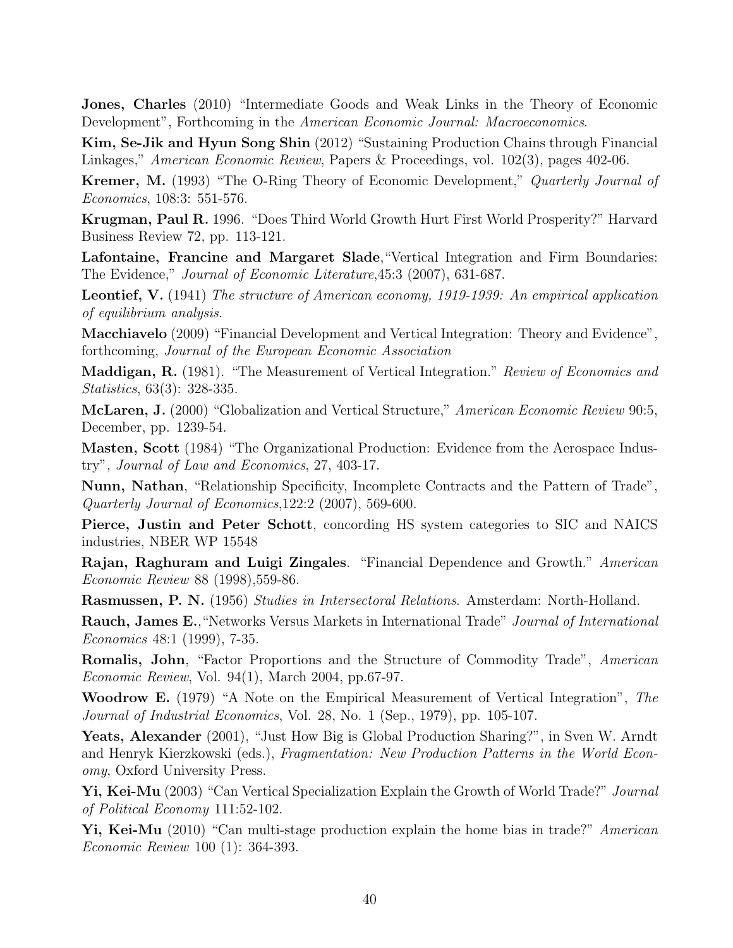Jones, Charles (2010) "Intermediate Goods and Weak Links in the Theory of Economic Development", Forthcoming in the American Economic Journal: Macroeconomics.

Kim, Se-Jik and Hyun Song Shin (2012) "Sustaining Production Chains through Financial Linkages," American Economic Review, Papers & Proceedings, vol. 102(3), pages 402-06.

Kremer, M. (1993) "The O-Ring Theory of Economic Development," Quarterly Journal of Economics, 108:3: 551-576.

Krugman, Paul R. 1996. "Does Third World Growth Hurt First World Prosperity?" Harvard Business Review 72, pp. 113-121.

Lafontaine, Francine and Margaret Slade,"Vertical Integration and Firm Boundaries: The Evidence," Journal of Economic Literature,45:3 (2007), 631-687.

Leontief, V. (1941) The structure of American economy, 1919-1939: An empirical application of equilibrium analysis.

Macchiavelo (2009) "Financial Development and Vertical Integration: Theory and Evidence", forthcoming, Journal of the European Economic Association

**Maddigan, R.** (1981). "The Measurement of Vertical Integration." Review of Economics and Statistics, 63(3): 328-335.

McLaren, J. (2000) "Globalization and Vertical Structure," American Economic Review 90:5, December, pp. 1239-54.

Masten, Scott (1984) "The Organizational Production: Evidence from the Aerospace Industry", Journal of Law and Economics, 27, 403-17.

Nunn, Nathan, "Relationship Specificity, Incomplete Contracts and the Pattern of Trade", Quarterly Journal of Economics,122:2 (2007), 569-600.

Pierce, Justin and Peter Schott, concording HS system categories to SIC and NAICS industries, NBER WP 15548

Rajan, Raghuram and Luigi Zingales. "Financial Dependence and Growth." American Economic Review 88 (1998),559-86.

Rasmussen, P. N. (1956) Studies in Intersectoral Relations. Amsterdam: North-Holland.

Rauch, James E.,"Networks Versus Markets in International Trade" Journal of International Economics 48:1 (1999), 7-35.

Romalis, John, "Factor Proportions and the Structure of Commodity Trade", American Economic Review, Vol. 94(1), March 2004, pp.67-97.

Woodrow E. (1979) "A Note on the Empirical Measurement of Vertical Integration", The Journal of Industrial Economics, Vol. 28, No. 1 (Sep., 1979), pp. 105-107.

Yeats, Alexander (2001), "Just How Big is Global Production Sharing?", in Sven W. Arndt and Henryk Kierzkowski (eds.), Fragmentation: New Production Patterns in the World Economy, Oxford University Press.

Yi, Kei-Mu (2003) "Can Vertical Specialization Explain the Growth of World Trade?" Journal of Political Economy 111:52-102.

Yi, Kei-Mu (2010) "Can multi-stage production explain the home bias in trade?" American Economic Review 100 (1): 364-393.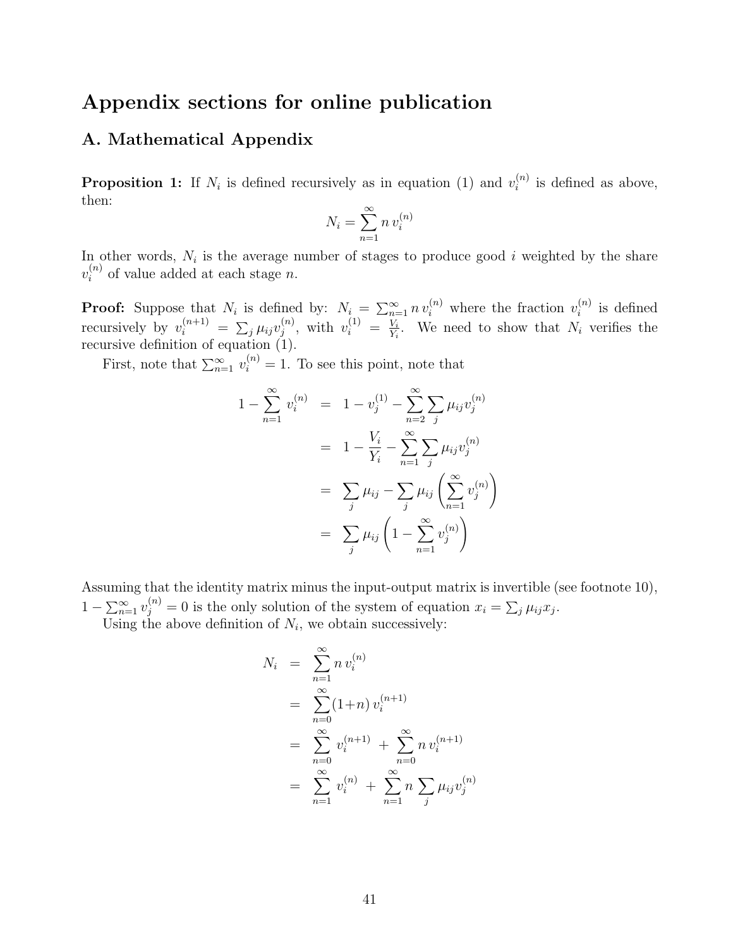# Appendix sections for online publication

## A. Mathematical Appendix

**Proposition 1:** If  $N_i$  is defined recursively as in equation (1) and  $v_i^{(n)}$  $i^{(n)}$  is defined as above, then:

$$
N_i = \sum_{n=1}^{\infty} n v_i^{(n)}
$$

In other words,  $N_i$  is the average number of stages to produce good i weighted by the share  $v_i^{(n)}$  of value added at each stage n.

**Proof:** Suppose that  $N_i$  is defined by:  $N_i = \sum_{n=1}^{\infty} n v_i^{(n)}$  where the fraction  $v_i^{(n)}$  $i^{(n)}$  is defined recursively by  $v_i^{(n+1)} = \sum_j \mu_{ij} v_j^{(n)}$  $j^{(n)}$ , with  $v_i^{(1)} = \frac{V_i}{Y_i}$  $\frac{V_i}{Y_i}$ . We need to show that  $N_i$  verifies the recursive definition of equation (1).

First, note that  $\sum_{n=1}^{\infty} v_i^{(n)} = 1$ . To see this point, note that

$$
1 - \sum_{n=1}^{\infty} v_i^{(n)} = 1 - v_j^{(1)} - \sum_{n=2}^{\infty} \sum_j \mu_{ij} v_j^{(n)}
$$
  
= 
$$
1 - \frac{V_i}{Y_i} - \sum_{n=1}^{\infty} \sum_j \mu_{ij} v_j^{(n)}
$$
  
= 
$$
\sum_j \mu_{ij} - \sum_j \mu_{ij} \left( \sum_{n=1}^{\infty} v_j^{(n)} \right)
$$
  
= 
$$
\sum_j \mu_{ij} \left( 1 - \sum_{n=1}^{\infty} v_j^{(n)} \right)
$$

Assuming that the identity matrix minus the input-output matrix is invertible (see footnote 10),  $1 - \sum_{n=1}^{\infty} v_j^{(n)} = 0$  is the only solution of the system of equation  $x_i = \sum_j \mu_{ij} x_j$ . Using the above definition of  $N_i$ , we obtain successively:

$$
N_i = \sum_{n=1}^{\infty} n v_i^{(n)}
$$
  
= 
$$
\sum_{n=0}^{\infty} (1+n) v_i^{(n+1)}
$$
  
= 
$$
\sum_{n=0}^{\infty} v_i^{(n+1)} + \sum_{n=0}^{\infty} n v_i^{(n+1)}
$$
  
= 
$$
\sum_{n=1}^{\infty} v_i^{(n)} + \sum_{n=1}^{\infty} n \sum_j \mu_{ij} v_j^{(n)}
$$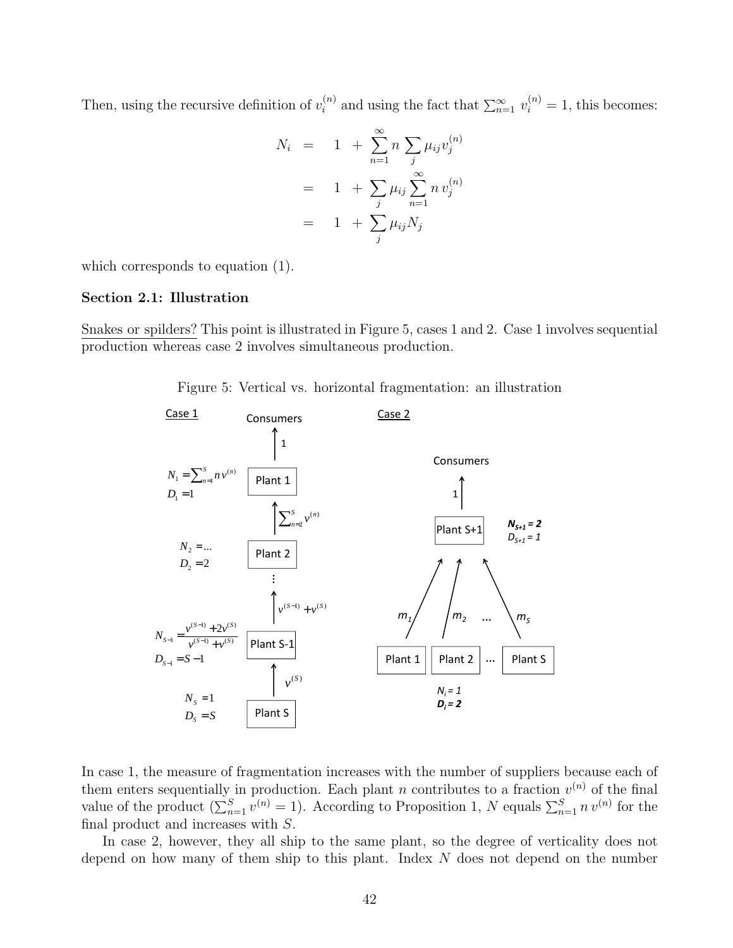Then, using the recursive definition of  $v_i^{(n)}$  and using the fact that  $\sum_{n=1}^{\infty} v_i^{(n)} = 1$ , this becomes:

$$
N_i = 1 + \sum_{n=1}^{\infty} n \sum_{j} \mu_{ij} v_j^{(n)}
$$
  
= 1 +  $\sum_{j} \mu_{ij} \sum_{n=1}^{\infty} n v_j^{(n)}$   
= 1 +  $\sum_{j} \mu_{ij} N_j$ 

which corresponds to equation (1).

### Section 2.1: Illustration

Snakes or spilders? This point is illustrated in Figure 5, cases 1 and 2. Case 1 involves sequential production whereas case 2 involves simultaneous production.





In case 1, the measure of fragmentation increases with the number of suppliers because each of them enters sequentially in production. Each plant n contributes to a fraction  $v^{(n)}$  of the final value of the product  $(\sum_{n=1}^{S} v^{(n)} = 1)$ . According to Proposition 1, N equals  $\sum_{n=1}^{S} n v^{(n)}$  for the final product and increases with S.

In case 2, however, they all ship to the same plant, so the degree of verticality does not depend on how many of them ship to this plant. Index N does not depend on the number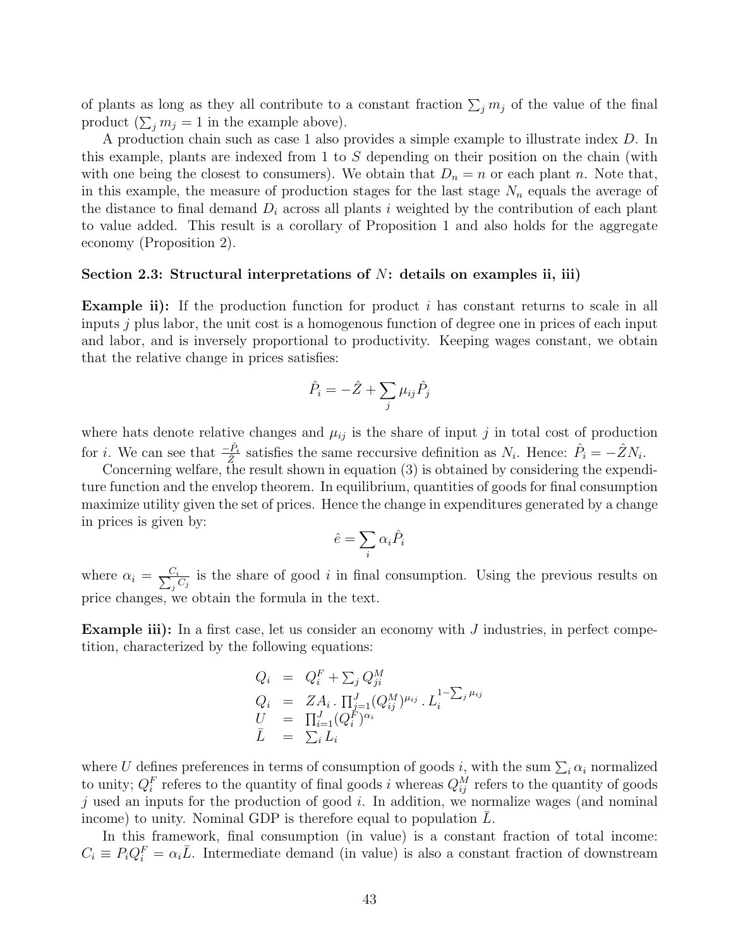of plants as long as they all contribute to a constant fraction  $\sum_j m_j$  of the value of the final product  $(\sum_j m_j = 1$  in the example above).

A production chain such as case 1 also provides a simple example to illustrate index D. In this example, plants are indexed from 1 to S depending on their position on the chain (with with one being the closest to consumers). We obtain that  $D_n = n$  or each plant n. Note that, in this example, the measure of production stages for the last stage  $N_n$  equals the average of the distance to final demand  $D_i$  across all plants i weighted by the contribution of each plant to value added. This result is a corollary of Proposition 1 and also holds for the aggregate economy (Proposition 2).

#### Section 2.3: Structural interpretations of  $N$ : details on examples ii, iii)

**Example ii):** If the production function for product i has constant returns to scale in all inputs  $j$  plus labor, the unit cost is a homogenous function of degree one in prices of each input and labor, and is inversely proportional to productivity. Keeping wages constant, we obtain that the relative change in prices satisfies:

$$
\hat{P}_i = -\hat{Z} + \sum_j \mu_{ij} \hat{P}_j
$$

where hats denote relative changes and  $\mu_{ij}$  is the share of input j in total cost of production for *i*. We can see that  $\frac{-\hat{P}_i}{\hat{Z}}$  satisfies the same reccursive definition as  $N_i$ . Hence:  $\hat{P}_i = -\hat{Z}N_i$ .

Concerning welfare, the result shown in equation (3) is obtained by considering the expenditure function and the envelop theorem. In equilibrium, quantities of goods for final consumption maximize utility given the set of prices. Hence the change in expenditures generated by a change in prices is given by:

$$
\hat{e} = \sum_i \alpha_i \hat{P}_i
$$

where  $\alpha_i = \frac{C_i}{\sum_i c_i}$  $\frac{C_i}{C_j}$  is the share of good i in final consumption. Using the previous results on price changes, we obtain the formula in the text.

**Example iii):** In a first case, let us consider an economy with  $J$  industries, in perfect competition, characterized by the following equations:

$$
Q_i = Q_i^F + \sum_j Q_{ji}^M
$$
  
\n
$$
Q_i = Z A_i \cdot \prod_{j=1}^J (Q_{ij}^M)^{\mu_{ij}} \cdot L_i^{1 - \sum_j \mu_{ij}}
$$
  
\n
$$
U = \prod_{i=1}^J (Q_i^F)^{\alpha_i}
$$
  
\n
$$
\bar{L} = \sum_i L_i
$$

where U defines preferences in terms of consumption of goods i, with the sum  $\sum_i \alpha_i$  normalized to unity;  $Q_i^F$  referes to the quantity of final goods *i* whereas  $Q_{ij}^M$  refers to the quantity of goods j used an inputs for the production of good i. In addition, we normalize wages (and nominal income) to unity. Nominal GDP is therefore equal to population  $L$ .

In this framework, final consumption (in value) is a constant fraction of total income:  $C_i \equiv P_i Q_i^F = \alpha_i \bar{L}$ . Intermediate demand (in value) is also a constant fraction of downstream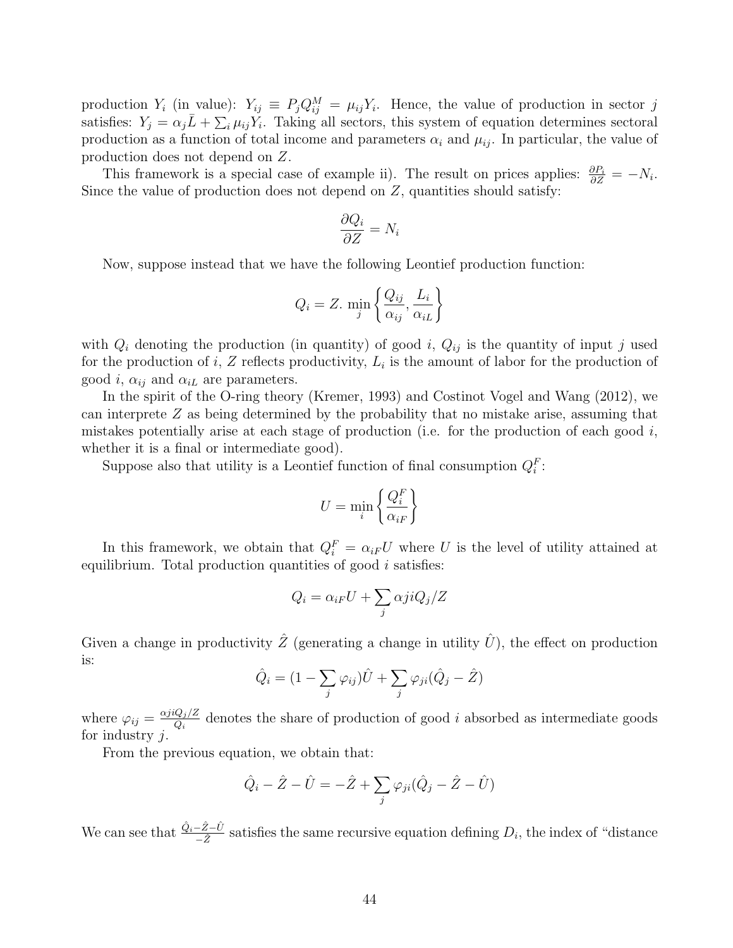production  $Y_i$  (in value):  $Y_{ij} \equiv P_j Q_{ij}^M = \mu_{ij} Y_i$ . Hence, the value of production in sector j satisfies:  $Y_j = \alpha_j \bar{L} + \sum_i \mu_{ij} Y_i$ . Taking all sectors, this system of equation determines sectoral production as a function of total income and parameters  $\alpha_i$  and  $\mu_{ij}$ . In particular, the value of production does not depend on Z.

This framework is a special case of example ii). The result on prices applies:  $\frac{\partial P_i}{\partial Z} = -N_i$ . Since the value of production does not depend on  $Z$ , quantities should satisfy:

$$
\frac{\partial Q_i}{\partial Z} = N_i
$$

Now, suppose instead that we have the following Leontief production function:

$$
Q_i = Z. \min_j \left\{ \frac{Q_{ij}}{\alpha_{ij}}, \frac{L_i}{\alpha_{iL}} \right\}
$$

with  $Q_i$  denoting the production (in quantity) of good i,  $Q_{ij}$  is the quantity of input j used for the production of i, Z reflects productivity,  $L_i$  is the amount of labor for the production of good i,  $\alpha_{ij}$  and  $\alpha_{iL}$  are parameters.

In the spirit of the O-ring theory (Kremer, 1993) and Costinot Vogel and Wang (2012), we can interprete Z as being determined by the probability that no mistake arise, assuming that mistakes potentially arise at each stage of production (i.e. for the production of each good  $i$ , whether it is a final or intermediate good).

Suppose also that utility is a Leontief function of final consumption  $Q_i^F$ :

$$
U = \min_i \left\{ \frac{Q_i^F}{\alpha_{iF}} \right\}
$$

In this framework, we obtain that  $Q_i^F = \alpha_{iF} U$  where U is the level of utility attained at equilibrium. Total production quantities of good  $i$  satisfies:

$$
Q_i = \alpha_{iF} U + \sum_j \alpha j i Q_j / Z
$$

Given a change in productivity  $\hat{Z}$  (generating a change in utility  $\hat{U}$ ), the effect on production is:

$$
\hat{Q}_i = (1 - \sum_j \varphi_{ij})\hat{U} + \sum_j \varphi_{ji}(\hat{Q}_j - \hat{Z})
$$

where  $\varphi_{ij} = \frac{\alpha j i Q_j / Z}{Q_i}$  $\frac{Q_j}{Q_i}$  denotes the share of production of good i absorbed as intermediate goods for industry  $i$ .

From the previous equation, we obtain that:

$$
\hat{Q}_i - \hat{Z} - \hat{U} = -\hat{Z} + \sum_j \varphi_{ji} (\hat{Q}_j - \hat{Z} - \hat{U})
$$

We can see that  $\frac{\hat{Q}_i - \hat{Z} - \hat{U}}{\hat{Z}}$  $\frac{-Z-U}{-\hat{Z}}$  satisfies the same recursive equation defining  $D_i$ , the index of "distance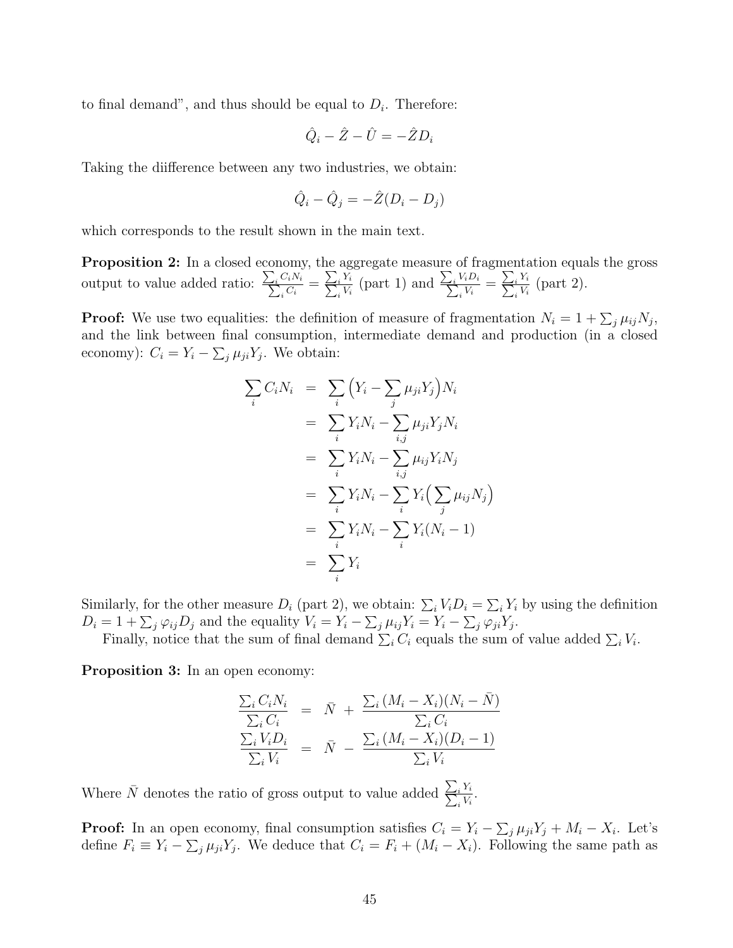to final demand", and thus should be equal to  $D_i$ . Therefore:

$$
\hat{Q}_i - \hat{Z} - \hat{U} = -\hat{Z}D_i
$$

Taking the diifference between any two industries, we obtain:

$$
\hat{Q}_i - \hat{Q}_j = -\hat{Z}(D_i - D_j)
$$

which corresponds to the result shown in the main text.

Proposition 2: In a closed economy, the aggregate measure of fragmentation equals the gross output to value added ratio:  $\frac{\sum_i C_i N_i}{\sum_i C_i}$  $\frac{C_i N_i}{\frac{C_i}{}} = \frac{\sum_i Y_i}{\sum_i V_i}$  $\frac{i Y_i}{i V_i}$  (part 1) and  $\frac{\sum_i V_i D_i}{\sum_i V_i}$  $\frac{V_i D_i}{i \, V_i} = \frac{\sum_i Y_i}{\sum_i V_i}$  $\frac{i^{\,I\,i}}{V_i}$  (part 2).

**Proof:** We use two equalities: the definition of measure of fragmentation  $N_i = 1 + \sum_j \mu_{ij} N_j$ , and the link between final consumption, intermediate demand and production (in a closed economy):  $C_i = Y_i - \sum_j \mu_{ji} Y_j$ . We obtain:

$$
\sum_{i} C_{i}N_{i} = \sum_{i} \left(Y_{i} - \sum_{j} \mu_{ji}Y_{j}\right)N_{i}
$$
\n
$$
= \sum_{i} Y_{i}N_{i} - \sum_{i,j} \mu_{ji}Y_{j}N_{i}
$$
\n
$$
= \sum_{i} Y_{i}N_{i} - \sum_{i,j} \mu_{ij}Y_{i}N_{j}
$$
\n
$$
= \sum_{i} Y_{i}N_{i} - \sum_{i} Y_{i}\left(\sum_{j} \mu_{ij}N_{j}\right)
$$
\n
$$
= \sum_{i} Y_{i}N_{i} - \sum_{i} Y_{i}(N_{i} - 1)
$$
\n
$$
= \sum_{i} Y_{i}
$$

Similarly, for the other measure  $D_i$  (part 2), we obtain:  $\sum_i V_i D_i = \sum_i Y_i$  by using the definition  $D_i = 1 + \sum_j \varphi_{ij} D_j$  and the equality  $V_i = Y_i - \sum_j \mu_{ij} Y_i = Y_i - \sum_j \varphi_{ji} Y_j$ .

Finally, notice that the sum of final demand  $\sum_i C_i$  equals the sum of value added  $\sum_i V_i$ .

Proposition 3: In an open economy:

$$
\frac{\sum_{i} C_{i} N_{i}}{\sum_{i} C_{i}} = \bar{N} + \frac{\sum_{i} (M_{i} - X_{i})(N_{i} - \bar{N})}{\sum_{i} C_{i}}
$$
\n
$$
\frac{\sum_{i} V_{i} D_{i}}{\sum_{i} V_{i}} = \bar{N} - \frac{\sum_{i} (M_{i} - X_{i})(D_{i} - 1)}{\sum_{i} V_{i}}
$$

Where  $\bar{N}$  denotes the ratio of gross output to value added  $\frac{\sum_{i} Y_i}{\sum_{i} V_i}$  $\frac{i^{\; I\, i}}{i^{\; V_i}}.$ 

**Proof:** In an open economy, final consumption satisfies  $C_i = Y_i - \sum_j \mu_{ji} Y_j + M_i - X_i$ . Let's define  $F_i \equiv Y_i - \sum_j \mu_{ji} Y_j$ . We deduce that  $C_i = F_i + (M_i - X_i)$ . Following the same path as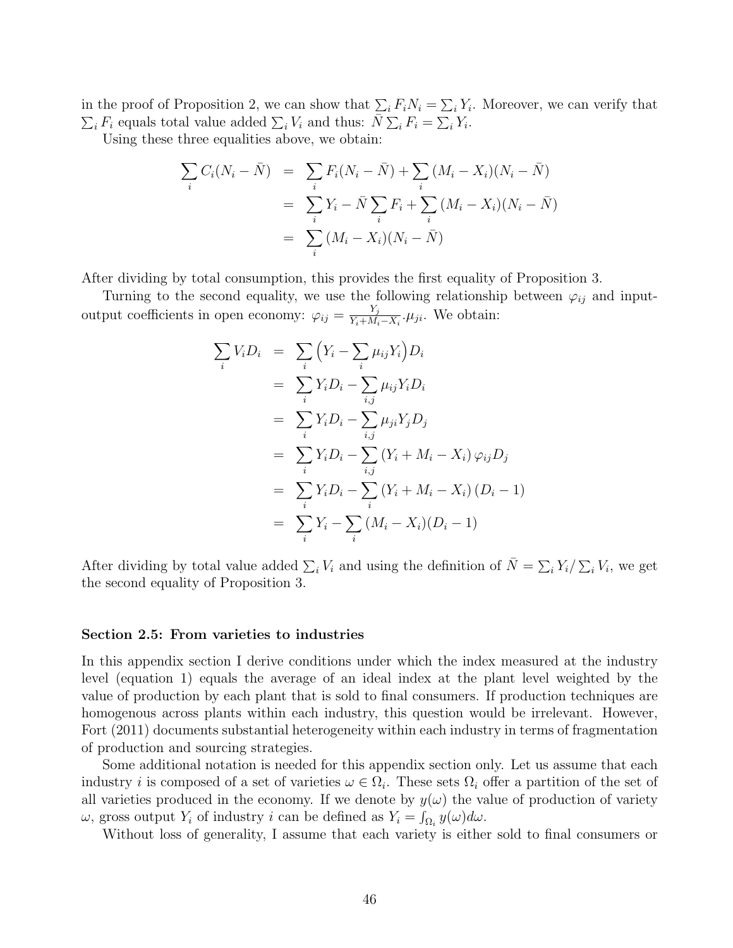in the proof of Proposition 2, we can show that  $\sum_i F_i N_i = \sum_i Y_i$ . Moreover, we can verify that  $\sum_i F_i$  equals total value added  $\sum_i V_i$  and thus:  $\overline{N} \sum_i F_i = \sum_i Y_i$ .

Using these three equalities above, we obtain:

$$
\sum_{i} C_{i}(N_{i} - \bar{N}) = \sum_{i} F_{i}(N_{i} - \bar{N}) + \sum_{i} (M_{i} - X_{i})(N_{i} - \bar{N})
$$
  
= 
$$
\sum_{i} Y_{i} - \bar{N} \sum_{i} F_{i} + \sum_{i} (M_{i} - X_{i})(N_{i} - \bar{N})
$$
  
= 
$$
\sum_{i} (M_{i} - X_{i})(N_{i} - \bar{N})
$$

After dividing by total consumption, this provides the first equality of Proposition 3.

Turning to the second equality, we use the following relationship between  $\varphi_{ij}$  and inputoutput coefficients in open economy:  $\varphi_{ij} = \frac{Y_j}{Y_i + M_i}$  $\frac{Y_j}{Y_i+M_i-X_i}$ . We obtain:

$$
\sum_{i} V_{i}D_{i} = \sum_{i} (Y_{i} - \sum_{i} \mu_{ij}Y_{i})D_{i}
$$
\n
$$
= \sum_{i} Y_{i}D_{i} - \sum_{i,j} \mu_{ij}Y_{i}D_{i}
$$
\n
$$
= \sum_{i} Y_{i}D_{i} - \sum_{i,j} \mu_{ji}Y_{j}D_{j}
$$
\n
$$
= \sum_{i} Y_{i}D_{i} - \sum_{i,j} (Y_{i} + M_{i} - X_{i}) \varphi_{ij}D_{j}
$$
\n
$$
= \sum_{i} Y_{i}D_{i} - \sum_{i} (Y_{i} + M_{i} - X_{i}) (D_{i} - 1)
$$
\n
$$
= \sum_{i} Y_{i} - \sum_{i} (M_{i} - X_{i})(D_{i} - 1)
$$

After dividing by total value added  $\sum_i V_i$  and using the definition of  $\bar{N} = \sum_i Y_i / \sum_i V_i$ , we get the second equality of Proposition 3.

#### Section 2.5: From varieties to industries

In this appendix section I derive conditions under which the index measured at the industry level (equation 1) equals the average of an ideal index at the plant level weighted by the value of production by each plant that is sold to final consumers. If production techniques are homogenous across plants within each industry, this question would be irrelevant. However, Fort (2011) documents substantial heterogeneity within each industry in terms of fragmentation of production and sourcing strategies.

Some additional notation is needed for this appendix section only. Let us assume that each industry *i* is composed of a set of varieties  $\omega \in \Omega_i$ . These sets  $\Omega_i$  offer a partition of the set of all varieties produced in the economy. If we denote by  $y(\omega)$  the value of production of variety  $\omega$ , gross output  $Y_i$  of industry i can be defined as  $Y_i = \int_{\Omega_i} y(\omega) d\omega$ .

Without loss of generality, I assume that each variety is either sold to final consumers or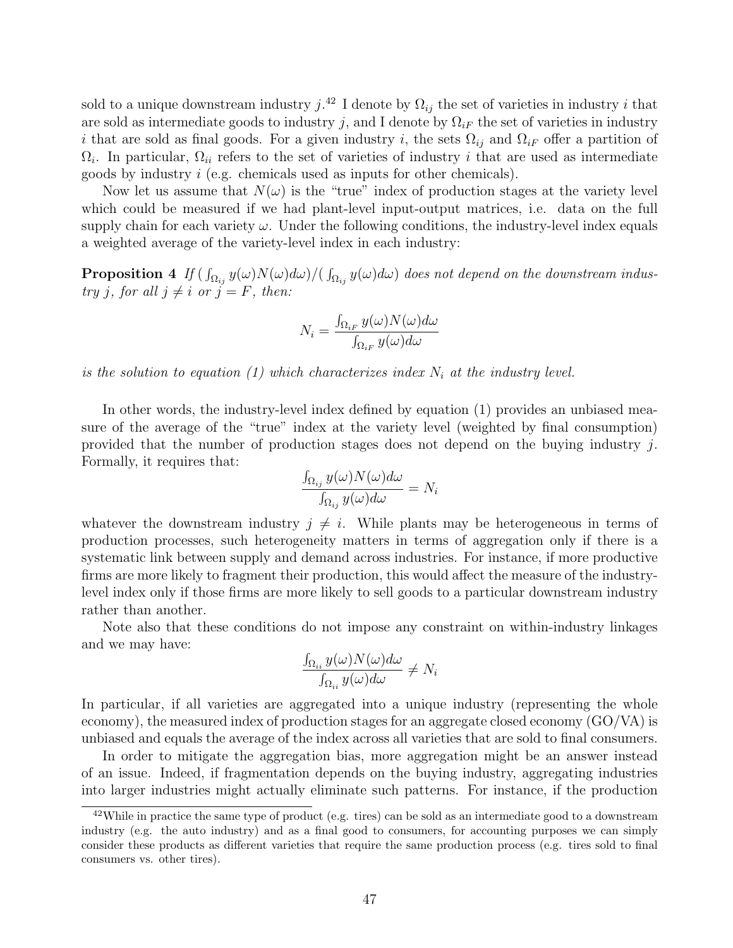sold to a unique downstream industry  $j^{(42)}$  I denote by  $\Omega_{ij}$  the set of varieties in industry i that are sold as intermediate goods to industry j, and I denote by  $\Omega_{iF}$  the set of varieties in industry i that are sold as final goods. For a given industry i, the sets  $\Omega_{ij}$  and  $\Omega_{i}$  offer a partition of  $\Omega_i$ . In particular,  $\Omega_{ii}$  refers to the set of varieties of industry i that are used as intermediate goods by industry i (e.g. chemicals used as inputs for other chemicals).

Now let us assume that  $N(\omega)$  is the "true" index of production stages at the variety level which could be measured if we had plant-level input-output matrices, i.e. data on the full supply chain for each variety  $\omega$ . Under the following conditions, the industry-level index equals a weighted average of the variety-level index in each industry:

**Proposition 4** If  $(\int_{\Omega_{ij}} y(\omega)N(\omega)d\omega)/(\int_{\Omega_{ij}} y(\omega)d\omega)$  does not depend on the downstream industry j, for all  $j \neq i$  or  $j = F$ , then:

$$
N_i = \frac{\int_{\Omega_{iF}} y(\omega) N(\omega) d\omega}{\int_{\Omega_{iF}} y(\omega) d\omega}
$$

is the solution to equation (1) which characterizes index  $N_i$  at the industry level.

In other words, the industry-level index defined by equation (1) provides an unbiased measure of the average of the "true" index at the variety level (weighted by final consumption) provided that the number of production stages does not depend on the buying industry j. Formally, it requires that:

$$
\frac{\int_{\Omega_{ij}} y(\omega) N(\omega) d\omega}{\int_{\Omega_{ij}} y(\omega) d\omega} = N_i
$$

whatever the downstream industry  $j \neq i$ . While plants may be heterogeneous in terms of production processes, such heterogeneity matters in terms of aggregation only if there is a systematic link between supply and demand across industries. For instance, if more productive firms are more likely to fragment their production, this would affect the measure of the industrylevel index only if those firms are more likely to sell goods to a particular downstream industry rather than another.

Note also that these conditions do not impose any constraint on within-industry linkages and we may have:

$$
\frac{\int_{\Omega_{ii}} y(\omega) N(\omega) d\omega}{\int_{\Omega_{ii}} y(\omega) d\omega} \neq N_i
$$

In particular, if all varieties are aggregated into a unique industry (representing the whole economy), the measured index of production stages for an aggregate closed economy (GO/VA) is unbiased and equals the average of the index across all varieties that are sold to final consumers.

In order to mitigate the aggregation bias, more aggregation might be an answer instead of an issue. Indeed, if fragmentation depends on the buying industry, aggregating industries into larger industries might actually eliminate such patterns. For instance, if the production

<sup>42</sup>While in practice the same type of product (e.g. tires) can be sold as an intermediate good to a downstream industry (e.g. the auto industry) and as a final good to consumers, for accounting purposes we can simply consider these products as different varieties that require the same production process (e.g. tires sold to final consumers vs. other tires).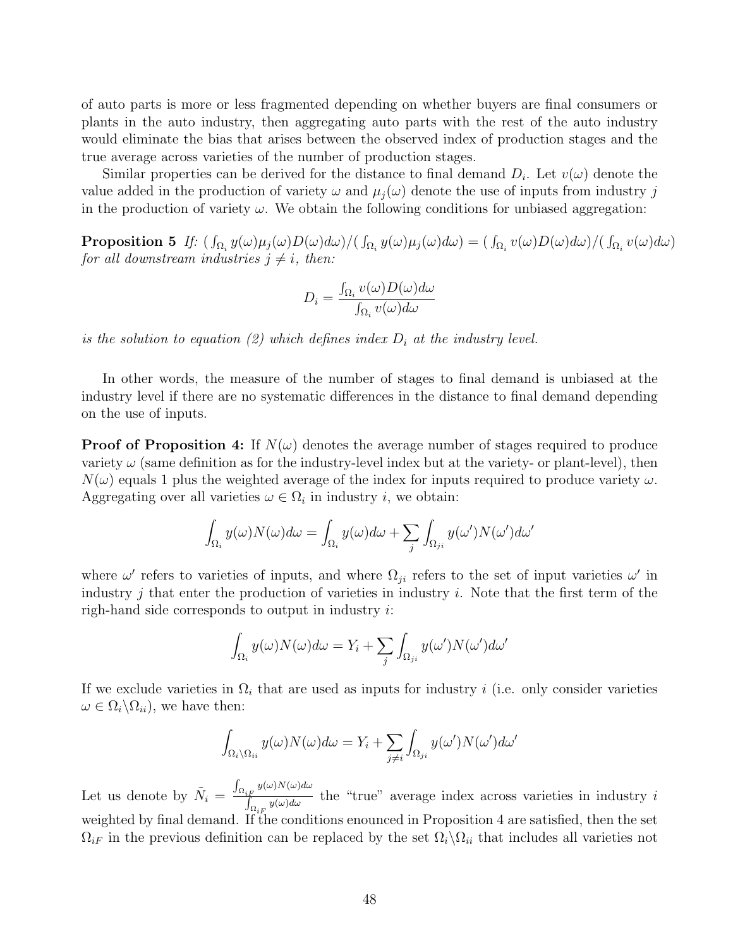of auto parts is more or less fragmented depending on whether buyers are final consumers or plants in the auto industry, then aggregating auto parts with the rest of the auto industry would eliminate the bias that arises between the observed index of production stages and the true average across varieties of the number of production stages.

Similar properties can be derived for the distance to final demand  $D_i$ . Let  $v(\omega)$  denote the value added in the production of variety  $\omega$  and  $\mu_i(\omega)$  denote the use of inputs from industry j in the production of variety  $\omega$ . We obtain the following conditions for unbiased aggregation:

 $\bf Proposition \ 5 \ \textit{If: } (\int_{\Omega_i}y(\omega)\mu_j(\omega)D(\omega)d\omega)/(\int_{\Omega_i}y(\omega)\mu_j(\omega)d\omega)=(\int_{\Omega_i}v(\omega)D(\omega)d\omega)/(\int_{\Omega_i}v(\omega)d\omega)$ for all downstream industries  $j \neq i$ , then:

$$
D_i = \frac{\int_{\Omega_i} v(\omega) D(\omega) d\omega}{\int_{\Omega_i} v(\omega) d\omega}
$$

is the solution to equation (2) which defines index  $D_i$  at the industry level.

In other words, the measure of the number of stages to final demand is unbiased at the industry level if there are no systematic differences in the distance to final demand depending on the use of inputs.

**Proof of Proposition 4:** If  $N(\omega)$  denotes the average number of stages required to produce variety  $\omega$  (same definition as for the industry-level index but at the variety- or plant-level), then  $N(\omega)$  equals 1 plus the weighted average of the index for inputs required to produce variety  $\omega$ . Aggregating over all varieties  $\omega \in \Omega_i$  in industry *i*, we obtain:

$$
\int_{\Omega_i} y(\omega) N(\omega) d\omega = \int_{\Omega_i} y(\omega) d\omega + \sum_j \int_{\Omega_{ji}} y(\omega') N(\omega') d\omega'
$$

where  $\omega'$  refers to varieties of inputs, and where  $\Omega_{ji}$  refers to the set of input varieties  $\omega'$  in industry  $j$  that enter the production of varieties in industry  $i$ . Note that the first term of the righ-hand side corresponds to output in industry  $i$ :

$$
\int_{\Omega_i} y(\omega) N(\omega) d\omega = Y_i + \sum_j \int_{\Omega_{ji}} y(\omega') N(\omega') d\omega'
$$

If we exclude varieties in  $\Omega_i$  that are used as inputs for industry i (i.e. only consider varieties  $\omega \in \Omega_i \backslash \Omega_{ii}$ , we have then:

$$
\int_{\Omega_i \setminus \Omega_{ii}} y(\omega) N(\omega) d\omega = Y_i + \sum_{j \neq i} \int_{\Omega_{ji}} y(\omega') N(\omega') d\omega'
$$

Let us denote by  $\tilde{N}_i =$  $\int_{\Omega_{iF}} y(\omega) N(\omega) d\omega$  $\int_{\Omega_{i}F} \frac{y(x)}{y(x)dx}$  the "true" average index across varieties in industry i weighted by final demand. If the conditions enounced in Proposition 4 are satisfied, then the set  $\Omega_{iF}$  in the previous definition can be replaced by the set  $\Omega_i\backslash\Omega_{ii}$  that includes all varieties not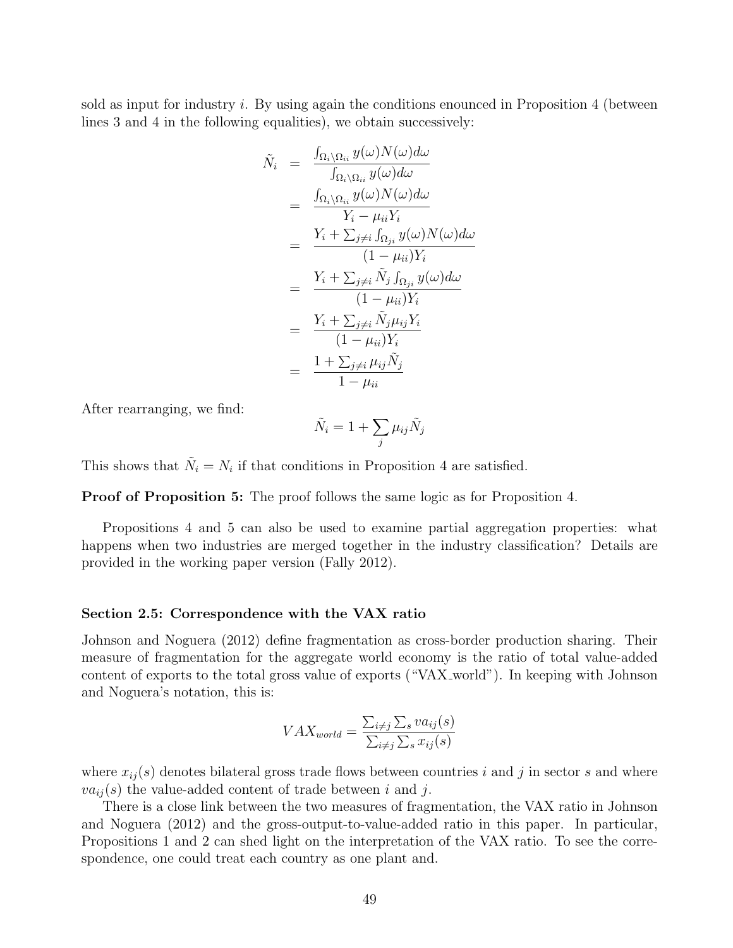sold as input for industry i. By using again the conditions enounced in Proposition 4 (between lines 3 and 4 in the following equalities), we obtain successively:

$$
\tilde{N}_{i} = \frac{\int_{\Omega_{i} \setminus \Omega_{ii}} y(\omega) N(\omega) d\omega}{\int_{\Omega_{i} \setminus \Omega_{ii}} y(\omega) d\omega}
$$
\n
$$
= \frac{\int_{\Omega_{i} \setminus \Omega_{ii}} y(\omega) N(\omega) d\omega}{Y_{i} - \mu_{ii} Y_{i}}
$$
\n
$$
= \frac{Y_{i} + \sum_{j \neq i} \int_{\Omega_{j}i} y(\omega) N(\omega) d\omega}{(1 - \mu_{ii}) Y_{i}}
$$
\n
$$
= \frac{Y_{i} + \sum_{j \neq i} \tilde{N}_{j} \int_{\Omega_{j}i} y(\omega) d\omega}{(1 - \mu_{ii}) Y_{i}}
$$
\n
$$
= \frac{Y_{i} + \sum_{j \neq i} \tilde{N}_{j} \mu_{ij} Y_{i}}{(1 - \mu_{ii}) Y_{i}}
$$
\n
$$
= \frac{1 + \sum_{j \neq i} \mu_{ij} \tilde{N}_{j}}{1 - \mu_{ii}}
$$

After rearranging, we find:

$$
\tilde{N}_i = 1 + \sum_j \mu_{ij} \tilde{N}_j
$$

This shows that  $\tilde{N}_i = N_i$  if that conditions in Proposition 4 are satisfied.

Proof of Proposition 5: The proof follows the same logic as for Proposition 4.

Propositions 4 and 5 can also be used to examine partial aggregation properties: what happens when two industries are merged together in the industry classification? Details are provided in the working paper version (Fally 2012).

#### Section 2.5: Correspondence with the VAX ratio

Johnson and Noguera (2012) define fragmentation as cross-border production sharing. Their measure of fragmentation for the aggregate world economy is the ratio of total value-added content of exports to the total gross value of exports ("VAX\_world"). In keeping with Johnson and Noguera's notation, this is:

$$
VAX_{world} = \frac{\sum_{i \neq j} \sum_{s} va_{ij}(s)}{\sum_{i \neq j} \sum_{s} x_{ij}(s)}
$$

where  $x_{ij}(s)$  denotes bilateral gross trade flows between countries i and j in sector s and where  $va_{ij}(s)$  the value-added content of trade between i and j.

There is a close link between the two measures of fragmentation, the VAX ratio in Johnson and Noguera (2012) and the gross-output-to-value-added ratio in this paper. In particular, Propositions 1 and 2 can shed light on the interpretation of the VAX ratio. To see the correspondence, one could treat each country as one plant and.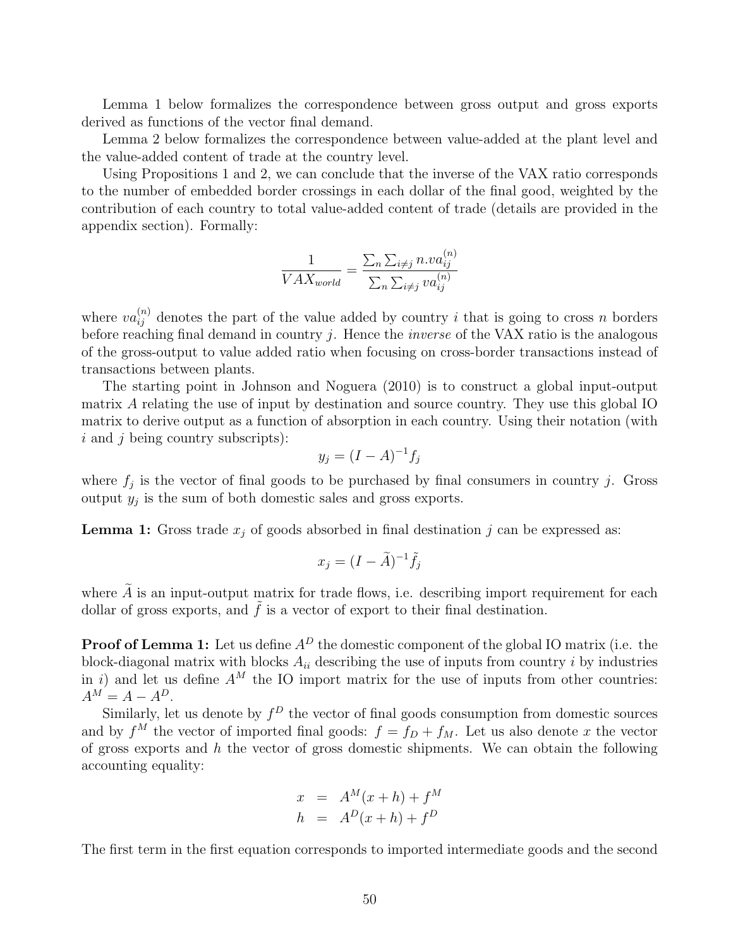Lemma 1 below formalizes the correspondence between gross output and gross exports derived as functions of the vector final demand.

Lemma 2 below formalizes the correspondence between value-added at the plant level and the value-added content of trade at the country level.

Using Propositions 1 and 2, we can conclude that the inverse of the VAX ratio corresponds to the number of embedded border crossings in each dollar of the final good, weighted by the contribution of each country to total value-added content of trade (details are provided in the appendix section). Formally:

$$
\frac{1}{VAX_{world}} = \frac{\sum_{n} \sum_{i \neq j} n.va_{ij}^{(n)}}{\sum_{n} \sum_{i \neq j} va_{ij}^{(n)}}
$$

where  $va_{ij}^{(n)}$  denotes the part of the value added by country i that is going to cross n borders before reaching final demand in country j. Hence the *inverse* of the VAX ratio is the analogous of the gross-output to value added ratio when focusing on cross-border transactions instead of transactions between plants.

The starting point in Johnson and Noguera (2010) is to construct a global input-output matrix A relating the use of input by destination and source country. They use this global IO matrix to derive output as a function of absorption in each country. Using their notation (with  $i$  and  $j$  being country subscripts):

$$
y_j = (I - A)^{-1} f_j
$$

where  $f_j$  is the vector of final goods to be purchased by final consumers in country j. Gross output  $y_j$  is the sum of both domestic sales and gross exports.

**Lemma 1:** Gross trade  $x_j$  of goods absorbed in final destination j can be expressed as:

$$
x_j = (I - \tilde{A})^{-1} \tilde{f}_j
$$

where  $\tilde{A}$  is an input-output matrix for trade flows, i.e. describing import requirement for each dollar of gross exports, and  $\tilde{f}$  is a vector of export to their final destination.

**Proof of Lemma 1:** Let us define  $A^D$  the domestic component of the global IO matrix (i.e. the block-diagonal matrix with blocks  $A_{ii}$  describing the use of inputs from country i by industries in i) and let us define  $A^M$  the IO import matrix for the use of inputs from other countries:  $A^M = A - A^D.$ 

Similarly, let us denote by  $f^D$  the vector of final goods consumption from domestic sources and by  $f^M$  the vector of imported final goods:  $f = f_D + f_M$ . Let us also denote x the vector of gross exports and  $h$  the vector of gross domestic shipments. We can obtain the following accounting equality:

$$
x = A^M(x+h) + f^M
$$
  

$$
h = A^D(x+h) + f^D
$$

The first term in the first equation corresponds to imported intermediate goods and the second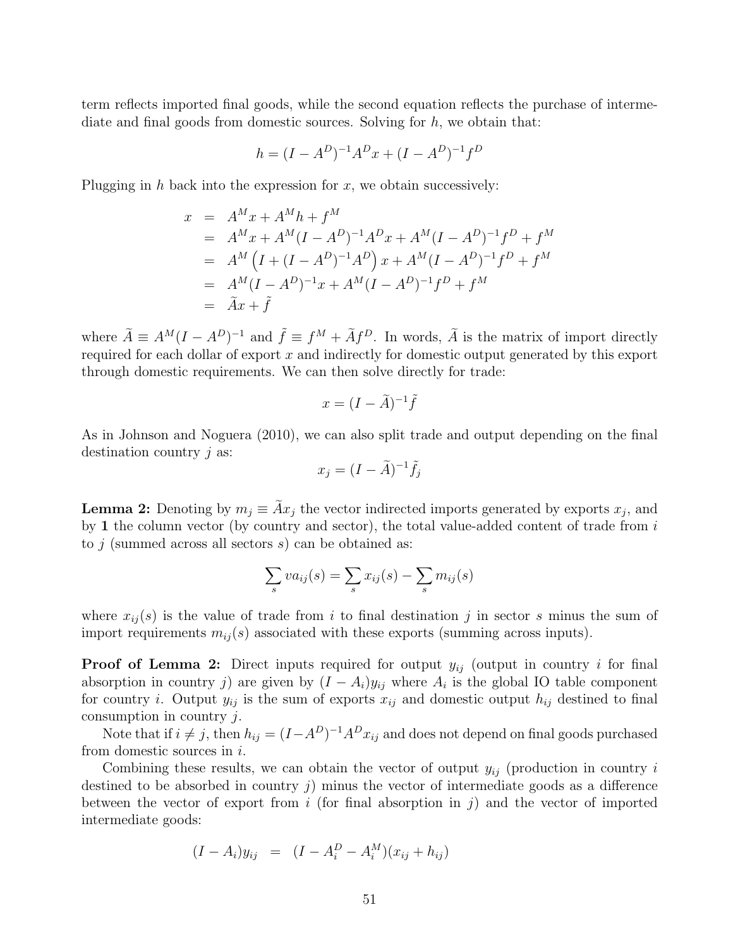term reflects imported final goods, while the second equation reflects the purchase of intermediate and final goods from domestic sources. Solving for  $h$ , we obtain that:

$$
h = (I - A^D)^{-1}A^D x + (I - A^D)^{-1}f^D
$$

Plugging in h back into the expression for x, we obtain successively:

$$
x = A^M x + A^M h + f^M
$$
  
=  $A^M x + A^M (I - A^D)^{-1} A^D x + A^M (I - A^D)^{-1} f^D + f^M$   
=  $A^M (I + (I - A^D)^{-1} A^D) x + A^M (I - A^D)^{-1} f^D + f^M$   
=  $A^M (I - A^D)^{-1} x + A^M (I - A^D)^{-1} f^D + f^M$   
=  $\tilde{A} x + \tilde{f}$ 

where  $\tilde{A} \equiv A^M (I - A^D)^{-1}$  and  $\tilde{f} \equiv f^M + \tilde{A} f^D$ . In words,  $\tilde{A}$  is the matrix of import directly required for each dollar of export  $x$  and indirectly for domestic output generated by this export through domestic requirements. We can then solve directly for trade:

$$
x = (I - \tilde{A})^{-1} \tilde{f}
$$

As in Johnson and Noguera (2010), we can also split trade and output depending on the final destination country *j* as:

$$
x_j = (I - \tilde{A})^{-1} \tilde{f}_j
$$

**Lemma 2:** Denoting by  $m_j \equiv Ax_j$  the vector indirected imports generated by exports  $x_j$ , and by 1 the column vector (by country and sector), the total value-added content of trade from i to  $j$  (summed across all sectors  $s$ ) can be obtained as:

$$
\sum_{s} va_{ij}(s) = \sum_{s} x_{ij}(s) - \sum_{s} m_{ij}(s)
$$

where  $x_{ij}(s)$  is the value of trade from i to final destination j in sector s minus the sum of import requirements  $m_{ij}(s)$  associated with these exports (summing across inputs).

**Proof of Lemma 2:** Direct inputs required for output  $y_{ij}$  (output in country i for final absorption in country j) are given by  $(I - A_i)y_{ij}$  where  $A_i$  is the global IO table component for country *i*. Output  $y_{ij}$  is the sum of exports  $x_{ij}$  and domestic output  $h_{ij}$  destined to final consumption in country  $j$ .

Note that if  $i \neq j$ , then  $h_{ij} = (I - A^D)^{-1} A^D x_{ij}$  and does not depend on final goods purchased from domestic sources in  $i$ .

Combining these results, we can obtain the vector of output  $y_{ij}$  (production in country i destined to be absorbed in country j) minus the vector of intermediate goods as a difference between the vector of export from i (for final absorption in j) and the vector of imported intermediate goods:

$$
(I - A_i)y_{ij} = (I - A_i^D - A_i^M)(x_{ij} + h_{ij})
$$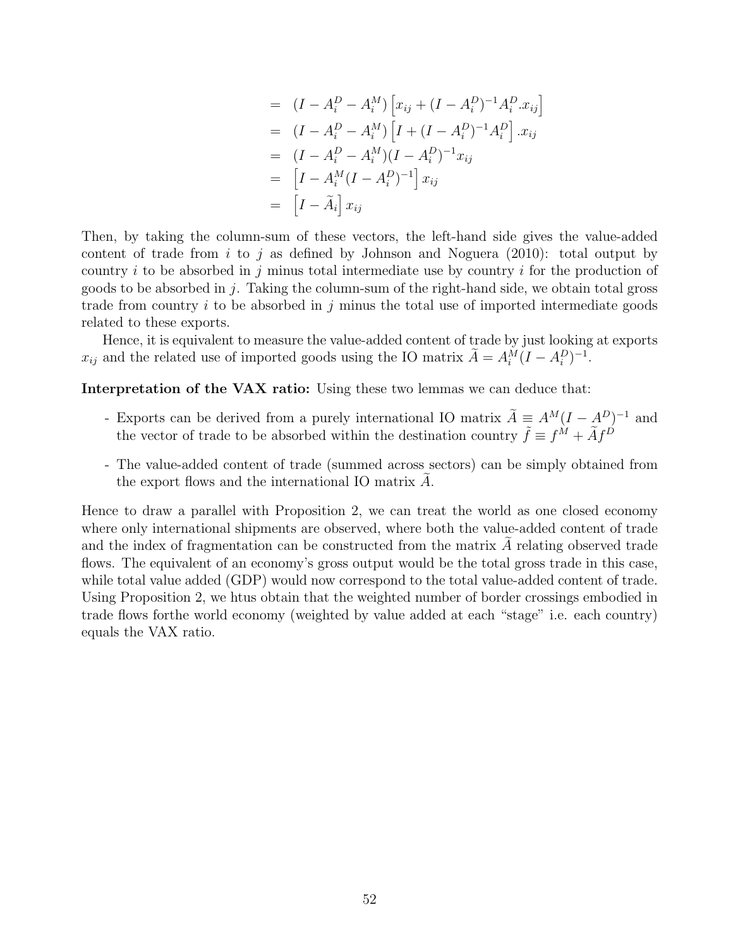$$
= (I - A_i^D - A_i^M) [x_{ij} + (I - A_i^D)^{-1} A_i^D.x_{ij}]
$$
  
\n
$$
= (I - A_i^D - A_i^M) [I + (I - A_i^D)^{-1} A_i^D] .x_{ij}
$$
  
\n
$$
= (I - A_i^D - A_i^M)(I - A_i^D)^{-1} x_{ij}
$$
  
\n
$$
= [I - A_i^M (I - A_i^D)^{-1}] x_{ij}
$$
  
\n
$$
= [I - \tilde{A}_i] x_{ij}
$$

Then, by taking the column-sum of these vectors, the left-hand side gives the value-added content of trade from i to j as defined by Johnson and Noguera  $(2010)$ : total output by country i to be absorbed in j minus total intermediate use by country i for the production of goods to be absorbed in j. Taking the column-sum of the right-hand side, we obtain total gross trade from country i to be absorbed in j minus the total use of imported intermediate goods related to these exports.

Hence, it is equivalent to measure the value-added content of trade by just looking at exports  $x_{ij}$  and the related use of imported goods using the IO matrix  $\tilde{A} = A_i^M (I - A_i^D)^{-1}$ .

Interpretation of the VAX ratio: Using these two lemmas we can deduce that:

- Exports can be derived from a purely international IO matrix  $\tilde{A} \equiv A^M (I A^D)^{-1}$  and the vector of trade to be absorbed within the destination country  $\tilde{f} \equiv f^{\tilde{M}} + \tilde{A}f^{\tilde{D}}$
- The value-added content of trade (summed across sectors) can be simply obtained from the export flows and the international IO matrix  $A$ .

Hence to draw a parallel with Proposition 2, we can treat the world as one closed economy where only international shipments are observed, where both the value-added content of trade and the index of fragmentation can be constructed from the matrix  $A$  relating observed trade flows. The equivalent of an economy's gross output would be the total gross trade in this case, while total value added (GDP) would now correspond to the total value-added content of trade. Using Proposition 2, we htus obtain that the weighted number of border crossings embodied in trade flows forthe world economy (weighted by value added at each "stage" i.e. each country) equals the VAX ratio.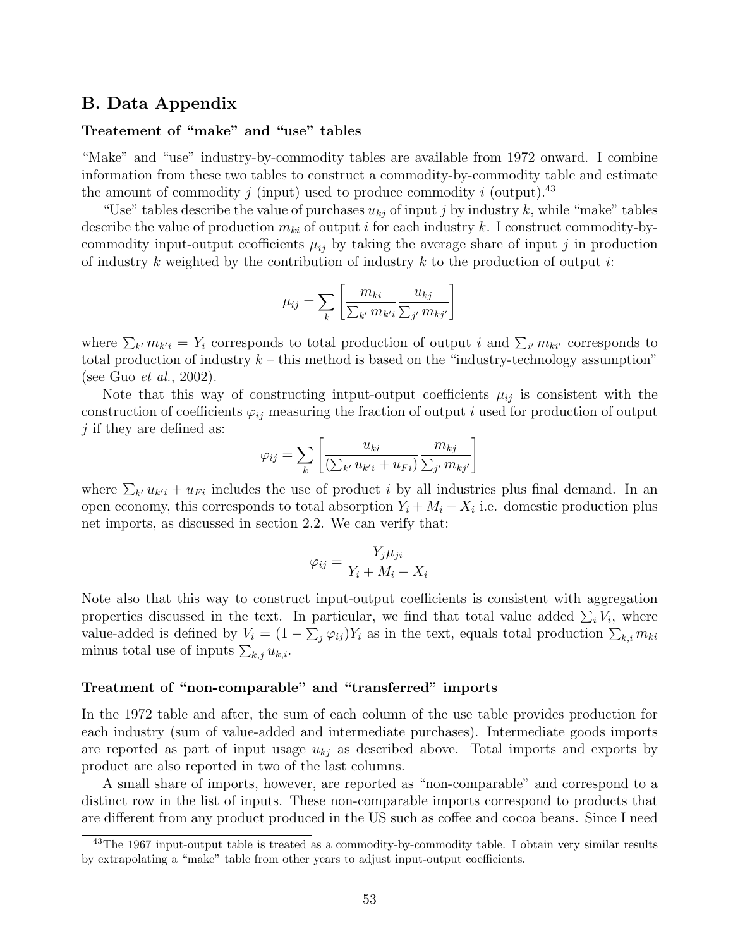## B. Data Appendix

### Treatement of "make" and "use" tables

"Make" and "use" industry-by-commodity tables are available from 1972 onward. I combine information from these two tables to construct a commodity-by-commodity table and estimate the amount of commodity j (input) used to produce commodity i (output).<sup>43</sup>

"Use" tables describe the value of purchases  $u_{kj}$  of input j by industry k, while "make" tables describe the value of production  $m_{ki}$  of output i for each industry k. I construct commodity-bycommodity input-output ceofficients  $\mu_{ij}$  by taking the average share of input j in production of industry k weighted by the contribution of industry  $k$  to the production of output  $i$ :

$$
\mu_{ij} = \sum_{k} \left[ \frac{m_{ki}}{\sum_{k'} m_{k'i}} \frac{u_{kj}}{\sum_{j'} m_{kj'}} \right]
$$

where  $\sum_{k'} m_{k'i} = Y_i$  corresponds to total production of output i and  $\sum_{i'} m_{ki'}$  corresponds to total production of industry  $k$  – this method is based on the "industry-technology assumption" (see Guo et al., 2002).

Note that this way of constructing intput-output coefficients  $\mu_{ij}$  is consistent with the construction of coefficients  $\varphi_{ij}$  measuring the fraction of output i used for production of output  $j$  if they are defined as:

$$
\varphi_{ij} = \sum_{k} \left[ \frac{u_{ki}}{\left(\sum_{k'} u_{k'i} + u_{Fi}\right)} \frac{m_{kj}}{\sum_{j'} m_{kj'}} \right]
$$

where  $\sum_{k'} u_{k'i} + u_{Fi}$  includes the use of product i by all industries plus final demand. In an open economy, this corresponds to total absorption  $Y_i + M_i - X_i$  i.e. domestic production plus net imports, as discussed in section 2.2. We can verify that:

$$
\varphi_{ij} = \frac{Y_j \mu_{ji}}{Y_i + M_i - X_i}
$$

Note also that this way to construct input-output coefficients is consistent with aggregation properties discussed in the text. In particular, we find that total value added  $\sum_i V_i$ , where value-added is defined by  $V_i = (1 - \sum_j \varphi_{ij})Y_i$  as in the text, equals total production  $\sum_{k,i} m_{ki}$ minus total use of inputs  $\sum_{k,j} u_{k,i}$ .

### Treatment of "non-comparable" and "transferred" imports

In the 1972 table and after, the sum of each column of the use table provides production for each industry (sum of value-added and intermediate purchases). Intermediate goods imports are reported as part of input usage  $u_{kj}$  as described above. Total imports and exports by product are also reported in two of the last columns.

A small share of imports, however, are reported as "non-comparable" and correspond to a distinct row in the list of inputs. These non-comparable imports correspond to products that are different from any product produced in the US such as coffee and cocoa beans. Since I need

<sup>&</sup>lt;sup>43</sup>The 1967 input-output table is treated as a commodity-by-commodity table. I obtain very similar results by extrapolating a "make" table from other years to adjust input-output coefficients.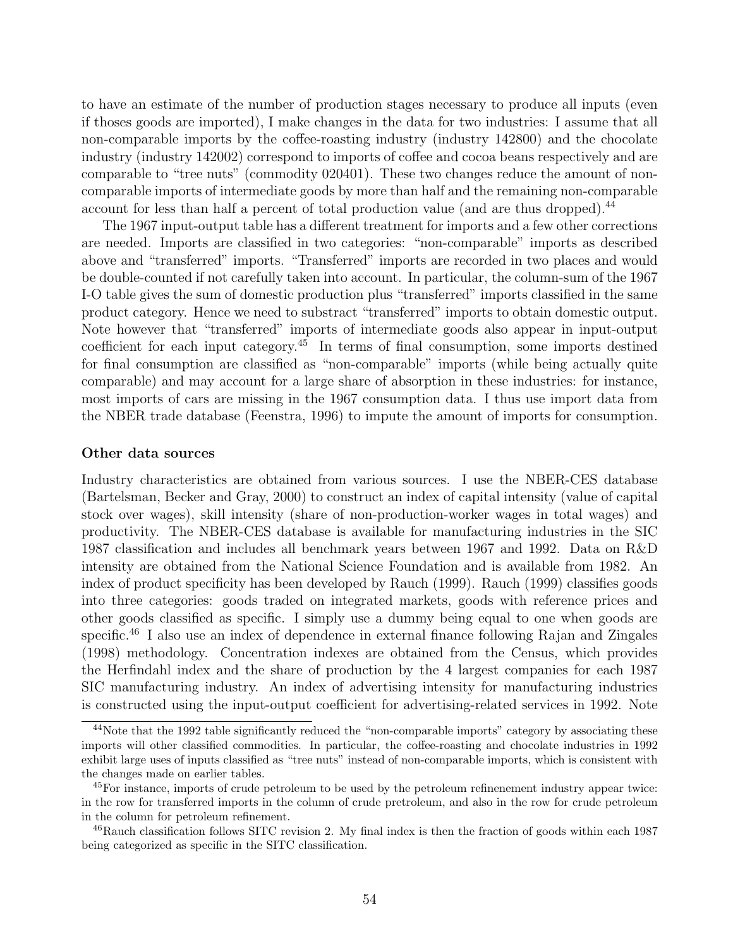to have an estimate of the number of production stages necessary to produce all inputs (even if thoses goods are imported), I make changes in the data for two industries: I assume that all non-comparable imports by the coffee-roasting industry (industry 142800) and the chocolate industry (industry 142002) correspond to imports of coffee and cocoa beans respectively and are comparable to "tree nuts" (commodity 020401). These two changes reduce the amount of noncomparable imports of intermediate goods by more than half and the remaining non-comparable account for less than half a percent of total production value (and are thus dropped).<sup>44</sup>

The 1967 input-output table has a different treatment for imports and a few other corrections are needed. Imports are classified in two categories: "non-comparable" imports as described above and "transferred" imports. "Transferred" imports are recorded in two places and would be double-counted if not carefully taken into account. In particular, the column-sum of the 1967 I-O table gives the sum of domestic production plus "transferred" imports classified in the same product category. Hence we need to substract "transferred" imports to obtain domestic output. Note however that "transferred" imports of intermediate goods also appear in input-output coefficient for each input category.<sup>45</sup> In terms of final consumption, some imports destined for final consumption are classified as "non-comparable" imports (while being actually quite comparable) and may account for a large share of absorption in these industries: for instance, most imports of cars are missing in the 1967 consumption data. I thus use import data from the NBER trade database (Feenstra, 1996) to impute the amount of imports for consumption.

### Other data sources

Industry characteristics are obtained from various sources. I use the NBER-CES database (Bartelsman, Becker and Gray, 2000) to construct an index of capital intensity (value of capital stock over wages), skill intensity (share of non-production-worker wages in total wages) and productivity. The NBER-CES database is available for manufacturing industries in the SIC 1987 classification and includes all benchmark years between 1967 and 1992. Data on R&D intensity are obtained from the National Science Foundation and is available from 1982. An index of product specificity has been developed by Rauch (1999). Rauch (1999) classifies goods into three categories: goods traded on integrated markets, goods with reference prices and other goods classified as specific. I simply use a dummy being equal to one when goods are specific.<sup>46</sup> I also use an index of dependence in external finance following Rajan and Zingales (1998) methodology. Concentration indexes are obtained from the Census, which provides the Herfindahl index and the share of production by the 4 largest companies for each 1987 SIC manufacturing industry. An index of advertising intensity for manufacturing industries is constructed using the input-output coefficient for advertising-related services in 1992. Note

<sup>44</sup>Note that the 1992 table significantly reduced the "non-comparable imports" category by associating these imports will other classified commodities. In particular, the coffee-roasting and chocolate industries in 1992 exhibit large uses of inputs classified as "tree nuts" instead of non-comparable imports, which is consistent with the changes made on earlier tables.

<sup>&</sup>lt;sup>45</sup>For instance, imports of crude petroleum to be used by the petroleum refinenement industry appear twice: in the row for transferred imports in the column of crude pretroleum, and also in the row for crude petroleum in the column for petroleum refinement.

<sup>46</sup>Rauch classification follows SITC revision 2. My final index is then the fraction of goods within each 1987 being categorized as specific in the SITC classification.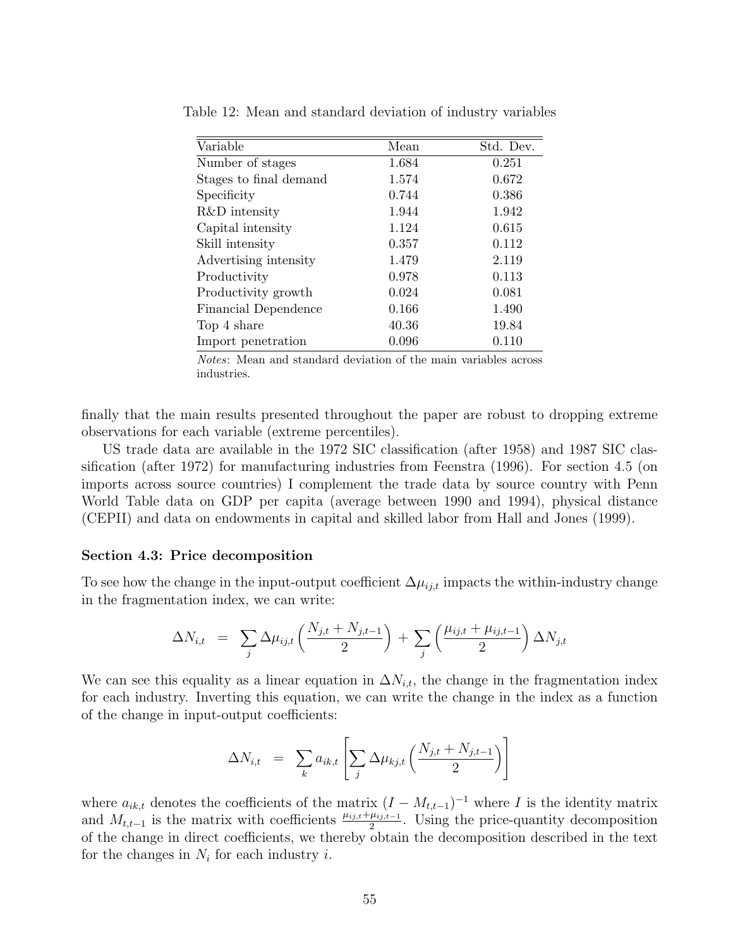| Variable               | Mean  | Std. Dev. |
|------------------------|-------|-----------|
| Number of stages       | 1.684 | 0.251     |
| Stages to final demand | 1.574 | 0.672     |
| Specificity            | 0.744 | 0.386     |
| R&D intensity          | 1.944 | 1.942     |
| Capital intensity      | 1.124 | 0.615     |
| Skill intensity        | 0.357 | 0.112     |
| Advertising intensity  | 1.479 | 2.119     |
| Productivity           | 0.978 | 0.113     |
| Productivity growth    | 0.024 | 0.081     |
| Financial Dependence   | 0.166 | 1.490     |
| Top 4 share            | 40.36 | 19.84     |
| Import penetration     | 0.096 | 0.110     |

Table 12: Mean and standard deviation of industry variables

Notes: Mean and standard deviation of the main variables across industries.

finally that the main results presented throughout the paper are robust to dropping extreme observations for each variable (extreme percentiles).

US trade data are available in the 1972 SIC classification (after 1958) and 1987 SIC classification (after 1972) for manufacturing industries from Feenstra (1996). For section 4.5 (on imports across source countries) I complement the trade data by source country with Penn World Table data on GDP per capita (average between 1990 and 1994), physical distance (CEPII) and data on endowments in capital and skilled labor from Hall and Jones (1999).

#### Section 4.3: Price decomposition

To see how the change in the input-output coefficient  $\Delta \mu_{ij,t}$  impacts the within-industry change in the fragmentation index, we can write:

$$
\Delta N_{i,t} = \sum_{j} \Delta \mu_{ij,t} \left( \frac{N_{j,t} + N_{j,t-1}}{2} \right) + \sum_{j} \left( \frac{\mu_{ij,t} + \mu_{ij,t-1}}{2} \right) \Delta N_{j,t}
$$

We can see this equality as a linear equation in  $\Delta N_{i,t}$ , the change in the fragmentation index for each industry. Inverting this equation, we can write the change in the index as a function of the change in input-output coefficients:

$$
\Delta N_{i,t} = \sum_{k} a_{ik,t} \left[ \sum_{j} \Delta \mu_{kj,t} \left( \frac{N_{j,t} + N_{j,t-1}}{2} \right) \right]
$$

where  $a_{ik,t}$  denotes the coefficients of the matrix  $(I - M_{t,t-1})^{-1}$  where I is the identity matrix and  $M_{t,t-1}$  is the matrix with coefficients  $\frac{\mu_{ij,t}+\mu_{ij,t-1}}{2}$ . Using the price-quantity decomposition of the change in direct coefficients, we thereby obtain the decomposition described in the text for the changes in  $N_i$  for each industry *i*.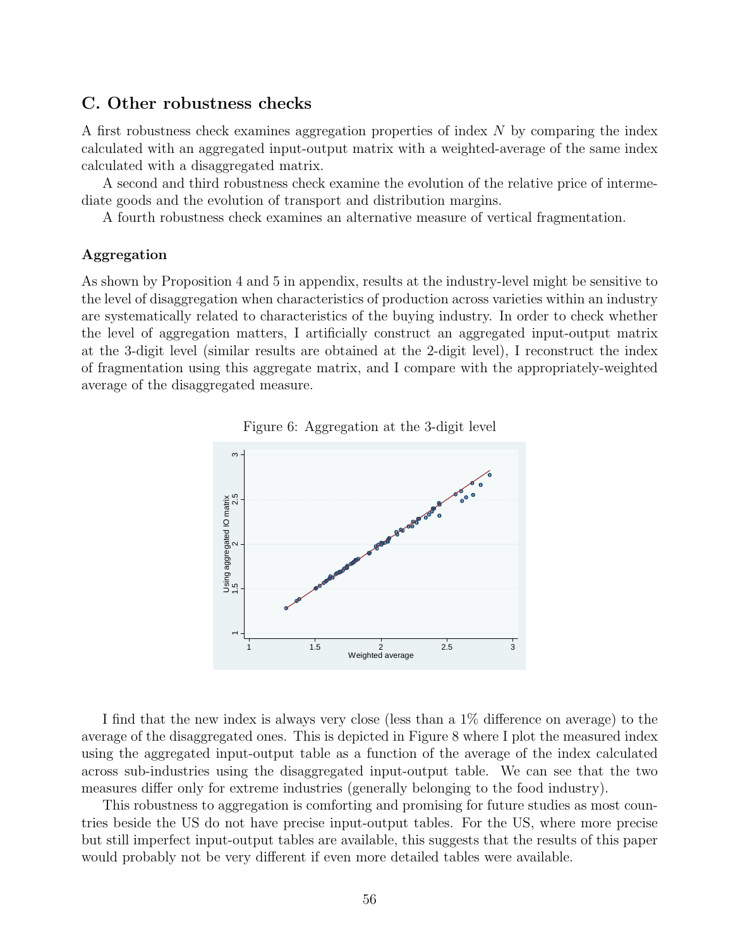## C. Other robustness checks

A first robustness check examines aggregation properties of index N by comparing the index calculated with an aggregated input-output matrix with a weighted-average of the same index calculated with a disaggregated matrix.

A second and third robustness check examine the evolution of the relative price of intermediate goods and the evolution of transport and distribution margins.

A fourth robustness check examines an alternative measure of vertical fragmentation.

### Aggregation

As shown by Proposition 4 and 5 in appendix, results at the industry-level might be sensitive to the level of disaggregation when characteristics of production across varieties within an industry are systematically related to characteristics of the buying industry. In order to check whether the level of aggregation matters, I artificially construct an aggregated input-output matrix at the 3-digit level (similar results are obtained at the 2-digit level), I reconstruct the index of fragmentation using this aggregate matrix, and I compare with the appropriately-weighted average of the disaggregated measure.





I find that the new index is always very close (less than a 1% difference on average) to the average of the disaggregated ones. This is depicted in Figure 8 where I plot the measured index using the aggregated input-output table as a function of the average of the index calculated across sub-industries using the disaggregated input-output table. We can see that the two measures differ only for extreme industries (generally belonging to the food industry).

This robustness to aggregation is comforting and promising for future studies as most countries beside the US do not have precise input-output tables. For the US, where more precise but still imperfect input-output tables are available, this suggests that the results of this paper would probably not be very different if even more detailed tables were available.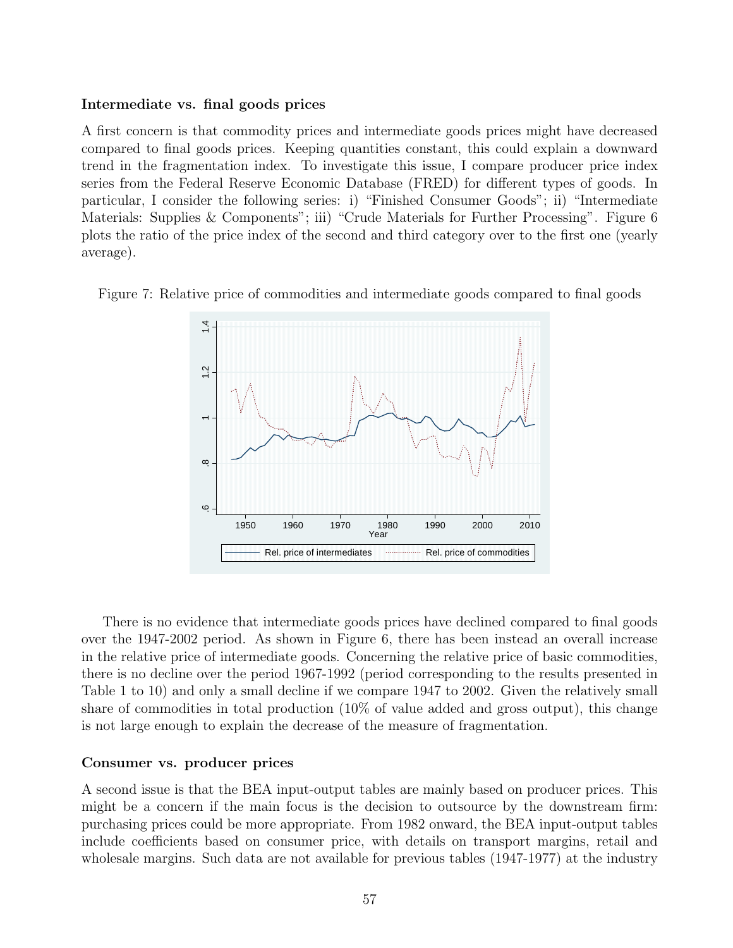### Intermediate vs. final goods prices

A first concern is that commodity prices and intermediate goods prices might have decreased compared to final goods prices. Keeping quantities constant, this could explain a downward trend in the fragmentation index. To investigate this issue, I compare producer price index series from the Federal Reserve Economic Database (FRED) for different types of goods. In particular, I consider the following series: i) "Finished Consumer Goods"; ii) "Intermediate Materials: Supplies & Components"; iii) "Crude Materials for Further Processing". Figure 6 plots the ratio of the price index of the second and third category over to the first one (yearly average).





There is no evidence that intermediate goods prices have declined compared to final goods over the 1947-2002 period. As shown in Figure 6, there has been instead an overall increase in the relative price of intermediate goods. Concerning the relative price of basic commodities, there is no decline over the period 1967-1992 (period corresponding to the results presented in Table 1 to 10) and only a small decline if we compare 1947 to 2002. Given the relatively small share of commodities in total production (10% of value added and gross output), this change is not large enough to explain the decrease of the measure of fragmentation.

### Consumer vs. producer prices

A second issue is that the BEA input-output tables are mainly based on producer prices. This might be a concern if the main focus is the decision to outsource by the downstream firm: purchasing prices could be more appropriate. From 1982 onward, the BEA input-output tables include coefficients based on consumer price, with details on transport margins, retail and wholesale margins. Such data are not available for previous tables (1947-1977) at the industry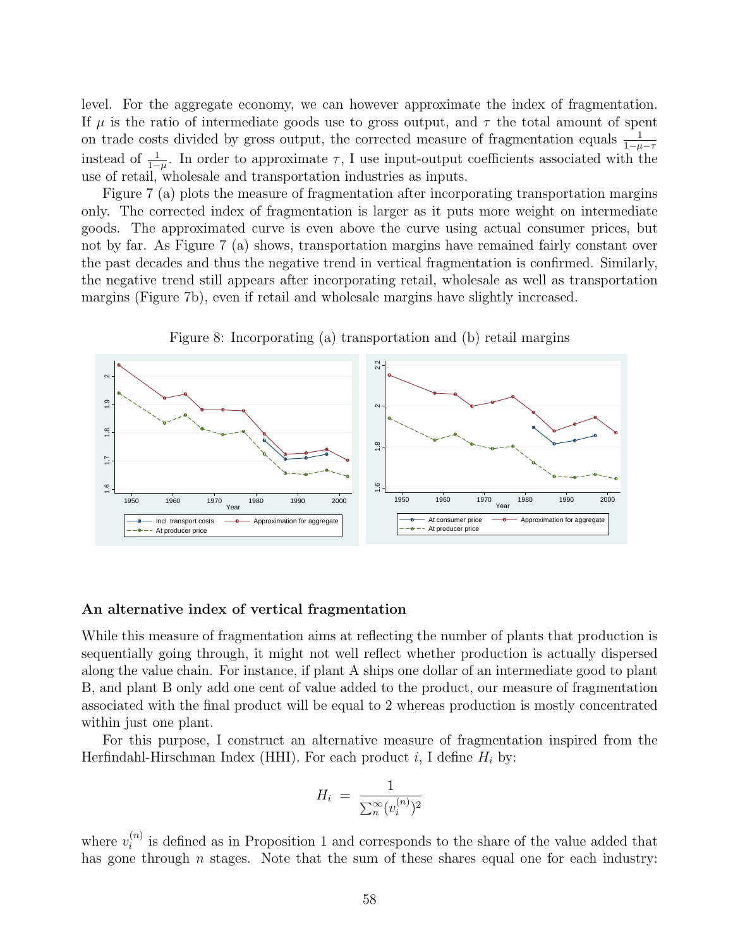level. For the aggregate economy, we can however approximate the index of fragmentation. If  $\mu$  is the ratio of intermediate goods use to gross output, and  $\tau$  the total amount of spent on trade costs divided by gross output, the corrected measure of fragmentation equals  $\frac{1}{1-\mu-\tau}$ instead of  $\frac{1}{1-\mu}$ . In order to approximate  $\tau$ , I use input-output coefficients associated with the use of retail, wholesale and transportation industries as inputs.

Figure 7 (a) plots the measure of fragmentation after incorporating transportation margins only. The corrected index of fragmentation is larger as it puts more weight on intermediate goods. The approximated curve is even above the curve using actual consumer prices, but not by far. As Figure 7 (a) shows, transportation margins have remained fairly constant over the past decades and thus the negative trend in vertical fragmentation is confirmed. Similarly, the negative trend still appears after incorporating retail, wholesale as well as transportation margins (Figure 7b), even if retail and wholesale margins have slightly increased.



Figure 8: Incorporating (a) transportation and (b) retail margins

### An alternative index of vertical fragmentation

While this measure of fragmentation aims at reflecting the number of plants that production is sequentially going through, it might not well reflect whether production is actually dispersed along the value chain. For instance, if plant A ships one dollar of an intermediate good to plant B, and plant B only add one cent of value added to the product, our measure of fragmentation associated with the final product will be equal to 2 whereas production is mostly concentrated within just one plant.

For this purpose, I construct an alternative measure of fragmentation inspired from the Herfindahl-Hirschman Index (HHI). For each product i, I define  $H_i$  by:

$$
H_i = \frac{1}{\sum_{n=0}^{\infty} (v_i^{(n)})^2}
$$

where  $v_i^{(n)}$  $i^{(n)}$  is defined as in Proposition 1 and corresponds to the share of the value added that has gone through  $n$  stages. Note that the sum of these shares equal one for each industry: